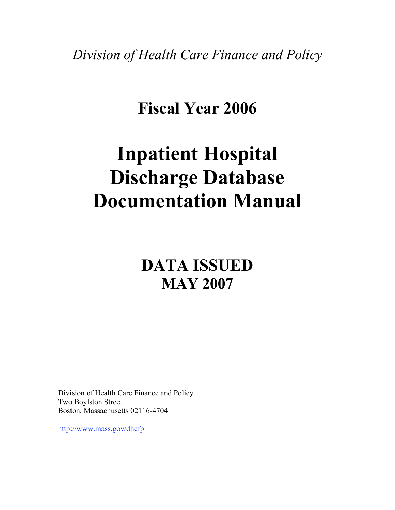*Division of Health Care Finance and Policy*

## **Fiscal Year 2006**

# **Inpatient Hospital Discharge Database Documentation Manual**

## **DATA ISSUED MAY 2007**

Division of Health Care Finance and Policy Two Boylston Street Boston, Massachusetts 02116-4704

http://www.mass.gov/dhcfp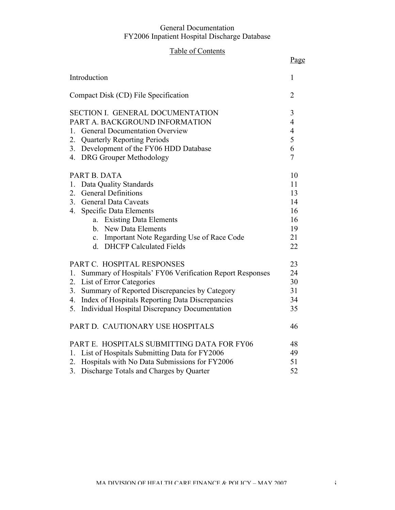## Table of Contents

|                                                                               | Page                             |
|-------------------------------------------------------------------------------|----------------------------------|
| Introduction                                                                  | 1                                |
| Compact Disk (CD) File Specification                                          | $\overline{2}$                   |
| SECTION I. GENERAL DOCUMENTATION                                              | 3                                |
| PART A. BACKGROUND INFORMATION<br><b>General Documentation Overview</b><br>1. | $\overline{4}$<br>$\overline{4}$ |
| <b>Quarterly Reporting Periods</b><br>2.                                      | 5                                |
| Development of the FY06 HDD Database<br>3.                                    | 6                                |
| 4. DRG Grouper Methodology                                                    | $\overline{7}$                   |
|                                                                               |                                  |
| PART B. DATA                                                                  | 10                               |
| Data Quality Standards<br>1.                                                  | 11                               |
| <b>General Definitions</b><br>2.                                              | 13                               |
| 3.<br><b>General Data Caveats</b>                                             | 14                               |
| 4.<br><b>Specific Data Elements</b>                                           | 16                               |
| a. Existing Data Elements                                                     | 16                               |
| b. New Data Elements                                                          | 19                               |
| c. Important Note Regarding Use of Race Code                                  | 21                               |
| d. DHCFP Calculated Fields                                                    | 22                               |
| PART C. HOSPITAL RESPONSES                                                    | 23                               |
| Summary of Hospitals' FY06 Verification Report Responses<br>1.                | 24                               |
| List of Error Categories<br>2.                                                | 30                               |
| Summary of Reported Discrepancies by Category<br>3.                           | 31                               |
| Index of Hospitals Reporting Data Discrepancies<br>4.                         | 34                               |
| Individual Hospital Discrepancy Documentation<br>5.                           | 35                               |
| PART D. CAUTIONARY USE HOSPITALS                                              | 46                               |
| PART E. HOSPITALS SUBMITTING DATA FOR FY06                                    | 48                               |
| 1. List of Hospitals Submitting Data for FY2006                               | 49                               |
| Hospitals with No Data Submissions for FY2006<br>2.                           | 51                               |
| Discharge Totals and Charges by Quarter<br>3 <sub>1</sub>                     | 52                               |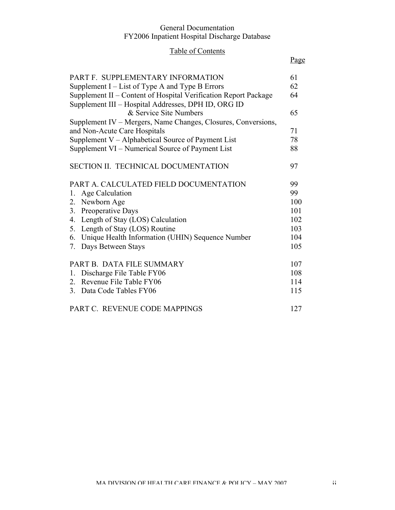## Table of Contents

## Page

| PART F. SUPPLEMENTARY INFORMATION                               | 61  |
|-----------------------------------------------------------------|-----|
| Supplement I – List of Type A and Type B Errors                 | 62  |
| Supplement II – Content of Hospital Verification Report Package | 64  |
| Supplement III - Hospital Addresses, DPH ID, ORG ID             |     |
| & Service Site Numbers                                          | 65  |
| Supplement IV – Mergers, Name Changes, Closures, Conversions,   |     |
| and Non-Acute Care Hospitals                                    | 71  |
| Supplement V – Alphabetical Source of Payment List              | 78  |
| Supplement VI – Numerical Source of Payment List                | 88  |
| SECTION II. TECHNICAL DOCUMENTATION                             | 97  |
| PART A. CALCULATED FIELD DOCUMENTATION                          | 99  |
| 1. Age Calculation                                              | 99  |
| 2. Newborn Age                                                  | 100 |
| 3. Preoperative Days                                            | 101 |
| 4. Length of Stay (LOS) Calculation                             | 102 |
| 5. Length of Stay (LOS) Routine                                 | 103 |
| 6. Unique Health Information (UHIN) Sequence Number             | 104 |
| 7. Days Between Stays                                           | 105 |
| PART B. DATA FILE SUMMARY                                       | 107 |
| 1. Discharge File Table FY06                                    | 108 |
| 2. Revenue File Table FY06                                      | 114 |
| 3. Data Code Tables FY06                                        | 115 |
| PART C. REVENUE CODE MAPPINGS                                   | 127 |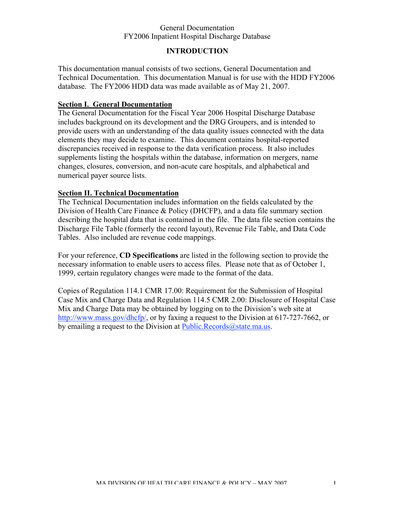#### **INTRODUCTION**

This documentation manual consists of two sections, General Documentation and Technical Documentation. This documentation Manual is for use with the HDD FY2006 database. The FY2006 HDD data was made available as of May 21, 2007.

#### **Section I. General Documentation**

The General Documentation for the Fiscal Year 2006 Hospital Discharge Database includes background on its development and the DRG Groupers, and is intended to provide users with an understanding of the data quality issues connected with the data elements they may decide to examine. This document contains hospital-reported discrepancies received in response to the data verification process. It also includes supplements listing the hospitals within the database, information on mergers, name changes, closures, conversion, and non-acute care hospitals, and alphabetical and numerical payer source lists.

#### **Section II. Technical Documentation**

The Technical Documentation includes information on the fields calculated by the Division of Health Care Finance & Policy (DHCFP), and a data file summary section describing the hospital data that is contained in the file. The data file section contains the Discharge File Table (formerly the record layout), Revenue File Table, and Data Code Tables. Also included are revenue code mappings.

For your reference, **CD Specifications** are listed in the following section to provide the necessary information to enable users to access files. Please note that as of October 1, 1999, certain regulatory changes were made to the format of the data.

Copies of Regulation 114.1 CMR 17.00: Requirement for the Submission of Hospital Case Mix and Charge Data and Regulation 114.5 CMR 2.00: Disclosure of Hospital Case Mix and Charge Data may be obtained by logging on to the Division's web site at http://www.mass.gov/dhcfp/, or by faxing a request to the Division at 617-727-7662, or by emailing a request to the Division at Public.Records@state.ma.us.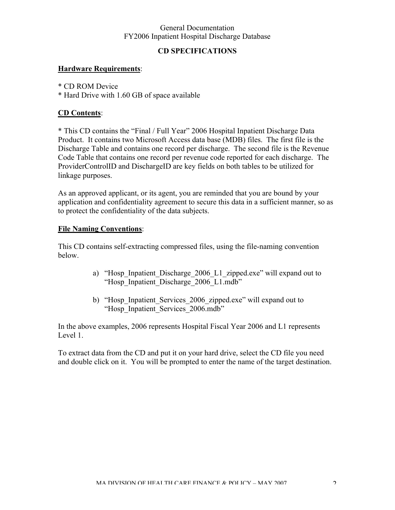### **CD SPECIFICATIONS**

#### **Hardware Requirements**:

- \* CD ROM Device
- \* Hard Drive with 1.60 GB of space available

#### **CD Contents**:

\* This CD contains the "Final / Full Year" 2006 Hospital Inpatient Discharge Data Product. It contains two Microsoft Access data base (MDB) files. The first file is the Discharge Table and contains one record per discharge. The second file is the Revenue Code Table that contains one record per revenue code reported for each discharge. The ProviderControlID and DischargeID are key fields on both tables to be utilized for linkage purposes.

As an approved applicant, or its agent, you are reminded that you are bound by your application and confidentiality agreement to secure this data in a sufficient manner, so as to protect the confidentiality of the data subjects.

#### **File Naming Conventions**:

This CD contains self-extracting compressed files, using the file-naming convention below.

- a) "Hosp Inpatient Discharge 2006 L1 zipped.exe" will expand out to "Hosp\_Inpatient\_Discharge\_2006\_L1.mdb"
- b) "Hosp Inpatient Services 2006 zipped.exe" will expand out to "Hosp\_Inpatient\_Services\_2006.mdb"

In the above examples, 2006 represents Hospital Fiscal Year 2006 and L1 represents Level 1.

To extract data from the CD and put it on your hard drive, select the CD file you need and double click on it. You will be prompted to enter the name of the target destination.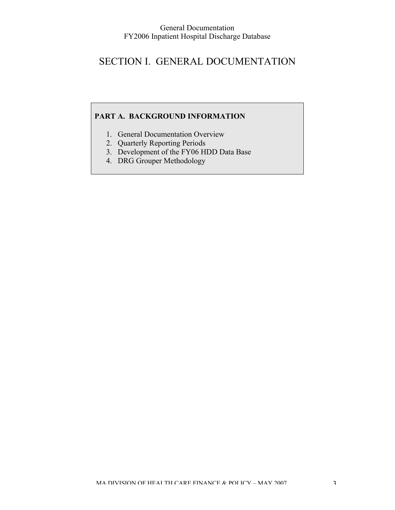## SECTION I. GENERAL DOCUMENTATION

## **PART A. BACKGROUND INFORMATION**

- 1. General Documentation Overview
- 2. Quarterly Reporting Periods
- 3. Development of the FY06 HDD Data Base
- 4. DRG Grouper Methodology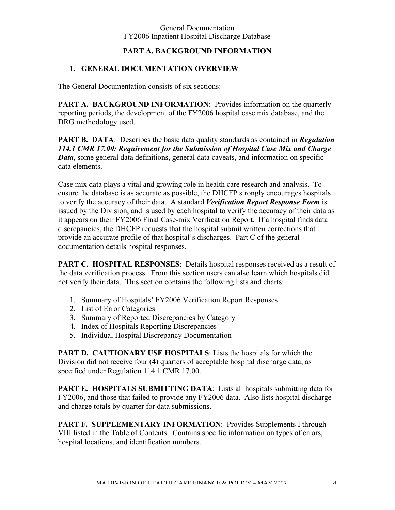#### **PART A. BACKGROUND INFORMATION**

#### **1. GENERAL DOCUMENTATION OVERVIEW**

The General Documentation consists of six sections:

**PART A. BACKGROUND INFORMATION:** Provides information on the quarterly reporting periods, the development of the FY2006 hospital case mix database, and the DRG methodology used.

**PART B. DATA**: Describes the basic data quality standards as contained in *Regulation 114.1 CMR 17.00: Requirement for the Submission of Hospital Case Mix and Charge Data*, some general data definitions, general data caveats, and information on specific data elements.

Case mix data plays a vital and growing role in health care research and analysis. To ensure the database is as accurate as possible, the DHCFP strongly encourages hospitals to verify the accuracy of their data. A standard *Verification Report Response Form* is issued by the Division, and is used by each hospital to verify the accuracy of their data as it appears on their FY2006 Final Case-mix Verification Report. If a hospital finds data discrepancies, the DHCFP requests that the hospital submit written corrections that provide an accurate profile of that hospital's discharges. Part C of the general documentation details hospital responses.

**PART C. HOSPITAL RESPONSES:** Details hospital responses received as a result of the data verification process. From this section users can also learn which hospitals did not verify their data. This section contains the following lists and charts:

- 1. Summary of Hospitals' FY2006 Verification Report Responses
- 2. List of Error Categories
- 3. Summary of Reported Discrepancies by Category
- 4. Index of Hospitals Reporting Discrepancies
- 5. Individual Hospital Discrepancy Documentation

**PART D. CAUTIONARY USE HOSPITALS**: Lists the hospitals for which the Division did not receive four (4) quarters of acceptable hospital discharge data, as specified under Regulation 114.1 CMR 17.00.

**PART E. HOSPITALS SUBMITTING DATA:** Lists all hospitals submitting data for FY2006, and those that failed to provide any FY2006 data. Also lists hospital discharge and charge totals by quarter for data submissions.

**PART F. SUPPLEMENTARY INFORMATION**: Provides Supplements I through VIII listed in the Table of Contents. Contains specific information on types of errors, hospital locations, and identification numbers.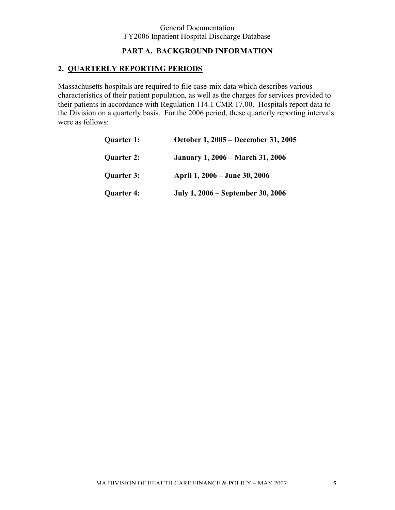#### **PART A. BACKGROUND INFORMATION**

## **2. QUARTERLY REPORTING PERIODS**

Massachusetts hospitals are required to file case-mix data which describes various characteristics of their patient population, as well as the charges for services provided to their patients in accordance with Regulation 114.1 CMR 17.00. Hospitals report data to the Division on a quarterly basis. For the 2006 period, these quarterly reporting intervals were as follows:

| <b>Quarter 1:</b> | October 1, 2005 – December 31, 2005     |
|-------------------|-----------------------------------------|
| <b>Quarter 2:</b> | <b>January 1, 2006 – March 31, 2006</b> |
| <b>Quarter 3:</b> | April 1, 2006 – June 30, 2006           |
| <b>Quarter 4:</b> | July 1, 2006 – September 30, 2006       |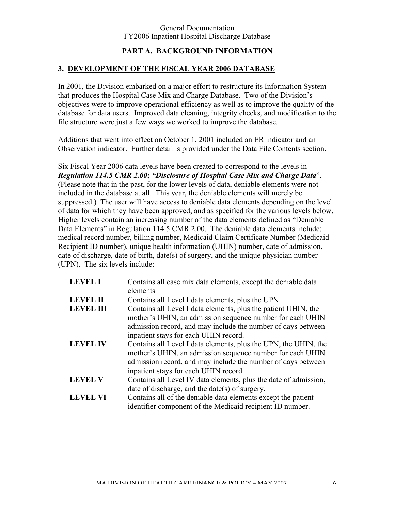#### **PART A. BACKGROUND INFORMATION**

#### **3. DEVELOPMENT OF THE FISCAL YEAR 2006 DATABASE**

In 2001, the Division embarked on a major effort to restructure its Information System that produces the Hospital Case Mix and Charge Database. Two of the Division's objectives were to improve operational efficiency as well as to improve the quality of the database for data users. Improved data cleaning, integrity checks, and modification to the file structure were just a few ways we worked to improve the database.

Additions that went into effect on October 1, 2001 included an ER indicator and an Observation indicator. Further detail is provided under the Data File Contents section.

Six Fiscal Year 2006 data levels have been created to correspond to the levels in *Regulation 114.5 CMR 2.00; "Disclosure of Hospital Case Mix and Charge Data*". (Please note that in the past, for the lower levels of data, deniable elements were not included in the database at all. This year, the deniable elements will merely be suppressed.) The user will have access to deniable data elements depending on the level of data for which they have been approved, and as specified for the various levels below. Higher levels contain an increasing number of the data elements defined as "Deniable Data Elements" in Regulation 114.5 CMR 2.00. The deniable data elements include: medical record number, billing number, Medicaid Claim Certificate Number (Medicaid Recipient ID number), unique health information (UHIN) number, date of admission, date of discharge, date of birth, date(s) of surgery, and the unique physician number (UPN). The six levels include:

| <b>LEVEL I</b>   | Contains all case mix data elements, except the deniable data<br>elements                                                                                                                                                             |
|------------------|---------------------------------------------------------------------------------------------------------------------------------------------------------------------------------------------------------------------------------------|
| <b>LEVEL II</b>  | Contains all Level I data elements, plus the UPN                                                                                                                                                                                      |
| <b>LEVEL III</b> | Contains all Level I data elements, plus the patient UHIN, the<br>mother's UHIN, an admission sequence number for each UHIN                                                                                                           |
|                  | admission record, and may include the number of days between<br>inpatient stays for each UHIN record.                                                                                                                                 |
| <b>LEVEL IV</b>  | Contains all Level I data elements, plus the UPN, the UHIN, the<br>mother's UHIN, an admission sequence number for each UHIN<br>admission record, and may include the number of days between<br>inpatient stays for each UHIN record. |
| <b>LEVEL V</b>   | Contains all Level IV data elements, plus the date of admission,                                                                                                                                                                      |
| <b>LEVEL VI</b>  | date of discharge, and the date(s) of surgery.<br>Contains all of the deniable data elements except the patient<br>identifier component of the Medicaid recipient ID number.                                                          |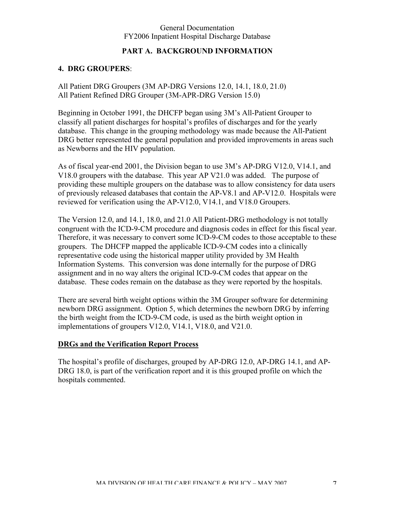#### **PART A. BACKGROUND INFORMATION**

#### **4. DRG GROUPERS**:

All Patient DRG Groupers (3M AP-DRG Versions 12.0, 14.1, 18.0, 21.0) All Patient Refined DRG Grouper (3M-APR-DRG Version 15.0)

Beginning in October 1991, the DHCFP began using 3M's All-Patient Grouper to classify all patient discharges for hospital's profiles of discharges and for the yearly database. This change in the grouping methodology was made because the All-Patient DRG better represented the general population and provided improvements in areas such as Newborns and the HIV population.

As of fiscal year-end 2001, the Division began to use 3M's AP-DRG V12.0, V14.1, and V18.0 groupers with the database. This year AP V21.0 was added. The purpose of providing these multiple groupers on the database was to allow consistency for data users of previously released databases that contain the AP-V8.1 and AP-V12.0. Hospitals were reviewed for verification using the AP-V12.0, V14.1, and V18.0 Groupers.

The Version 12.0, and 14.1, 18.0, and 21.0 All Patient-DRG methodology is not totally congruent with the ICD-9-CM procedure and diagnosis codes in effect for this fiscal year. Therefore, it was necessary to convert some ICD-9-CM codes to those acceptable to these groupers. The DHCFP mapped the applicable ICD-9-CM codes into a clinically representative code using the historical mapper utility provided by 3M Health Information Systems. This conversion was done internally for the purpose of DRG assignment and in no way alters the original ICD-9-CM codes that appear on the database. These codes remain on the database as they were reported by the hospitals.

There are several birth weight options within the 3M Grouper software for determining newborn DRG assignment. Option 5, which determines the newborn DRG by inferring the birth weight from the ICD-9-CM code, is used as the birth weight option in implementations of groupers V12.0, V14.1, V18.0, and V21.0.

#### **DRGs and the Verification Report Process**

The hospital's profile of discharges, grouped by AP-DRG 12.0, AP-DRG 14.1, and AP-DRG 18.0, is part of the verification report and it is this grouped profile on which the hospitals commented.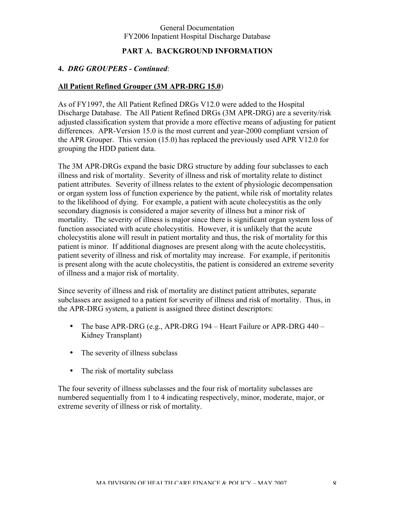#### **PART A. BACKGROUND INFORMATION**

#### **4.** *DRG GROUPERS - Continued*:

#### **All Patient Refined Grouper (3M APR-DRG 15.0**)

As of FY1997, the All Patient Refined DRGs V12.0 were added to the Hospital Discharge Database. The All Patient Refined DRGs (3M APR-DRG) are a severity/risk adjusted classification system that provide a more effective means of adjusting for patient differences. APR-Version 15.0 is the most current and year-2000 compliant version of the APR Grouper. This version (15.0) has replaced the previously used APR V12.0 for grouping the HDD patient data.

The 3M APR-DRGs expand the basic DRG structure by adding four subclasses to each illness and risk of mortality. Severity of illness and risk of mortality relate to distinct patient attributes. Severity of illness relates to the extent of physiologic decompensation or organ system loss of function experience by the patient, while risk of mortality relates to the likelihood of dying. For example, a patient with acute cholecystitis as the only secondary diagnosis is considered a major severity of illness but a minor risk of mortality. The severity of illness is major since there is significant organ system loss of function associated with acute cholecystitis. However, it is unlikely that the acute cholecystitis alone will result in patient mortality and thus, the risk of mortality for this patient is minor. If additional diagnoses are present along with the acute cholecystitis, patient severity of illness and risk of mortality may increase. For example, if peritonitis is present along with the acute cholecystitis, the patient is considered an extreme severity of illness and a major risk of mortality.

Since severity of illness and risk of mortality are distinct patient attributes, separate subclasses are assigned to a patient for severity of illness and risk of mortality. Thus, in the APR-DRG system, a patient is assigned three distinct descriptors:

- The base APR-DRG (e.g., APR-DRG 194 Heart Failure or APR-DRG 440 Kidney Transplant)
- The severity of illness subclass
- The risk of mortality subclass

The four severity of illness subclasses and the four risk of mortality subclasses are numbered sequentially from 1 to 4 indicating respectively, minor, moderate, major, or extreme severity of illness or risk of mortality.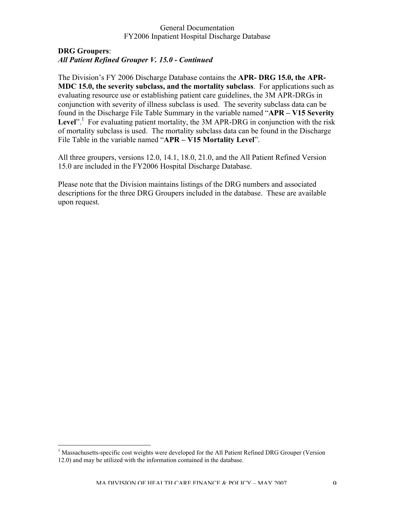#### **DRG Groupers**: *All Patient Refined Grouper V. 15.0 - Continued*

The Division's FY 2006 Discharge Database contains the **APR- DRG 15.0, the APR-MDC 15.0, the severity subclass, and the mortality subclass**. For applications such as evaluating resource use or establishing patient care guidelines, the 3M APR-DRGs in conjunction with severity of illness subclass is used. The severity subclass data can be found in the Discharge File Table Summary in the variable named "**APR – V15 Severity** Level".<sup>1</sup> For evaluating patient mortality, the 3M APR-DRG in conjunction with the risk of mortality subclass is used. The mortality subclass data can be found in the Discharge File Table in the variable named "**APR – V15 Mortality Level**".

All three groupers, versions 12.0, 14.1, 18.0, 21.0, and the All Patient Refined Version 15.0 are included in the FY2006 Hospital Discharge Database.

Please note that the Division maintains listings of the DRG numbers and associated descriptions for the three DRG Groupers included in the database. These are available upon request.

 $\frac{1}{1}$ <sup>1</sup> Massachusetts-specific cost weights were developed for the All Patient Refined DRG Grouper (Version 12.0) and may be utilized with the information contained in the database.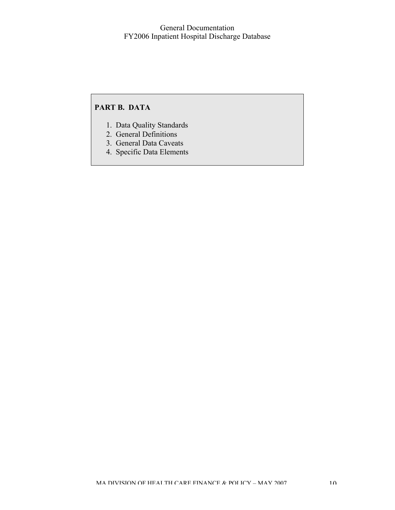## **PART B. DATA**

- 1. Data Quality Standards
- 2. General Definitions
- 3. General Data Caveats
- 4. Specific Data Elements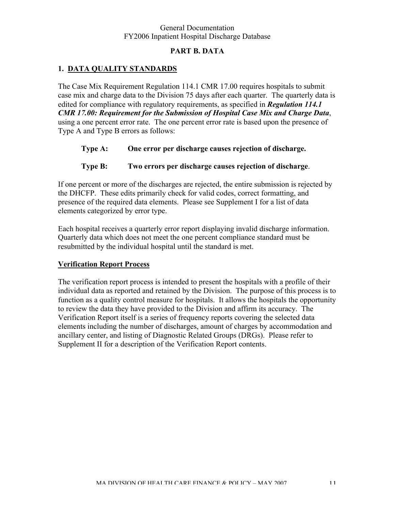#### **PART B. DATA**

#### **1. DATA QUALITY STANDARDS**

The Case Mix Requirement Regulation 114.1 CMR 17.00 requires hospitals to submit case mix and charge data to the Division 75 days after each quarter. The quarterly data is edited for compliance with regulatory requirements, as specified in *Regulation 114.1 CMR 17.00: Requirement for the Submission of Hospital Case Mix and Charge Data*, using a one percent error rate. The one percent error rate is based upon the presence of Type A and Type B errors as follows:

- **Type A: One error per discharge causes rejection of discharge.**
- **Type B: Two errors per discharge causes rejection of discharge**.

If one percent or more of the discharges are rejected, the entire submission is rejected by the DHCFP. These edits primarily check for valid codes, correct formatting, and presence of the required data elements. Please see Supplement I for a list of data elements categorized by error type.

Each hospital receives a quarterly error report displaying invalid discharge information. Quarterly data which does not meet the one percent compliance standard must be resubmitted by the individual hospital until the standard is met.

#### **Verification Report Process**

The verification report process is intended to present the hospitals with a profile of their individual data as reported and retained by the Division. The purpose of this process is to function as a quality control measure for hospitals. It allows the hospitals the opportunity to review the data they have provided to the Division and affirm its accuracy. The Verification Report itself is a series of frequency reports covering the selected data elements including the number of discharges, amount of charges by accommodation and ancillary center, and listing of Diagnostic Related Groups (DRGs). Please refer to Supplement II for a description of the Verification Report contents.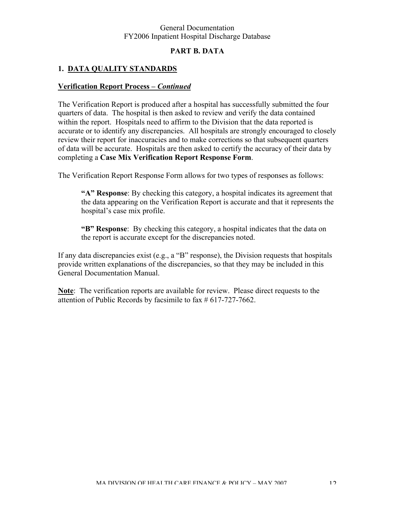#### **PART B. DATA**

#### **1. DATA QUALITY STANDARDS**

#### **Verification Report Process** *– Continued*

The Verification Report is produced after a hospital has successfully submitted the four quarters of data. The hospital is then asked to review and verify the data contained within the report. Hospitals need to affirm to the Division that the data reported is accurate or to identify any discrepancies. All hospitals are strongly encouraged to closely review their report for inaccuracies and to make corrections so that subsequent quarters of data will be accurate. Hospitals are then asked to certify the accuracy of their data by completing a **Case Mix Verification Report Response Form**.

The Verification Report Response Form allows for two types of responses as follows:

**"A" Response**: By checking this category, a hospital indicates its agreement that the data appearing on the Verification Report is accurate and that it represents the hospital's case mix profile.

**"B" Response**: By checking this category, a hospital indicates that the data on the report is accurate except for the discrepancies noted.

If any data discrepancies exist (e.g., a "B" response), the Division requests that hospitals provide written explanations of the discrepancies, so that they may be included in this General Documentation Manual.

**Note**: The verification reports are available for review. Please direct requests to the attention of Public Records by facsimile to fax # 617-727-7662.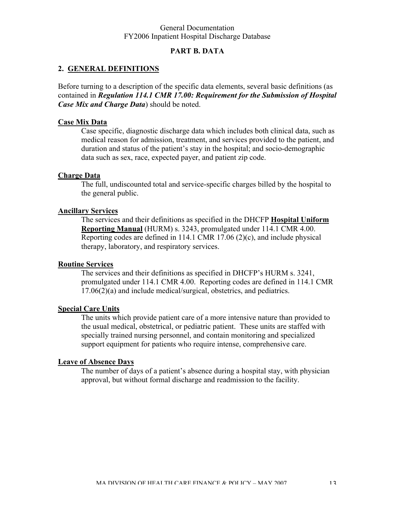#### **PART B. DATA**

#### **2. GENERAL DEFINITIONS**

Before turning to a description of the specific data elements, several basic definitions (as contained in *Regulation 114.1 CMR 17.00: Requirement for the Submission of Hospital Case Mix and Charge Data*) should be noted.

#### **Case Mix Data**

Case specific, diagnostic discharge data which includes both clinical data, such as medical reason for admission, treatment, and services provided to the patient, and duration and status of the patient's stay in the hospital; and socio-demographic data such as sex, race, expected payer, and patient zip code.

#### **Charge Data**

The full, undiscounted total and service-specific charges billed by the hospital to the general public.

#### **Ancillary Services**

The services and their definitions as specified in the DHCFP **Hospital Uniform Reporting Manual** (HURM) s. 3243, promulgated under 114.1 CMR 4.00. Reporting codes are defined in 114.1 CMR 17.06 (2)(c), and include physical therapy, laboratory, and respiratory services.

#### **Routine Services**

The services and their definitions as specified in DHCFP's HURM s. 3241, promulgated under 114.1 CMR 4.00. Reporting codes are defined in 114.1 CMR 17.06(2)(a) and include medical/surgical, obstetrics, and pediatrics.

#### **Special Care Units**

The units which provide patient care of a more intensive nature than provided to the usual medical, obstetrical, or pediatric patient. These units are staffed with specially trained nursing personnel, and contain monitoring and specialized support equipment for patients who require intense, comprehensive care.

#### **Leave of Absence Days**

The number of days of a patient's absence during a hospital stay, with physician approval, but without formal discharge and readmission to the facility.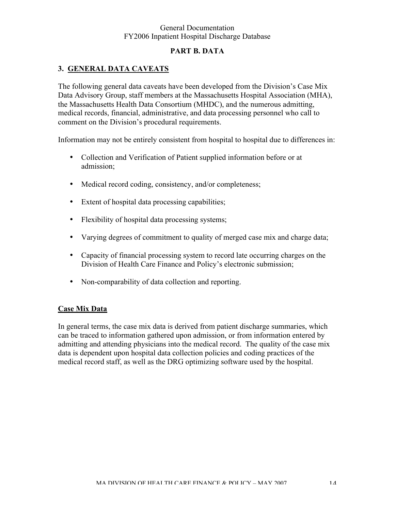#### **PART B. DATA**

#### **3. GENERAL DATA CAVEATS**

The following general data caveats have been developed from the Division's Case Mix Data Advisory Group, staff members at the Massachusetts Hospital Association (MHA), the Massachusetts Health Data Consortium (MHDC), and the numerous admitting, medical records, financial, administrative, and data processing personnel who call to comment on the Division's procedural requirements.

Information may not be entirely consistent from hospital to hospital due to differences in:

- Collection and Verification of Patient supplied information before or at admission;
- Medical record coding, consistency, and/or completeness;
- Extent of hospital data processing capabilities;
- Flexibility of hospital data processing systems;
- Varying degrees of commitment to quality of merged case mix and charge data;
- Capacity of financial processing system to record late occurring charges on the Division of Health Care Finance and Policy's electronic submission;
- Non-comparability of data collection and reporting.

#### **Case Mix Data**

In general terms, the case mix data is derived from patient discharge summaries, which can be traced to information gathered upon admission, or from information entered by admitting and attending physicians into the medical record. The quality of the case mix data is dependent upon hospital data collection policies and coding practices of the medical record staff, as well as the DRG optimizing software used by the hospital.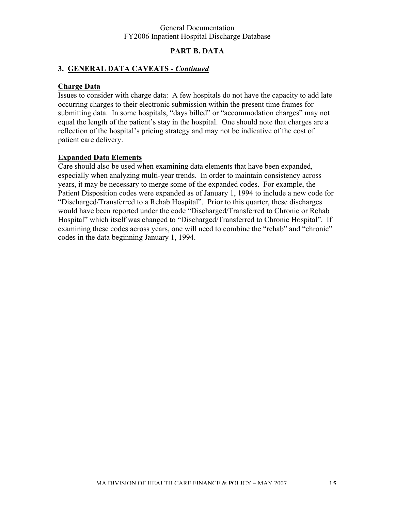#### **PART B. DATA**

#### **3. GENERAL DATA CAVEATS -** *Continued*

#### **Charge Data**

Issues to consider with charge data: A few hospitals do not have the capacity to add late occurring charges to their electronic submission within the present time frames for submitting data. In some hospitals, "days billed" or "accommodation charges" may not equal the length of the patient's stay in the hospital. One should note that charges are a reflection of the hospital's pricing strategy and may not be indicative of the cost of patient care delivery.

#### **Expanded Data Elements**

Care should also be used when examining data elements that have been expanded, especially when analyzing multi-year trends. In order to maintain consistency across years, it may be necessary to merge some of the expanded codes. For example, the Patient Disposition codes were expanded as of January 1, 1994 to include a new code for "Discharged/Transferred to a Rehab Hospital". Prior to this quarter, these discharges would have been reported under the code "Discharged/Transferred to Chronic or Rehab Hospital" which itself was changed to "Discharged/Transferred to Chronic Hospital". If examining these codes across years, one will need to combine the "rehab" and "chronic" codes in the data beginning January 1, 1994.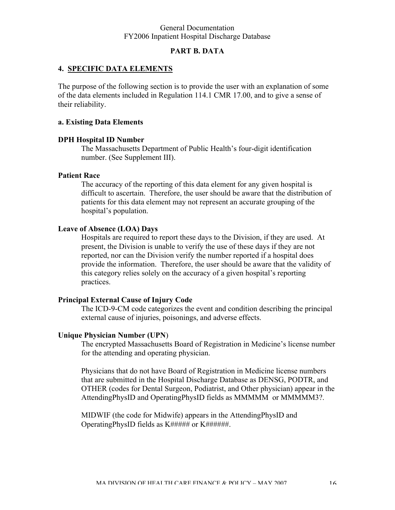#### **PART B. DATA**

#### **4. SPECIFIC DATA ELEMENTS**

The purpose of the following section is to provide the user with an explanation of some of the data elements included in Regulation 114.1 CMR 17.00, and to give a sense of their reliability.

#### **a. Existing Data Elements**

#### **DPH Hospital ID Number**

The Massachusetts Department of Public Health's four-digit identification number. (See Supplement III).

#### **Patient Race**

The accuracy of the reporting of this data element for any given hospital is difficult to ascertain. Therefore, the user should be aware that the distribution of patients for this data element may not represent an accurate grouping of the hospital's population.

#### **Leave of Absence (LOA) Days**

Hospitals are required to report these days to the Division, if they are used. At present, the Division is unable to verify the use of these days if they are not reported, nor can the Division verify the number reported if a hospital does provide the information. Therefore, the user should be aware that the validity of this category relies solely on the accuracy of a given hospital's reporting practices.

#### **Principal External Cause of Injury Code**

The ICD-9-CM code categorizes the event and condition describing the principal external cause of injuries, poisonings, and adverse effects.

#### **Unique Physician Number (UPN**)

The encrypted Massachusetts Board of Registration in Medicine's license number for the attending and operating physician.

Physicians that do not have Board of Registration in Medicine license numbers that are submitted in the Hospital Discharge Database as DENSG, PODTR, and OTHER (codes for Dental Surgeon, Podiatrist, and Other physician) appear in the AttendingPhysID and OperatingPhysID fields as MMMMM or MMMMM3?.

MIDWIF (the code for Midwife) appears in the AttendingPhysID and OperatingPhysID fields as K###### or K#######.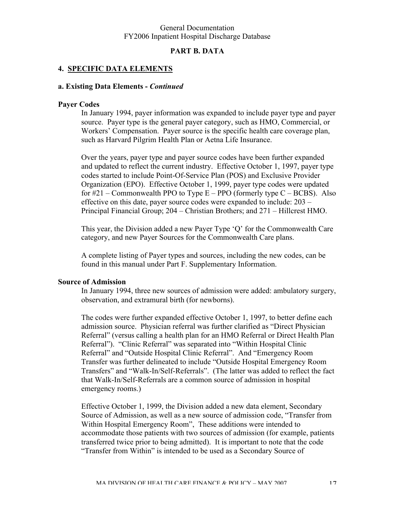#### **PART B. DATA**

#### **4. SPECIFIC DATA ELEMENTS**

#### **a. Existing Data Elements -** *Continued*

#### **Payer Codes**

In January 1994, payer information was expanded to include payer type and payer source. Payer type is the general payer category, such as HMO, Commercial, or Workers' Compensation. Payer source is the specific health care coverage plan, such as Harvard Pilgrim Health Plan or Aetna Life Insurance.

Over the years, payer type and payer source codes have been further expanded and updated to reflect the current industry. Effective October 1, 1997, payer type codes started to include Point-Of-Service Plan (POS) and Exclusive Provider Organization (EPO). Effective October 1, 1999, payer type codes were updated for  $\#21$  – Commonwealth PPO to Type E – PPO (formerly type C – BCBS). Also effective on this date, payer source codes were expanded to include: 203 – Principal Financial Group; 204 – Christian Brothers; and 271 – Hillcrest HMO.

This year, the Division added a new Payer Type 'Q' for the Commonwealth Care category, and new Payer Sources for the Commonwealth Care plans.

A complete listing of Payer types and sources, including the new codes, can be found in this manual under Part F. Supplementary Information.

#### **Source of Admission**

In January 1994, three new sources of admission were added: ambulatory surgery, observation, and extramural birth (for newborns).

The codes were further expanded effective October 1, 1997, to better define each admission source. Physician referral was further clarified as "Direct Physician Referral" (versus calling a health plan for an HMO Referral or Direct Health Plan Referral"). "Clinic Referral" was separated into "Within Hospital Clinic Referral" and "Outside Hospital Clinic Referral". And "Emergency Room Transfer was further delineated to include "Outside Hospital Emergency Room Transfers" and "Walk-In/Self-Referrals". (The latter was added to reflect the fact that Walk-In/Self-Referrals are a common source of admission in hospital emergency rooms.)

Effective October 1, 1999, the Division added a new data element, Secondary Source of Admission, as well as a new source of admission code, "Transfer from Within Hospital Emergency Room", These additions were intended to accommodate those patients with two sources of admission (for example, patients transferred twice prior to being admitted). It is important to note that the code "Transfer from Within" is intended to be used as a Secondary Source of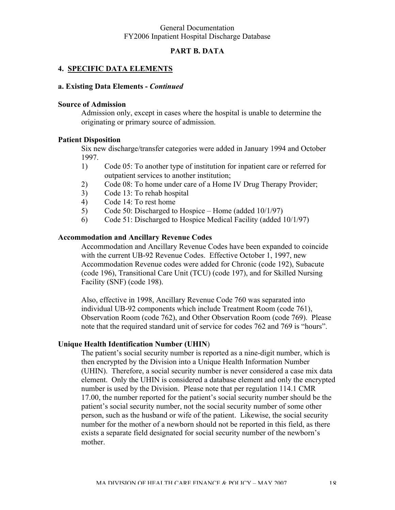#### **PART B. DATA**

#### **4. SPECIFIC DATA ELEMENTS**

#### **a. Existing Data Elements -** *Continued*

#### **Source of Admission**

Admission only, except in cases where the hospital is unable to determine the originating or primary source of admission.

#### **Patient Disposition**

Six new discharge/transfer categories were added in January 1994 and October 1997.

- 1) Code 05: To another type of institution for inpatient care or referred for outpatient services to another institution;
- 2) Code 08: To home under care of a Home IV Drug Therapy Provider;
- 3) Code 13: To rehab hospital
- 4) Code 14: To rest home
- 5) Code 50: Discharged to Hospice Home (added 10/1/97)
- 6) Code 51: Discharged to Hospice Medical Facility (added 10/1/97)

#### **Accommodation and Ancillary Revenue Codes**

Accommodation and Ancillary Revenue Codes have been expanded to coincide with the current UB-92 Revenue Codes. Effective October 1, 1997, new Accommodation Revenue codes were added for Chronic (code 192), Subacute (code 196), Transitional Care Unit (TCU) (code 197), and for Skilled Nursing Facility (SNF) (code 198).

Also, effective in 1998, Ancillary Revenue Code 760 was separated into individual UB-92 components which include Treatment Room (code 761), Observation Room (code 762), and Other Observation Room (code 769). Please note that the required standard unit of service for codes 762 and 769 is "hours".

#### **Unique Health Identification Number (UHIN**)

The patient's social security number is reported as a nine-digit number, which is then encrypted by the Division into a Unique Health Information Number (UHIN). Therefore, a social security number is never considered a case mix data element. Only the UHIN is considered a database element and only the encrypted number is used by the Division. Please note that per regulation 114.1 CMR 17.00, the number reported for the patient's social security number should be the patient's social security number, not the social security number of some other person, such as the husband or wife of the patient. Likewise, the social security number for the mother of a newborn should not be reported in this field, as there exists a separate field designated for social security number of the newborn's mother.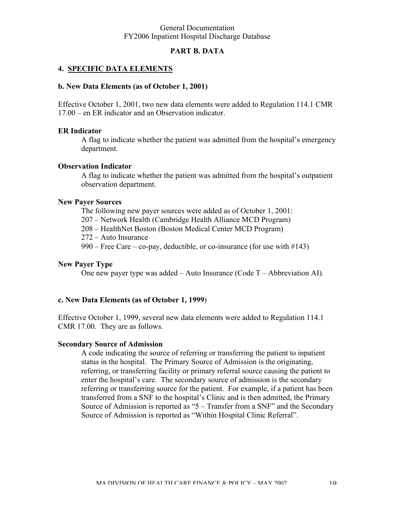#### **PART B. DATA**

#### **4. SPECIFIC DATA ELEMENTS**

#### **b. New Data Elements (as of October 1, 2001)**

Effective October 1, 2001, two new data elements were added to Regulation 114.1 CMR 17.00 – en ER indicator and an Observation indicator.

#### **ER Indicator**

A flag to indicate whether the patient was admitted from the hospital's emergency department.

#### **Observation Indicator**

A flag to indicate whether the patient was admitted from the hospital's outpatient observation department.

#### **New Payer Sources**

The following new payer sources were added as of October 1, 2001:

207 – Network Health (Cambridge Health Alliance MCD Program)

208 – HealthNet Boston (Boston Medical Center MCD Program)

272 – Auto Insurance

990 – Free Care – co-pay, deductible, or co-insurance (for use with  $\#143$ )

#### **New Payer Type**

One new payer type was added – Auto Insurance (Code T – Abbreviation AI).

#### **c. New Data Elements (as of October 1, 1999**)

Effective October 1, 1999, several new data elements were added to Regulation 114.1 CMR 17.00. They are as follows.

#### **Secondary Source of Admission**

A code indicating the source of referring or transferring the patient to inpatient status in the hospital. The Primary Source of Admission is the originating, referring, or transferring facility or primary referral source causing the patient to enter the hospital's care. The secondary source of admission is the secondary referring or transferring source for the patient. For example, if a patient has been transferred from a SNF to the hospital's Clinic and is then admitted, the Primary Source of Admission is reported as "5 – Transfer from a SNF" and the Secondary Source of Admission is reported as "Within Hospital Clinic Referral".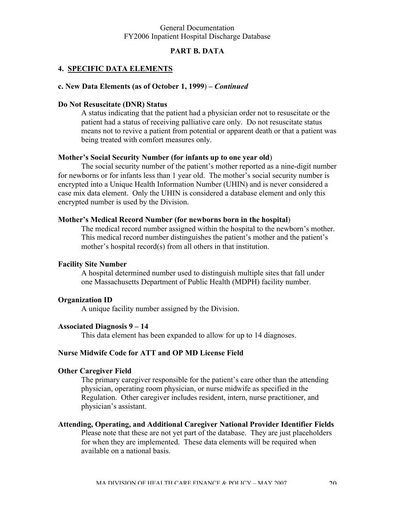#### **PART B. DATA**

#### **4. SPECIFIC DATA ELEMENTS**

#### **c. New Data Elements (as of October 1, 1999**) *– Continued*

#### **Do Not Resuscitate (DNR) Status**

A status indicating that the patient had a physician order not to resuscitate or the patient had a status of receiving palliative care only. Do not resuscitate status means not to revive a patient from potential or apparent death or that a patient was being treated with comfort measures only.

#### **Mother's Social Security Number (for infants up to one year old**)

The social security number of the patient's mother reported as a nine-digit number for newborns or for infants less than 1 year old. The mother's social security number is encrypted into a Unique Health Information Number (UHIN) and is never considered a case mix data element. Only the UHIN is considered a database element and only this encrypted number is used by the Division.

#### **Mother's Medical Record Number (for newborns born in the hospital**)

The medical record number assigned within the hospital to the newborn's mother. This medical record number distinguishes the patient's mother and the patient's mother's hospital record(s) from all others in that institution.

#### **Facility Site Number**

A hospital determined number used to distinguish multiple sites that fall under one Massachusetts Department of Public Health (MDPH) facility number.

#### **Organization ID**

A unique facility number assigned by the Division.

#### **Associated Diagnosis 9 – 14**

This data element has been expanded to allow for up to 14 diagnoses.

#### **Nurse Midwife Code for ATT and OP MD License Field**

#### **Other Caregiver Field**

The primary caregiver responsible for the patient's care other than the attending physician, operating room physician, or nurse midwife as specified in the Regulation. Other caregiver includes resident, intern, nurse practitioner, and physician's assistant.

## **Attending, Operating, and Additional Caregiver National Provider Identifier Fields**

Please note that these are not yet part of the database. They are just placeholders for when they are implemented. These data elements will be required when available on a national basis.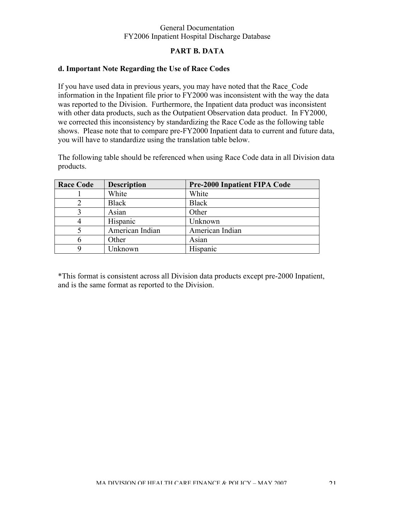#### **PART B. DATA**

#### **d. Important Note Regarding the Use of Race Codes**

If you have used data in previous years, you may have noted that the Race\_Code information in the Inpatient file prior to FY2000 was inconsistent with the way the data was reported to the Division. Furthermore, the Inpatient data product was inconsistent with other data products, such as the Outpatient Observation data product. In FY2000, we corrected this inconsistency by standardizing the Race Code as the following table shows. Please note that to compare pre-FY2000 Inpatient data to current and future data, you will have to standardize using the translation table below.

The following table should be referenced when using Race Code data in all Division data products.

| <b>Race Code</b> | <b>Description</b> | <b>Pre-2000 Inpatient FIPA Code</b> |
|------------------|--------------------|-------------------------------------|
|                  | White              | White                               |
|                  | <b>Black</b>       | <b>Black</b>                        |
|                  | Asian              | Other                               |
|                  | Hispanic           | Unknown                             |
|                  | American Indian    | American Indian                     |
|                  | Other              | Asian                               |
|                  | Unknown            | Hispanic                            |

\*This format is consistent across all Division data products except pre-2000 Inpatient, and is the same format as reported to the Division.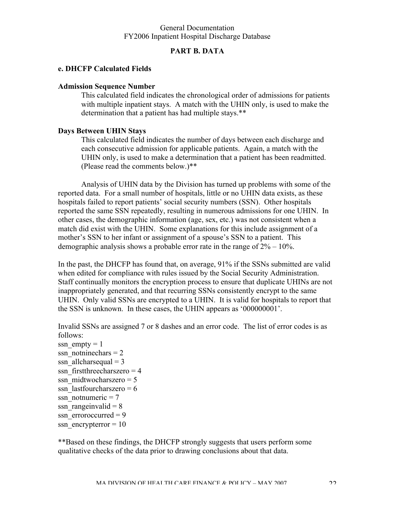#### **PART B. DATA**

#### **e. DHCFP Calculated Fields**

#### **Admission Sequence Number**

This calculated field indicates the chronological order of admissions for patients with multiple inpatient stays. A match with the UHIN only, is used to make the determination that a patient has had multiple stays.\*\*

#### **Days Between UHIN Stays**

This calculated field indicates the number of days between each discharge and each consecutive admission for applicable patients. Again, a match with the UHIN only, is used to make a determination that a patient has been readmitted. (Please read the comments below.)\*\*

Analysis of UHIN data by the Division has turned up problems with some of the reported data. For a small number of hospitals, little or no UHIN data exists, as these hospitals failed to report patients' social security numbers (SSN). Other hospitals reported the same SSN repeatedly, resulting in numerous admissions for one UHIN. In other cases, the demographic information (age, sex, etc.) was not consistent when a match did exist with the UHIN. Some explanations for this include assignment of a mother's SSN to her infant or assignment of a spouse's SSN to a patient. This demographic analysis shows a probable error rate in the range of 2% – 10%.

In the past, the DHCFP has found that, on average, 91% if the SSNs submitted are valid when edited for compliance with rules issued by the Social Security Administration. Staff continually monitors the encryption process to ensure that duplicate UHINs are not inappropriately generated, and that recurring SSNs consistently encrypt to the same UHIN. Only valid SSNs are encrypted to a UHIN. It is valid for hospitals to report that the SSN is unknown. In these cases, the UHIN appears as '000000001'.

Invalid SSNs are assigned 7 or 8 dashes and an error code. The list of error codes is as follows:

ssn  $empty = 1$ ssn\_notninechars =  $2$ ssn allcharsequal  $= 3$ ssn  $first three charges = 4$ ssn\_midtwocharszero =  $5$ ssn\_lastfourcharszero =  $6$ ssn\_notnumeric =  $7$ ssn rangeinvalid  $= 8$ ssn  $\text{error}$  erroroccurred = 9 ssn\_encrypterror =  $10$ 

\*\*Based on these findings, the DHCFP strongly suggests that users perform some qualitative checks of the data prior to drawing conclusions about that data.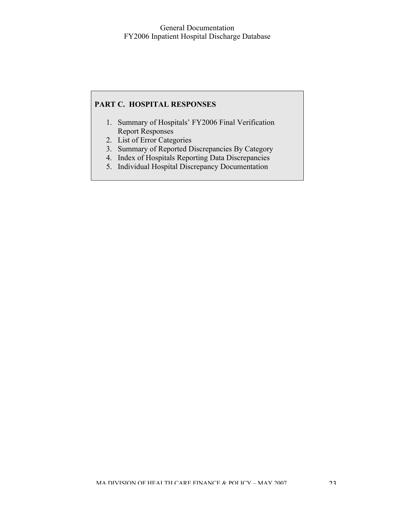#### **PART C. HOSPITAL RESPONSES**

- 1. Summary of Hospitals' FY2006 Final Verification Report Responses
- 2. List of Error Categories
- 3. Summary of Reported Discrepancies By Category
- 4. Index of Hospitals Reporting Data Discrepancies
- 5. Individual Hospital Discrepancy Documentation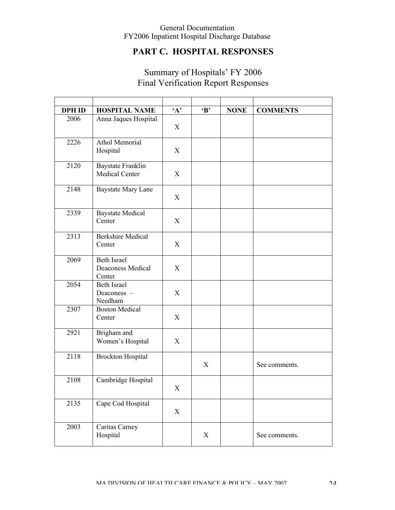## **PART C. HOSPITAL RESPONSES**

## Summary of Hospitals' FY 2006 Final Verification Report Responses

| <b>DPH ID</b> | <b>HOSPITAL NAME</b>                              | $\mathbf{A}$ | $\bf{B}$ | <b>NONE</b> | <b>COMMENTS</b> |
|---------------|---------------------------------------------------|--------------|----------|-------------|-----------------|
| 2006          | Anna Jaques Hospital                              | X            |          |             |                 |
| 2226          | Athol Memorial<br>Hospital                        | X            |          |             |                 |
| 2120          | Baystate Franklin<br>Medical Center               | X            |          |             |                 |
| 2148          | Baystate Mary Lane                                | X            |          |             |                 |
| 2339          | <b>Baystate Medical</b><br>Center                 | X            |          |             |                 |
| 2313          | <b>Berkshire Medical</b><br>Center                | X            |          |             |                 |
| 2069          | <b>Beth Israel</b><br>Deaconess Medical<br>Center | X            |          |             |                 |
| 2054          | <b>Beth Israel</b><br>Deaconess -<br>Needham      | X            |          |             |                 |
| 2307          | <b>Boston Medical</b><br>Center                   | X            |          |             |                 |
| 2921          | Brigham and<br>Women's Hospital                   | X            |          |             |                 |
| 2118          | <b>Brockton Hospital</b>                          |              | X        |             | See comments.   |
| 2108          | Cambridge Hospital                                | X            |          |             |                 |
| 2135          | Cape Cod Hospital                                 | $\mathbf X$  |          |             |                 |
| 2003          | Caritas Carney<br>Hospital                        |              | X        |             | See comments.   |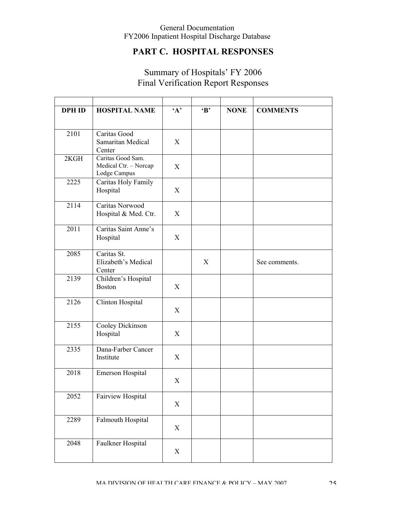## **PART C. HOSPITAL RESPONSES**

## Summary of Hospitals' FY 2006 Final Verification Report Responses

| <b>DPH ID</b> | <b>HOSPITAL NAME</b>                                       | $\mathbf{A}$ | $\bf{B}$ | <b>NONE</b> | <b>COMMENTS</b> |
|---------------|------------------------------------------------------------|--------------|----------|-------------|-----------------|
|               |                                                            |              |          |             |                 |
| 2101          | Caritas Good<br>Samaritan Medical<br>Center                | X            |          |             |                 |
| 2KGH          | Caritas Good Sam.<br>Medical Ctr. - Norcap<br>Lodge Campus | X            |          |             |                 |
| 2225          | Caritas Holy Family<br>Hospital                            | X            |          |             |                 |
| 2114          | Caritas Norwood<br>Hospital & Med. Ctr.                    | X            |          |             |                 |
| 2011          | Caritas Saint Anne's<br>Hospital                           | X            |          |             |                 |
| 2085          | Caritas St.<br>Elizabeth's Medical<br>Center               |              | X        |             | See comments.   |
| 2139          | Children's Hospital<br><b>Boston</b>                       | X            |          |             |                 |
| 2126          | Clinton Hospital                                           | X            |          |             |                 |
| 2155          | Cooley Dickinson<br>Hospital                               | X            |          |             |                 |
| 2335          | Dana-Farber Cancer<br>Institute                            | X            |          |             |                 |
| 2018          | Emerson Hospital                                           | X            |          |             |                 |
| 2052          | Fairview Hospital                                          | X            |          |             |                 |
| 2289          | Falmouth Hospital                                          | X            |          |             |                 |
| 2048          | Faulkner Hospital                                          | X            |          |             |                 |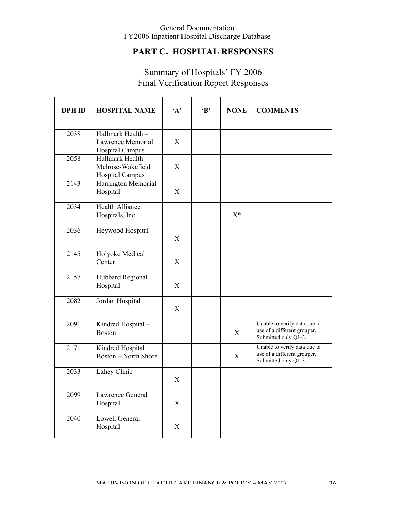## **PART C. HOSPITAL RESPONSES**

## Summary of Hospitals' FY 2006 Final Verification Report Responses

| <b>DPH ID</b> | <b>HOSPITAL NAME</b>                                             | $4^{\circ}$ | $\bf{B}$ | <b>NONE</b> | <b>COMMENTS</b>                                                                     |
|---------------|------------------------------------------------------------------|-------------|----------|-------------|-------------------------------------------------------------------------------------|
|               |                                                                  |             |          |             |                                                                                     |
| 2038          | Hallmark Health -<br>Lawrence Memorial<br><b>Hospital Campus</b> | X           |          |             |                                                                                     |
| 2058          | Hallmark Health -<br>Melrose-Wakefield<br><b>Hospital Campus</b> | X           |          |             |                                                                                     |
| 2143          | Harrington Memorial<br>Hospital                                  | X           |          |             |                                                                                     |
| 2034          | <b>Health Alliance</b><br>Hospitals, Inc.                        |             |          | $X^*$       |                                                                                     |
| 2036          | Heywood Hospital                                                 | X           |          |             |                                                                                     |
| 2145          | Holyoke Medical<br>Center                                        | X           |          |             |                                                                                     |
| 2157          | Hubbard Regional<br>Hospital                                     | X           |          |             |                                                                                     |
| 2082          | Jordan Hospital                                                  | X           |          |             |                                                                                     |
| 2091          | Kindred Hospital-<br><b>Boston</b>                               |             |          | X           | Unable to verify data due to<br>use of a different grouper.<br>Submitted only Q1-3. |
| 2171          | Kindred Hospital<br><b>Boston</b> – North Shore                  |             |          | X           | Unable to verify data due to<br>use of a different grouper.<br>Submitted only Q1-3. |
| 2033          | Lahey Clinic                                                     | X           |          |             |                                                                                     |
| 2099          | Lawrence General<br>Hospital                                     | X           |          |             |                                                                                     |
| 2040          | Lowell General<br>Hospital                                       | X           |          |             |                                                                                     |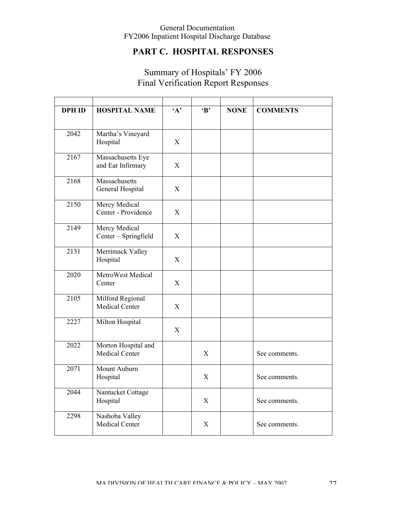## **PART C. HOSPITAL RESPONSES**

## Summary of Hospitals' FY 2006 Final Verification Report Responses

| <b>DPH ID</b> | <b>HOSPITAL NAME</b>                   | $\mathbf{A}$              | $\bf{B}$     | <b>NONE</b> | <b>COMMENTS</b> |
|---------------|----------------------------------------|---------------------------|--------------|-------------|-----------------|
| 2042          | Martha's Vineyard<br>Hospital          | X                         |              |             |                 |
| 2167          | Massachusetts Eye<br>and Ear Infirmary | $\mathbf X$               |              |             |                 |
| 2168          | Massachusetts<br>General Hospital      | X                         |              |             |                 |
| 2150          | Mercy Medical<br>Center - Providence   | X                         |              |             |                 |
| 2149          | Mercy Medical<br>Center - Springfield  | X                         |              |             |                 |
| 2131          | Merrimack Valley<br>Hospital           | X                         |              |             |                 |
| 2020          | MetroWest Medical<br>Center            | $\boldsymbol{\mathrm{X}}$ |              |             |                 |
| 2105          | Milford Regional<br>Medical Center     | X                         |              |             |                 |
| 2227          | Milton Hospital                        | $\mathbf{X}$              |              |             |                 |
| 2022          | Morton Hospital and<br>Medical Center  |                           | X            |             | See comments.   |
| 2071          | Mount Auburn<br>Hospital               |                           | $\mathbf{X}$ |             | See comments.   |
| 2044          | Nantucket Cottage<br>Hospital          |                           | X            |             | See comments.   |
| 2298          | Nashoba Valley<br>Medical Center       |                           | X            |             | See comments.   |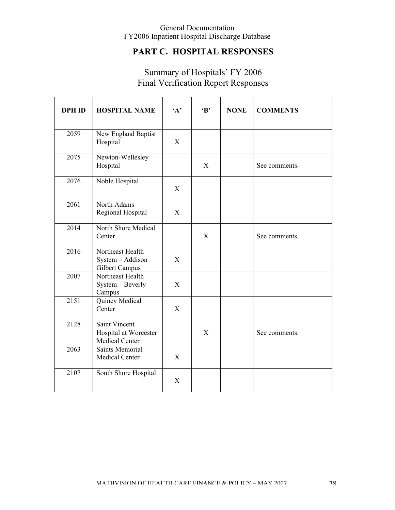## **PART C. HOSPITAL RESPONSES**

## Summary of Hospitals' FY 2006 Final Verification Report Responses

| <b>DPH ID</b> | <b>HOSPITAL NAME</b>                                     | A | $\bf{B}$     | <b>NONE</b> | <b>COMMENTS</b> |
|---------------|----------------------------------------------------------|---|--------------|-------------|-----------------|
| 2059          | New England Baptist<br>Hospital                          | X |              |             |                 |
| 2075          | Newton-Wellesley<br>Hospital                             |   | $\mathbf{X}$ |             | See comments.   |
| 2076          | Noble Hospital                                           | X |              |             |                 |
| 2061          | North Adams<br>Regional Hospital                         | X |              |             |                 |
| 2014          | North Shore Medical<br>Center                            |   | X            |             | See comments.   |
| 2016          | Northeast Health<br>System - Addison<br>Gilbert Campus   | X |              |             |                 |
| 2007          | Northeast Health<br>System - Beverly<br>Campus           | X |              |             |                 |
| 2151          | Quincy Medical<br>Center                                 | X |              |             |                 |
| 2128          | Saint Vincent<br>Hospital at Worcester<br>Medical Center |   | X            |             | See comments.   |
| 2063          | <b>Saints Memorial</b><br>Medical Center                 | X |              |             |                 |
| 2107          | South Shore Hospital                                     | X |              |             |                 |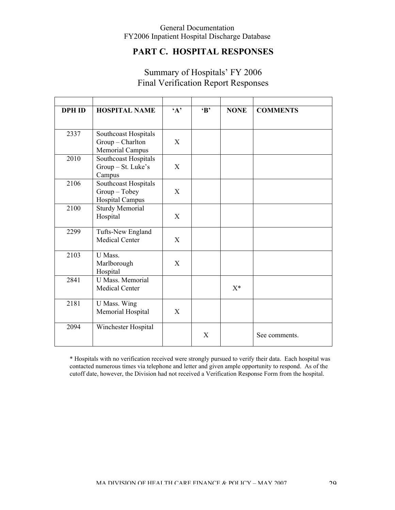## **PART C. HOSPITAL RESPONSES**

## Summary of Hospitals' FY 2006 Final Verification Report Responses

| <b>DPH ID</b> | <b>HOSPITAL NAME</b>                           | $4^{\circ}$ | $\mathbf{B}$ | <b>NONE</b> | <b>COMMENTS</b> |
|---------------|------------------------------------------------|-------------|--------------|-------------|-----------------|
|               |                                                |             |              |             |                 |
| 2337          | Southcoast Hospitals                           |             |              |             |                 |
|               | Group - Charlton                               | X           |              |             |                 |
| 2010          | <b>Memorial Campus</b><br>Southcoast Hospitals |             |              |             |                 |
|               | Group - St. Luke's                             | X           |              |             |                 |
|               | Campus                                         |             |              |             |                 |
| 2106          | Southcoast Hospitals                           |             |              |             |                 |
|               | $Group - Tobey$                                | X           |              |             |                 |
|               | <b>Hospital Campus</b>                         |             |              |             |                 |
| 2100          | <b>Sturdy Memorial</b>                         |             |              |             |                 |
|               | Hospital                                       | X           |              |             |                 |
| 2299          | Tufts-New England                              |             |              |             |                 |
|               | <b>Medical Center</b>                          | X           |              |             |                 |
| 2103          | U Mass.                                        |             |              |             |                 |
|               | Marlborough                                    | X           |              |             |                 |
|               | Hospital                                       |             |              |             |                 |
| 2841          | <b>U</b> Mass. Memorial                        |             |              |             |                 |
|               | Medical Center                                 |             |              | $X^*$       |                 |
| 2181          | U Mass. Wing                                   |             |              |             |                 |
|               | Memorial Hospital                              | X           |              |             |                 |
| 2094          | Winchester Hospital                            |             |              |             |                 |
|               |                                                |             | X            |             | See comments.   |

\* Hospitals with no verification received were strongly pursued to verify their data. Each hospital was contacted numerous times via telephone and letter and given ample opportunity to respond. As of the cutoff date, however, the Division had not received a Verification Response Form from the hospital.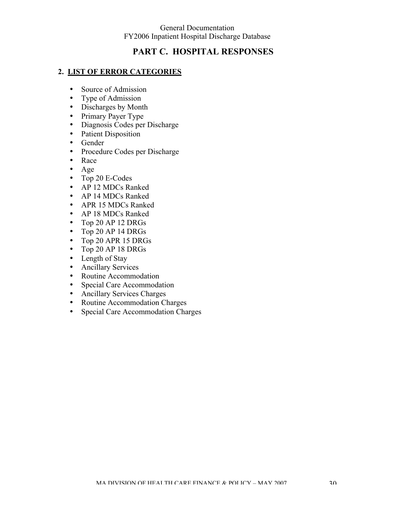## **PART C. HOSPITAL RESPONSES**

#### **2. LIST OF ERROR CATEGORIES**

- Source of Admission
- Type of Admission
- Discharges by Month
- Primary Payer Type
- Diagnosis Codes per Discharge
- Patient Disposition
- Gender
- Procedure Codes per Discharge
- Race
- Age
- Top 20 E-Codes
- AP 12 MDCs Ranked
- AP 14 MDCs Ranked
- APR 15 MDCs Ranked
- AP 18 MDCs Ranked
- Top 20 AP 12 DRGs
- Top 20 AP 14 DRGs
- Top 20 APR 15 DRGs
- Top 20 AP 18 DRGs
- Length of Stay
- Ancillary Services
- Routine Accommodation
- Special Care Accommodation
- Ancillary Services Charges
- Routine Accommodation Charges
- Special Care Accommodation Charges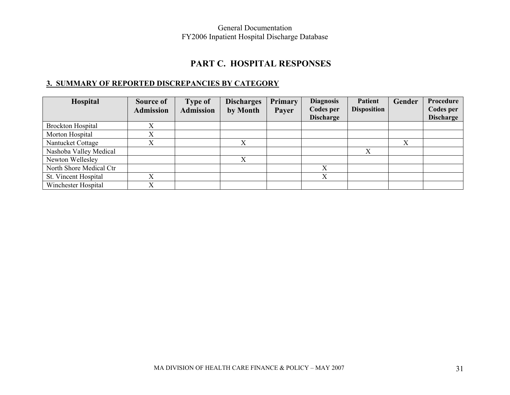## **PART C. HOSPITAL RESPONSES**

## **3. SUMMARY OF REPORTED DISCREPANCIES BY CATEGORY**

| Hospital                 | <b>Source of</b><br><b>Admission</b> | <b>Type of</b><br><b>Admission</b> | <b>Discharges</b><br>by Month | Primary<br>Payer | <b>Diagnosis</b><br>Codes per<br><b>Discharge</b> | <b>Patient</b><br><b>Disposition</b> | Gender | Procedure<br><b>Codes per</b><br><b>Discharge</b> |
|--------------------------|--------------------------------------|------------------------------------|-------------------------------|------------------|---------------------------------------------------|--------------------------------------|--------|---------------------------------------------------|
| <b>Brockton Hospital</b> |                                      |                                    |                               |                  |                                                   |                                      |        |                                                   |
| Morton Hospital          |                                      |                                    |                               |                  |                                                   |                                      |        |                                                   |
| Nantucket Cottage        |                                      |                                    |                               |                  |                                                   |                                      | Х      |                                                   |
| Nashoba Valley Medical   |                                      |                                    |                               |                  |                                                   | X                                    |        |                                                   |
| Newton Wellesley         |                                      |                                    | X                             |                  |                                                   |                                      |        |                                                   |
| North Shore Medical Ctr  |                                      |                                    |                               |                  | X                                                 |                                      |        |                                                   |
| St. Vincent Hospital     |                                      |                                    |                               |                  | X                                                 |                                      |        |                                                   |
| Winchester Hospital      | $\mathbf{v}$                         |                                    |                               |                  |                                                   |                                      |        |                                                   |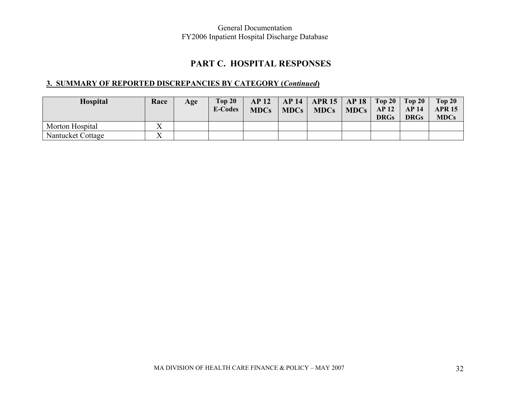## **PART C. HOSPITAL RESPONSES**

## **3. SUMMARY OF REPORTED DISCREPANCIES BY CATEGORY (***Continued***)**

| <b>Hospital</b>   | Race         | Age | Top 20<br><b>E-Codes</b> | <b>AP 12</b><br><b>MDCs</b> | AP 14   APR 15   AP 18   Top 20   Top 20  <br>$MDCs$ MDCs MDCs $AB12$ AP 14 | <b>DRGs</b> | <b>DRGs</b> | Top 20<br><b>APR 15</b><br><b>MDCs</b> |
|-------------------|--------------|-----|--------------------------|-----------------------------|-----------------------------------------------------------------------------|-------------|-------------|----------------------------------------|
| Morton Hospital   | $\mathbf{v}$ |     |                          |                             |                                                                             |             |             |                                        |
| Nantucket Cottage | $\mathbf{x}$ |     |                          |                             |                                                                             |             |             |                                        |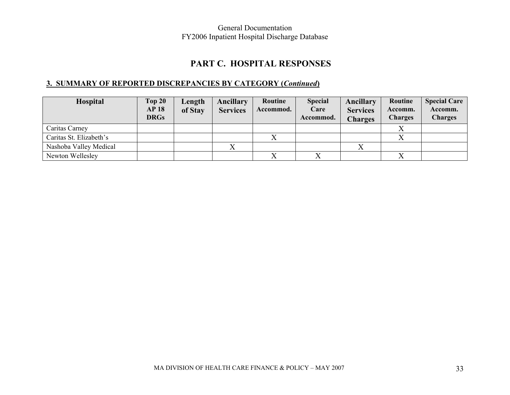## **PART C. HOSPITAL RESPONSES**

## **3. SUMMARY OF REPORTED DISCREPANCIES BY CATEGORY (***Continued***)**

| Hospital                | Top 20<br><b>AP18</b><br><b>DRGs</b> | Length<br>of Stay | Ancillary<br><b>Services</b> | Routine<br>Accommod. | <b>Special</b><br>Care<br>Accommod. | Ancillary<br><b>Services</b><br><b>Charges</b> | Routine<br>Accomm.<br><b>Charges</b> | <b>Special Care</b><br>Accomm.<br><b>Charges</b> |
|-------------------------|--------------------------------------|-------------------|------------------------------|----------------------|-------------------------------------|------------------------------------------------|--------------------------------------|--------------------------------------------------|
| Caritas Carney          |                                      |                   |                              |                      |                                     |                                                |                                      |                                                  |
| Caritas St. Elizabeth's |                                      |                   |                              |                      |                                     |                                                |                                      |                                                  |
| Nashoba Valley Medical  |                                      |                   |                              |                      |                                     |                                                |                                      |                                                  |
| Newton Wellesley        |                                      |                   |                              |                      |                                     |                                                |                                      |                                                  |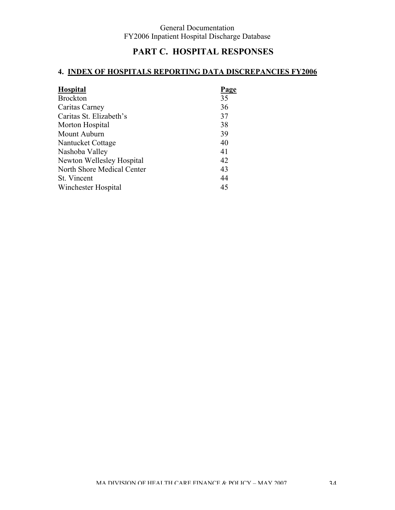# **PART C. HOSPITAL RESPONSES**

# **4. INDEX OF HOSPITALS REPORTING DATA DISCREPANCIES FY2006**

| <b>Hospital</b>            | Page |
|----------------------------|------|
| <b>Brockton</b>            | 35   |
| Caritas Carney             | 36   |
| Caritas St. Elizabeth's    | 37   |
| Morton Hospital            | 38   |
| Mount Auburn               | 39   |
| Nantucket Cottage          | 40   |
| Nashoba Valley             | 41   |
| Newton Wellesley Hospital  | 42   |
| North Shore Medical Center | 43   |
| St. Vincent                | 44   |
| Winchester Hospital        | 45   |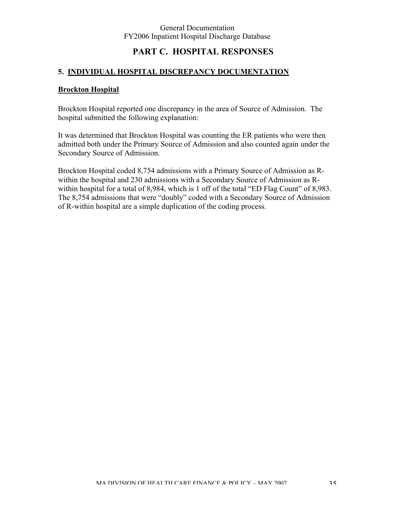# **PART C. HOSPITAL RESPONSES**

## **5. INDIVIDUAL HOSPITAL DISCREPANCY DOCUMENTATION**

### **Brockton Hospital**

Brockton Hospital reported one discrepancy in the area of Source of Admission. The hospital submitted the following explanation:

It was determined that Brockton Hospital was counting the ER patients who were then admitted both under the Primary Source of Admission and also counted again under the Secondary Source of Admission.

Brockton Hospital coded 8,754 admissions with a Primary Source of Admission as Rwithin the hospital and 230 admissions with a Secondary Source of Admission as Rwithin hospital for a total of 8,984, which is 1 off of the total "ED Flag Count" of 8,983. The 8,754 admissions that were "doubly" coded with a Secondary Source of Admission of R-within hospital are a simple duplication of the coding process.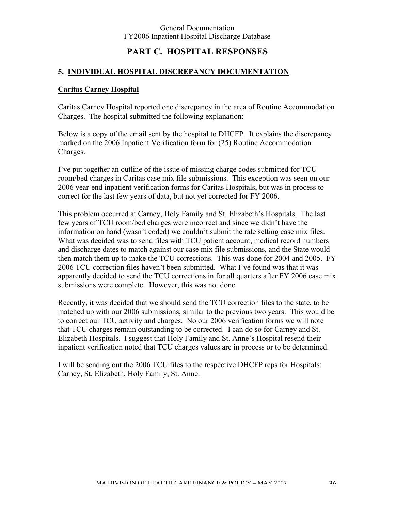# **PART C. HOSPITAL RESPONSES**

### **5. INDIVIDUAL HOSPITAL DISCREPANCY DOCUMENTATION**

### **Caritas Carney Hospital**

Caritas Carney Hospital reported one discrepancy in the area of Routine Accommodation Charges. The hospital submitted the following explanation:

Below is a copy of the email sent by the hospital to DHCFP. It explains the discrepancy marked on the 2006 Inpatient Verification form for (25) Routine Accommodation Charges.

I've put together an outline of the issue of missing charge codes submitted for TCU room/bed charges in Caritas case mix file submissions. This exception was seen on our 2006 year-end inpatient verification forms for Caritas Hospitals, but was in process to correct for the last few years of data, but not yet corrected for FY 2006.

This problem occurred at Carney, Holy Family and St. Elizabeth's Hospitals. The last few years of TCU room/bed charges were incorrect and since we didn't have the information on hand (wasn't coded) we couldn't submit the rate setting case mix files. What was decided was to send files with TCU patient account, medical record numbers and discharge dates to match against our case mix file submissions, and the State would then match them up to make the TCU corrections. This was done for 2004 and 2005. FY 2006 TCU correction files haven't been submitted. What I've found was that it was apparently decided to send the TCU corrections in for all quarters after FY 2006 case mix submissions were complete. However, this was not done.

Recently, it was decided that we should send the TCU correction files to the state, to be matched up with our 2006 submissions, similar to the previous two years. This would be to correct our TCU activity and charges. No our 2006 verification forms we will note that TCU charges remain outstanding to be corrected. I can do so for Carney and St. Elizabeth Hospitals. I suggest that Holy Family and St. Anne's Hospital resend their inpatient verification noted that TCU charges values are in process or to be determined.

I will be sending out the 2006 TCU files to the respective DHCFP reps for Hospitals: Carney, St. Elizabeth, Holy Family, St. Anne.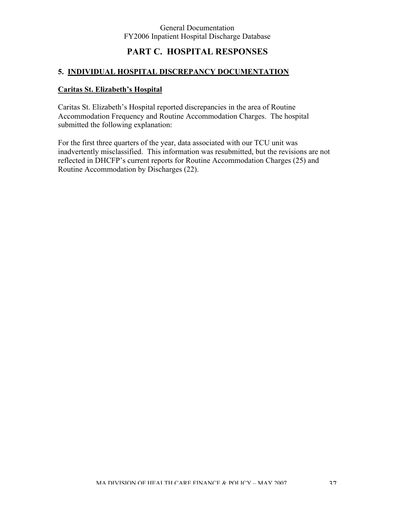# **PART C. HOSPITAL RESPONSES**

### **5. INDIVIDUAL HOSPITAL DISCREPANCY DOCUMENTATION**

## **Caritas St. Elizabeth's Hospital**

Caritas St. Elizabeth's Hospital reported discrepancies in the area of Routine Accommodation Frequency and Routine Accommodation Charges. The hospital submitted the following explanation:

For the first three quarters of the year, data associated with our TCU unit was inadvertently misclassified. This information was resubmitted, but the revisions are not reflected in DHCFP's current reports for Routine Accommodation Charges (25) and Routine Accommodation by Discharges (22).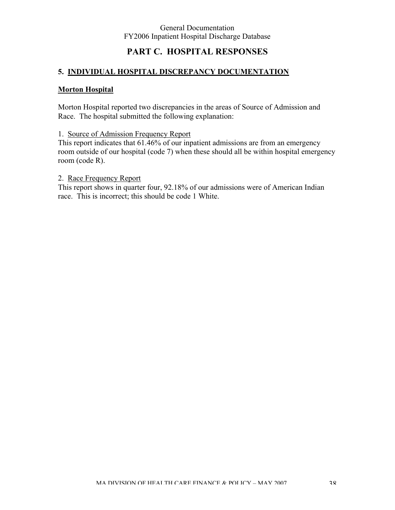# **PART C. HOSPITAL RESPONSES**

## **5. INDIVIDUAL HOSPITAL DISCREPANCY DOCUMENTATION**

### **Morton Hospital**

Morton Hospital reported two discrepancies in the areas of Source of Admission and Race. The hospital submitted the following explanation:

1. Source of Admission Frequency Report

This report indicates that 61.46% of our inpatient admissions are from an emergency room outside of our hospital (code 7) when these should all be within hospital emergency room (code R).

## 2. Race Frequency Report

This report shows in quarter four, 92.18% of our admissions were of American Indian race. This is incorrect; this should be code 1 White.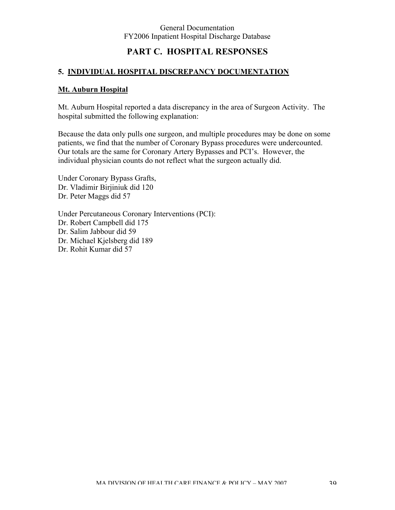# **PART C. HOSPITAL RESPONSES**

## **5. INDIVIDUAL HOSPITAL DISCREPANCY DOCUMENTATION**

## **Mt. Auburn Hospital**

Mt. Auburn Hospital reported a data discrepancy in the area of Surgeon Activity. The hospital submitted the following explanation:

Because the data only pulls one surgeon, and multiple procedures may be done on some patients, we find that the number of Coronary Bypass procedures were undercounted. Our totals are the same for Coronary Artery Bypasses and PCI's. However, the individual physician counts do not reflect what the surgeon actually did.

Under Coronary Bypass Grafts, Dr. Vladimir Birjiniuk did 120 Dr. Peter Maggs did 57

Under Percutaneous Coronary Interventions (PCI): Dr. Robert Campbell did 175 Dr. Salim Jabbour did 59 Dr. Michael Kjelsberg did 189 Dr. Rohit Kumar did 57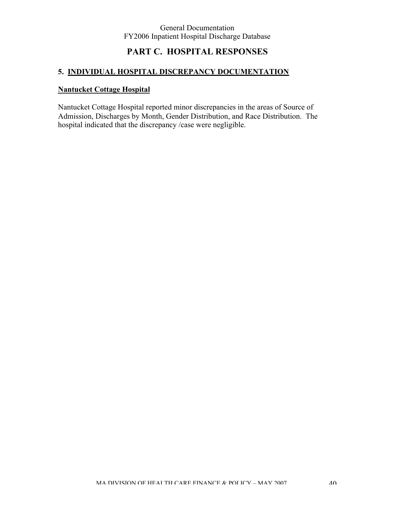# **PART C. HOSPITAL RESPONSES**

# **5. INDIVIDUAL HOSPITAL DISCREPANCY DOCUMENTATION**

## **Nantucket Cottage Hospital**

Nantucket Cottage Hospital reported minor discrepancies in the areas of Source of Admission, Discharges by Month, Gender Distribution, and Race Distribution. The hospital indicated that the discrepancy /case were negligible.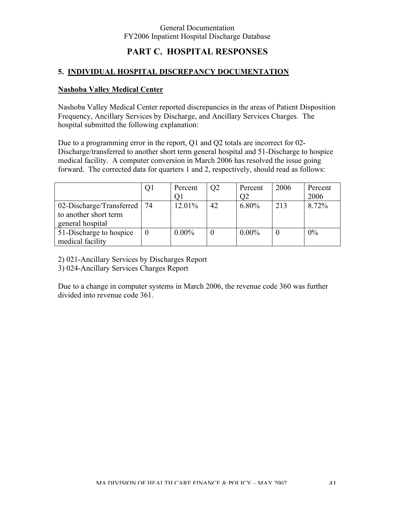# **PART C. HOSPITAL RESPONSES**

### **5. INDIVIDUAL HOSPITAL DISCREPANCY DOCUMENTATION**

### **Nashoba Valley Medical Center**

Nashoba Valley Medical Center reported discrepancies in the areas of Patient Disposition Frequency, Ancillary Services by Discharge, and Ancillary Services Charges. The hospital submitted the following explanation:

Due to a programming error in the report, Q1 and Q2 totals are incorrect for 02- Discharge/transferred to another short term general hospital and 51-Discharge to hospice medical facility. A computer conversion in March 2006 has resolved the issue going forward. The corrected data for quarters 1 and 2, respectively, should read as follows:

|                          | Q1 | Percent  | O <sub>2</sub> | Percent  | 2006 | Percent |
|--------------------------|----|----------|----------------|----------|------|---------|
|                          |    | Οl       |                | O2       |      | 2006    |
| 02-Discharge/Transferred | 74 | 12.01%   | 42             | 6.80%    | 213  | 8.72%   |
| to another short term    |    |          |                |          |      |         |
| general hospital         |    |          |                |          |      |         |
| 51-Discharge to hospice  |    | $0.00\%$ |                | $0.00\%$ |      | 0%      |
| medical facility         |    |          |                |          |      |         |

2) 021-Ancillary Services by Discharges Report

3) 024-Ancillary Services Charges Report

Due to a change in computer systems in March 2006, the revenue code 360 was further divided into revenue code 361.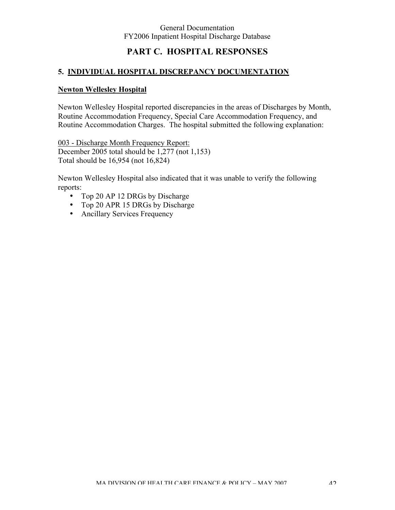# **PART C. HOSPITAL RESPONSES**

### **5. INDIVIDUAL HOSPITAL DISCREPANCY DOCUMENTATION**

#### **Newton Wellesley Hospital**

Newton Wellesley Hospital reported discrepancies in the areas of Discharges by Month, Routine Accommodation Frequency, Special Care Accommodation Frequency, and Routine Accommodation Charges. The hospital submitted the following explanation:

003 - Discharge Month Frequency Report: December 2005 total should be 1,277 (not 1,153) Total should be 16,954 (not 16,824)

Newton Wellesley Hospital also indicated that it was unable to verify the following reports:

- Top 20 AP 12 DRGs by Discharge
- Top 20 APR 15 DRGs by Discharge
- Ancillary Services Frequency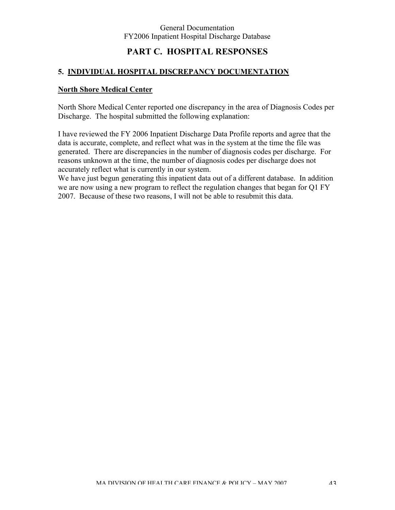# **PART C. HOSPITAL RESPONSES**

### **5. INDIVIDUAL HOSPITAL DISCREPANCY DOCUMENTATION**

### **North Shore Medical Center**

North Shore Medical Center reported one discrepancy in the area of Diagnosis Codes per Discharge. The hospital submitted the following explanation:

I have reviewed the FY 2006 Inpatient Discharge Data Profile reports and agree that the data is accurate, complete, and reflect what was in the system at the time the file was generated. There are discrepancies in the number of diagnosis codes per discharge. For reasons unknown at the time, the number of diagnosis codes per discharge does not accurately reflect what is currently in our system.

We have just begun generating this inpatient data out of a different database. In addition we are now using a new program to reflect the regulation changes that began for Q1 FY 2007. Because of these two reasons, I will not be able to resubmit this data.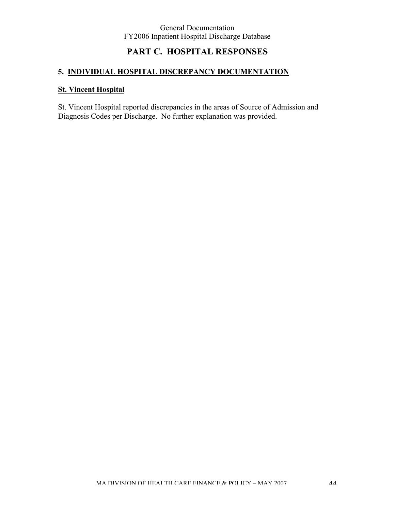# **PART C. HOSPITAL RESPONSES**

# **5. INDIVIDUAL HOSPITAL DISCREPANCY DOCUMENTATION**

## **St. Vincent Hospital**

St. Vincent Hospital reported discrepancies in the areas of Source of Admission and Diagnosis Codes per Discharge. No further explanation was provided.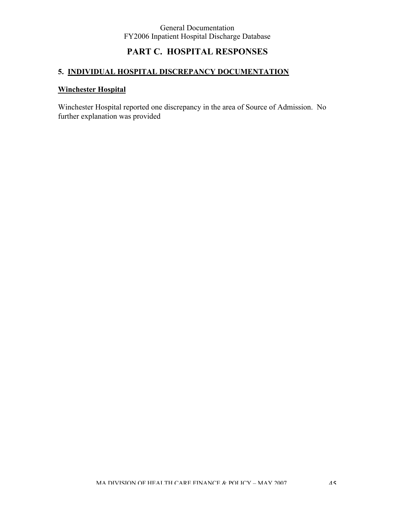# **PART C. HOSPITAL RESPONSES**

# **5. INDIVIDUAL HOSPITAL DISCREPANCY DOCUMENTATION**

## **Winchester Hospital**

Winchester Hospital reported one discrepancy in the area of Source of Admission. No further explanation was provided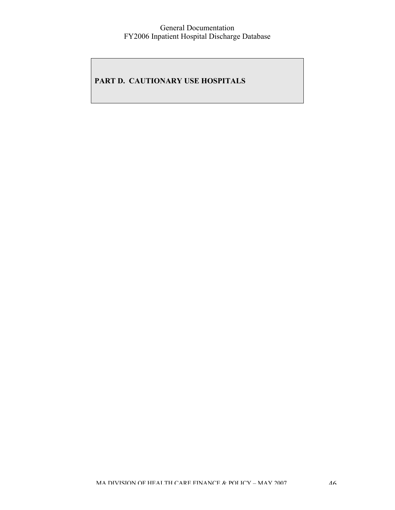# **PART D. CAUTIONARY USE HOSPITALS**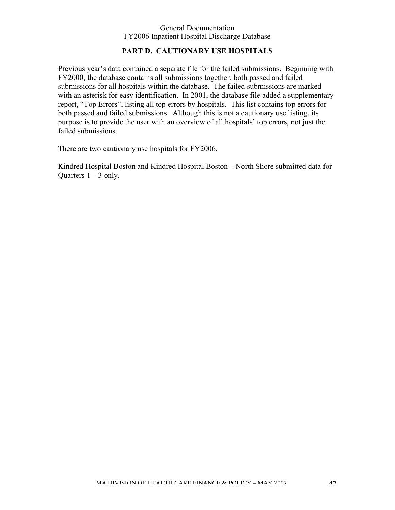# **PART D. CAUTIONARY USE HOSPITALS**

Previous year's data contained a separate file for the failed submissions. Beginning with FY2000, the database contains all submissions together, both passed and failed submissions for all hospitals within the database. The failed submissions are marked with an asterisk for easy identification. In 2001, the database file added a supplementary report, "Top Errors", listing all top errors by hospitals. This list contains top errors for both passed and failed submissions. Although this is not a cautionary use listing, its purpose is to provide the user with an overview of all hospitals' top errors, not just the failed submissions.

There are two cautionary use hospitals for FY2006.

Kindred Hospital Boston and Kindred Hospital Boston – North Shore submitted data for Ouarters  $1 - 3$  only.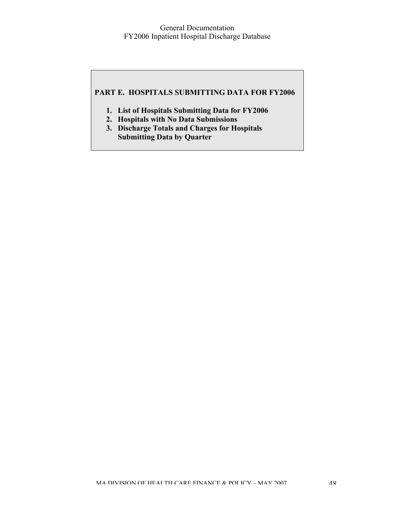## **PART E. HOSPITALS SUBMITTING DATA FOR FY2006**

- **1. List of Hospitals Submitting Data for FY2006**
- **2. Hospitals with No Data Submissions**
- **3. Discharge Totals and Charges for Hospitals Submitting Data by Quarter**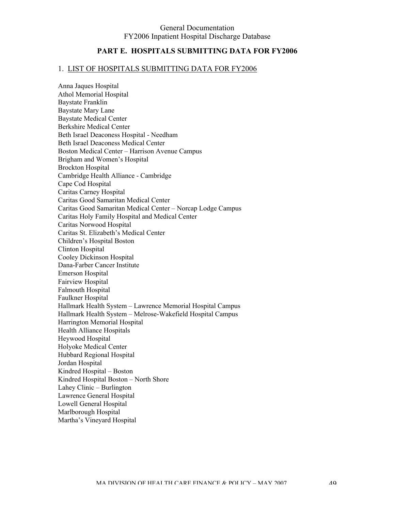### **PART E. HOSPITALS SUBMITTING DATA FOR FY2006**

#### 1. LIST OF HOSPITALS SUBMITTING DATA FOR FY2006

Anna Jaques Hospital Athol Memorial Hospital Baystate Franklin Baystate Mary Lane Baystate Medical Center Berkshire Medical Center Beth Israel Deaconess Hospital - Needham Beth Israel Deaconess Medical Center Boston Medical Center – Harrison Avenue Campus Brigham and Women's Hospital Brockton Hospital Cambridge Health Alliance - Cambridge Cape Cod Hospital Caritas Carney Hospital Caritas Good Samaritan Medical Center Caritas Good Samaritan Medical Center – Norcap Lodge Campus Caritas Holy Family Hospital and Medical Center Caritas Norwood Hospital Caritas St. Elizabeth's Medical Center Children's Hospital Boston Clinton Hospital Cooley Dickinson Hospital Dana-Farber Cancer Institute Emerson Hospital Fairview Hospital Falmouth Hospital Faulkner Hospital Hallmark Health System – Lawrence Memorial Hospital Campus Hallmark Health System – Melrose-Wakefield Hospital Campus Harrington Memorial Hospital Health Alliance Hospitals Heywood Hospital Holyoke Medical Center Hubbard Regional Hospital Jordan Hospital Kindred Hospital – Boston Kindred Hospital Boston – North Shore Lahey Clinic – Burlington Lawrence General Hospital Lowell General Hospital Marlborough Hospital Martha's Vineyard Hospital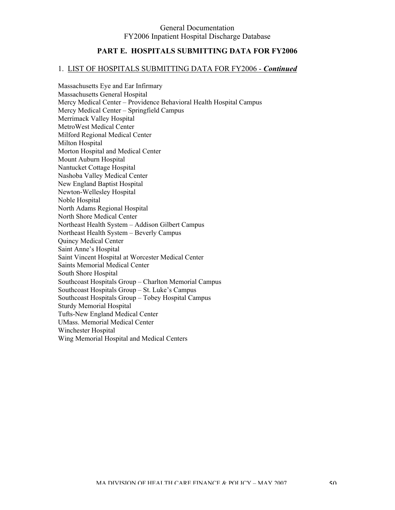## **PART E. HOSPITALS SUBMITTING DATA FOR FY2006**

#### 1. LIST OF HOSPITALS SUBMITTING DATA FOR FY2006 - *Continued*

Massachusetts Eye and Ear Infirmary Massachusetts General Hospital Mercy Medical Center – Providence Behavioral Health Hospital Campus Mercy Medical Center – Springfield Campus Merrimack Valley Hospital MetroWest Medical Center Milford Regional Medical Center Milton Hospital Morton Hospital and Medical Center Mount Auburn Hospital Nantucket Cottage Hospital Nashoba Valley Medical Center New England Baptist Hospital Newton-Wellesley Hospital Noble Hospital North Adams Regional Hospital North Shore Medical Center Northeast Health System – Addison Gilbert Campus Northeast Health System – Beverly Campus Quincy Medical Center Saint Anne's Hospital Saint Vincent Hospital at Worcester Medical Center Saints Memorial Medical Center South Shore Hospital Southcoast Hospitals Group – Charlton Memorial Campus Southcoast Hospitals Group – St. Luke's Campus Southcoast Hospitals Group – Tobey Hospital Campus Sturdy Memorial Hospital Tufts-New England Medical Center UMass. Memorial Medical Center Winchester Hospital Wing Memorial Hospital and Medical Centers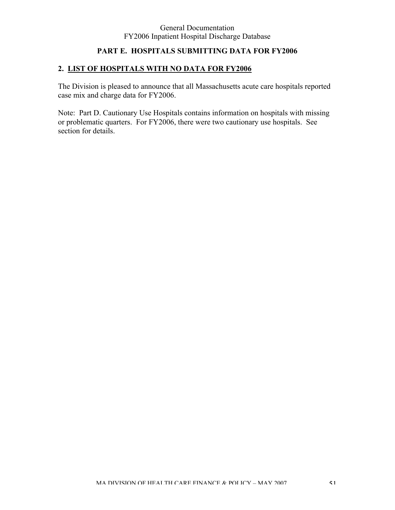# **PART E. HOSPITALS SUBMITTING DATA FOR FY2006**

# **2. LIST OF HOSPITALS WITH NO DATA FOR FY2006**

The Division is pleased to announce that all Massachusetts acute care hospitals reported case mix and charge data for FY2006.

Note: Part D. Cautionary Use Hospitals contains information on hospitals with missing or problematic quarters. For FY2006, there were two cautionary use hospitals. See section for details.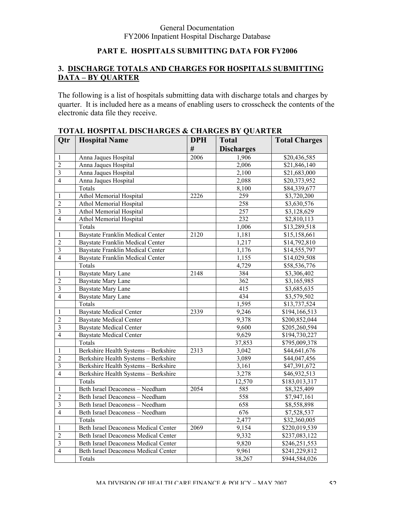# **PART E. HOSPITALS SUBMITTING DATA FOR FY2006**

# **3. DISCHARGE TOTALS AND CHARGES FOR HOSPITALS SUBMITTING DATA – BY QUARTER**

The following is a list of hospitals submitting data with discharge totals and charges by quarter. It is included here as a means of enabling users to crosscheck the contents of the electronic data file they receive.

| Qtr                     | <b>Hospital Name</b>                        | <b>DPH</b> | <b>Total</b>       | <b>Total Charges</b> |
|-------------------------|---------------------------------------------|------------|--------------------|----------------------|
|                         |                                             | #          | <b>Discharges</b>  |                      |
| 1                       | Anna Jaques Hospital                        | 2006       | 1,906              | \$20,436,585         |
| $\overline{2}$          | Anna Jaques Hospital                        |            | 2,006              | \$21,846,140         |
| $\overline{\mathbf{3}}$ | Anna Jaques Hospital                        |            | 2,100              | \$21,683,000         |
| $\overline{4}$          | Anna Jaques Hospital                        |            | 2,088              | \$20,373,952         |
|                         | Totals                                      |            | $8,\overline{100}$ | \$84,339,677         |
| 1                       | Athol Memorial Hospital                     | 2226       | 259                | \$3,720,200          |
| $\overline{2}$          | Athol Memorial Hospital                     |            | 258                | \$3,630,576          |
| $\overline{3}$          | <b>Athol Memorial Hospital</b>              |            | 257                | \$3,128,629          |
| $\overline{4}$          | Athol Memorial Hospital                     |            | 232                | \$2,810,113          |
|                         | Totals                                      |            | 1,006              | \$13,289,518         |
| 1                       | <b>Baystate Franklin Medical Center</b>     | 2120       | 1,181              | \$15,158,661         |
| $\overline{2}$          | <b>Baystate Franklin Medical Center</b>     |            | 1,217              | \$14,792,810         |
| $\overline{3}$          | <b>Baystate Franklin Medical Center</b>     |            | 1,176              | \$14,555,797         |
| $\overline{4}$          | <b>Baystate Franklin Medical Center</b>     |            | 1,155              | \$14,029,508         |
|                         | Totals                                      |            | 4,729              | \$58,536,776         |
| 1                       | <b>Baystate Mary Lane</b>                   | 2148       | 384                | \$3,306,402          |
| $\overline{2}$          | <b>Baystate Mary Lane</b>                   |            | 362                | \$3,165,985          |
| $\overline{\mathbf{3}}$ | <b>Baystate Mary Lane</b>                   |            | 415                | \$3,685,635          |
| $\overline{4}$          | <b>Baystate Mary Lane</b>                   |            | 434                | \$3,579,502          |
|                         | Totals                                      |            | 1,595              | \$13,737,524         |
| 1                       | <b>Baystate Medical Center</b>              | 2339       | 9,246              | \$194,166,513        |
| $\overline{2}$          | <b>Baystate Medical Center</b>              |            | 9,378              | \$200,852,044        |
| $\overline{3}$          | <b>Baystate Medical Center</b>              |            | 9,600              | \$205,260,594        |
| $\overline{4}$          | <b>Baystate Medical Center</b>              |            | 9,629              | \$194,730,227        |
|                         | Totals                                      |            | 37,853             | \$795,009,378        |
| 1                       | Berkshire Health Systems - Berkshire        | 2313       | 3,042              | \$44,641,676         |
| $\overline{2}$          | Berkshire Health Systems - Berkshire        |            | 3,089              | \$44,047,456         |
| $\overline{\mathbf{3}}$ | Berkshire Health Systems - Berkshire        |            | 3,161              | \$47,391,672         |
| $\overline{4}$          | Berkshire Health Systems - Berkshire        |            | 3,278              | \$46,932,513         |
|                         | Totals                                      |            | 12,570             | \$183,013,317        |
| 1                       | Beth Israel Deaconess - Needham             | 2054       | 585                | \$8,325,409          |
| $\overline{2}$          | Beth Israel Deaconess - Needham             |            | 558                | \$7,947,161          |
| $\overline{3}$          | Beth Israel Deaconess - Needham             |            | 658                | \$8,558,898          |
| $\overline{4}$          | Beth Israel Deaconess - Needham             |            | 676                | \$7,528,537          |
|                         | Totals                                      |            | 2,477              | \$32,360,005         |
| 1                       | <b>Beth Israel Deaconess Medical Center</b> | 2069       | 9,154              | \$220,019,539        |
| $\overline{2}$          | <b>Beth Israel Deaconess Medical Center</b> |            | 9,332              | \$237,083,122        |
| $\overline{\mathbf{3}}$ | <b>Beth Israel Deaconess Medical Center</b> |            | 9,820              | \$246,251,553        |
| $\overline{4}$          | <b>Beth Israel Deaconess Medical Center</b> |            | 9,961              | \$241,229,812        |
|                         | Totals                                      |            | 38,267             | \$944,584,026        |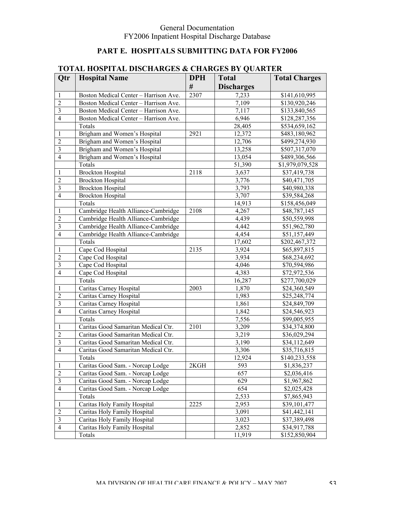# **PART E. HOSPITALS SUBMITTING DATA FOR FY2006**

|                                  | I OTAL HOSI ITALI DISCHARGES & CHARGES DT QUARTER |            |                   |                               |  |
|----------------------------------|---------------------------------------------------|------------|-------------------|-------------------------------|--|
| Otr                              | <b>Hospital Name</b>                              | <b>DPH</b> | <b>Total</b>      | <b>Total Charges</b>          |  |
|                                  |                                                   | #          | <b>Discharges</b> |                               |  |
| 1                                | Boston Medical Center - Harrison Ave.             | 2307       | 7,233             | \$141,610,995                 |  |
| $\overline{2}$                   | Boston Medical Center - Harrison Ave.             |            | 7,109             | \$130,920,246                 |  |
| $\mathfrak{Z}$                   | Boston Medical Center - Harrison Ave.             |            | 7,117             | \$133,840,565                 |  |
| $\overline{4}$                   | Boston Medical Center - Harrison Ave.             |            | 6,946             | \$128,287,356                 |  |
|                                  | Totals                                            |            | 28,405            | \$534,659,162                 |  |
| 1                                | Brigham and Women's Hospital                      | 2921       | 12,372            | \$483,180,962                 |  |
| $\overline{2}$                   | Brigham and Women's Hospital                      |            | 12,706            | \$499,274,930                 |  |
| $\mathfrak{Z}$                   | Brigham and Women's Hospital                      |            | 13,258            | \$507,317,070                 |  |
| $\overline{4}$                   | Brigham and Women's Hospital                      |            | 13,054            | \$489,306,566                 |  |
|                                  | Totals                                            |            | 51,390            | \$1,979,079,528               |  |
| 1                                | <b>Brockton Hospital</b>                          | 2118       | 3,637             | \$37,419,738                  |  |
| $\overline{2}$                   | <b>Brockton Hospital</b>                          |            | 3,776             | \$40,471,705                  |  |
| $\mathfrak{Z}$                   | <b>Brockton Hospital</b>                          |            | 3,793             | \$40,980,338                  |  |
| $\overline{4}$                   | <b>Brockton Hospital</b>                          |            | 3,707             | \$39,584,268                  |  |
|                                  | Totals                                            |            | 14,913            | \$158,456,049                 |  |
| 1                                | Cambridge Health Alliance-Cambridge               | 2108       | 4,267             | \$48,787,145                  |  |
| $\overline{2}$                   | Cambridge Health Alliance-Cambridge               |            | 4,439             | \$50,559,998                  |  |
| $\mathfrak{Z}$                   | Cambridge Health Alliance-Cambridge               |            | 4,442             | \$51,962,780                  |  |
| $\overline{4}$                   | Cambridge Health Alliance-Cambridge               |            | 4,454             | \$51,157,449                  |  |
|                                  | Totals                                            |            | 17,602            | \$202,467,372                 |  |
| 1                                | Cape Cod Hospital                                 | 2135       | 3,924             | \$65,897,815                  |  |
| $\overline{2}$                   | Cape Cod Hospital                                 |            | 3,934             | \$68,234,692                  |  |
| $\mathfrak{Z}$                   | Cape Cod Hospital                                 |            | 4,046             | \$70,594,986                  |  |
| $\overline{4}$                   | Cape Cod Hospital                                 |            | 4,383             | \$72,972,536                  |  |
|                                  | Totals                                            |            | 16,287            |                               |  |
|                                  | Caritas Carney Hospital                           | 2003       | 1,870             | \$277,700,029<br>\$24,360,549 |  |
| 1<br>$\overline{2}$              |                                                   |            | 1,983             |                               |  |
|                                  | Caritas Carney Hospital                           |            |                   | \$25,248,774                  |  |
| $\mathfrak{Z}$<br>$\overline{4}$ | Caritas Carney Hospital                           |            | 1,861             | \$24,849,709                  |  |
|                                  | Caritas Carney Hospital                           |            | 1,842             | \$24,546,923                  |  |
|                                  | Totals                                            |            | 7,556             | \$99,005,955                  |  |
| 1                                | Caritas Good Samaritan Medical Ctr.               | 2101       | 3,209             | \$34,374,800                  |  |
| $\overline{2}$                   | Caritas Good Samaritan Medical Ctr.               |            | 3,219             | \$36,029,294                  |  |
| $\mathfrak{Z}$                   | Caritas Good Samaritan Medical Ctr.               |            | 3,190             | \$34,112,649                  |  |
| $\overline{4}$                   | Caritas Good Samaritan Medical Ctr.               |            | 3,306             | \$35,716,815                  |  |
|                                  | Totals                                            |            | 12,924            | \$140,233,558                 |  |
| 1                                | Caritas Good Sam. - Norcap Lodge                  | 2KGH       | 593               | \$1,836,237                   |  |
| $\overline{2}$                   | Caritas Good Sam. - Norcap Lodge                  |            | 657               | \$2,036,416                   |  |
| $\mathfrak{Z}$                   | Caritas Good Sam. - Norcap Lodge                  |            | 629               | \$1,967,862                   |  |
| $\overline{4}$                   | Caritas Good Sam. - Norcap Lodge                  |            | 654               | \$2,025,428                   |  |
|                                  | Totals                                            |            | 2,533             | \$7,865,943                   |  |
| 1                                | Caritas Holy Family Hospital                      | 2225       | 2,953             | \$39,101,477                  |  |
| $\overline{2}$                   | Caritas Holy Family Hospital                      |            | 3,091             | \$41,442,141                  |  |
| $\mathfrak{Z}$                   | Caritas Holy Family Hospital                      |            | 3,023             | \$37,389,498                  |  |
| $\overline{4}$                   | Caritas Holy Family Hospital                      |            | 2,852             | \$34,917,788                  |  |
|                                  | Totals                                            |            | 11,919            | \$152,850,904                 |  |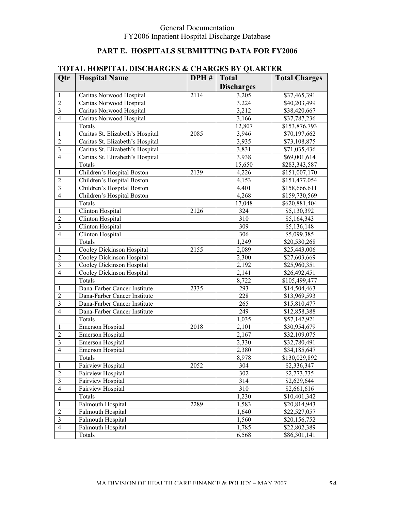# **PART E. HOSPITALS SUBMITTING DATA FOR FY2006**

|                  | TOTAL HOSI ITAL DISCHARGES & CHARGES DT QUARTER |      |                    |                               |
|------------------|-------------------------------------------------|------|--------------------|-------------------------------|
| Qtr              | <b>Hospital Name</b>                            | DPH# | <b>Total</b>       | <b>Total Charges</b>          |
|                  |                                                 |      | <b>Discharges</b>  |                               |
| 1                | Caritas Norwood Hospital                        | 2114 | 3,205              | \$37,465,391                  |
| $\overline{2}$   | Caritas Norwood Hospital                        |      | 3,224              | \$40,203,499                  |
| $\mathfrak{Z}$   | Caritas Norwood Hospital                        |      | $\overline{3,212}$ | \$38,420,667                  |
| $\overline{4}$   | Caritas Norwood Hospital                        |      | 3,166              | \$37,787,236                  |
|                  | Totals                                          |      | 12,807             | \$153,876,793                 |
| 1                | Caritas St. Elizabeth's Hospital                | 2085 | 3,946              | \$70,197,662                  |
| $\overline{2}$   | Caritas St. Elizabeth's Hospital                |      | $\overline{3,935}$ | \$73,108,875                  |
| $\mathfrak{Z}$   | Caritas St. Elizabeth's Hospital                |      | 3,831              | \$71,035,436                  |
| $\overline{4}$   | Caritas St. Elizabeth's Hospital                |      | $\overline{3,938}$ | \$69,001,614                  |
|                  | Totals                                          |      | 15,650             | \$283,343,587                 |
| 1                | Children's Hospital Boston                      | 2139 | 4,226              | \$151,007,170                 |
| $\overline{2}$   | Children's Hospital Boston                      |      | 4,153              | \$151,477,054                 |
| $\mathfrak{Z}$   | Children's Hospital Boston                      |      | 4,401              | \$158,666,611                 |
| $\overline{4}$   | Children's Hospital Boston                      |      | 4,268              | \$159,730,569                 |
|                  | Totals                                          |      | 17,048             | \$620,881,404                 |
| 1                | Clinton Hospital                                | 2126 | 324                | \$5,130,392                   |
| $\overline{2}$   | Clinton Hospital                                |      | 310                | \$5,164,343                   |
| $\mathfrak{Z}$   | <b>Clinton Hospital</b>                         |      | 309                | \$5,136,148                   |
| $\overline{4}$   | Clinton Hospital                                |      | 306                | \$5,099,385                   |
|                  | Totals                                          |      | 1,249              | \$20,530,268                  |
| 1                | Cooley Dickinson Hospital                       | 2155 | 2,089              | \$25,443,006                  |
| $\overline{2}$   | Cooley Dickinson Hospital                       |      | 2,300              | \$27,603,669                  |
| $\mathfrak{Z}$   | Cooley Dickinson Hospital                       |      | $\overline{2,}192$ | \$25,960,351                  |
| $\overline{4}$   |                                                 |      | 2,141              |                               |
|                  | Cooley Dickinson Hospital<br>Totals             |      |                    | \$26,492,451<br>\$105,499,477 |
|                  |                                                 |      | 8,722              |                               |
| 1                | Dana-Farber Cancer Institute                    | 2335 | 293                | \$14,504,463                  |
| $\overline{2}$   | Dana-Farber Cancer Institute                    |      | 228                | \$13,969,593                  |
| $\mathfrak{Z}$   | Dana-Farber Cancer Institute                    |      | 265                | \$15,810,477                  |
| $\overline{4}$   | Dana-Farber Cancer Institute                    |      | 249                | \$12,858,388                  |
|                  | Totals                                          |      | 1,035              | \$57,142,921                  |
| 1                | Emerson Hospital                                | 2018 | 2,101              | \$30,954,679                  |
| $\overline{2}$   | <b>Emerson Hospital</b>                         |      | 2,167              | \$32,109,075                  |
| $\mathfrak{Z}$   | <b>Emerson Hospital</b>                         |      | 2,330              | \$32,780,491                  |
| $\overline{4}$   | Emerson Hospital                                |      | 2,380              | \$34,185,647                  |
|                  | Totals                                          |      | 8,978              | \$130,029,892                 |
| $\mathbf{1}$     | Fairview Hospital                               | 2052 | 304                | \$2,336,347                   |
| $\sqrt{2}$       | Fairview Hospital                               |      | 302                | \$2,773,735                   |
| $\mathfrak{Z}$   | Fairview Hospital                               |      | 314                | \$2,629,644                   |
| $\overline{4}$   | Fairview Hospital                               |      | 310                | \$2,661,616                   |
|                  | Totals                                          |      | 1,230              | \$10,401,342                  |
| $\mathbf{1}$     | Falmouth Hospital                               | 2289 | 1,583              | \$20,814,943                  |
| $\boldsymbol{2}$ | Falmouth Hospital                               |      | 1,640              | \$22,527,057                  |
| $\mathfrak{Z}$   | Falmouth Hospital                               |      | 1,560              | \$20,156,752                  |
| $\overline{4}$   | <b>Falmouth Hospital</b>                        |      | 1,785              | \$22,802,389                  |
|                  | Totals                                          |      | 6,568              | \$86,301,141                  |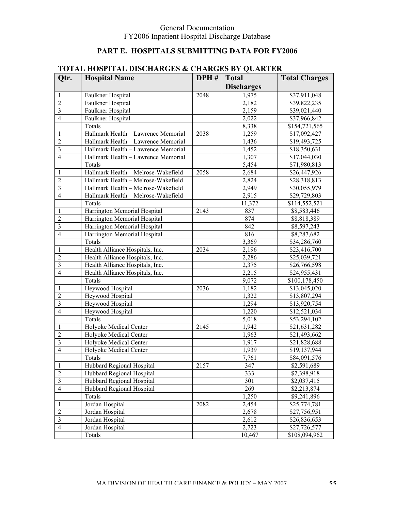# **PART E. HOSPITALS SUBMITTING DATA FOR FY2006**

|                | TUTAL HUSHTAL DISCHANGES & CHANGES DT QUANTEN |      |                   |                         |
|----------------|-----------------------------------------------|------|-------------------|-------------------------|
| Qtr.           | <b>Hospital Name</b>                          | DPH# | <b>Total</b>      | <b>Total Charges</b>    |
|                |                                               |      | <b>Discharges</b> |                         |
| 1              | Faulkner Hospital                             | 2048 | 1,975             | \$37,911,048            |
| $\overline{2}$ | Faulkner Hospital                             |      | 2,182             | \$39,822,235            |
| $\overline{3}$ | Faulkner Hospital                             |      | 2,159             | \$39,021,440            |
| $\overline{4}$ | Faulkner Hospital                             |      | 2,022             | \$37,966,842            |
|                | Totals                                        |      | 8,338             | \$154,721,565           |
| 1              | Hallmark Health - Lawrence Memorial           | 2038 | 1,259             | \$17,092,427            |
| $\overline{c}$ | Hallmark Health - Lawrence Memorial           |      | 1,436             | \$19,493,725            |
| $\overline{3}$ | Hallmark Health - Lawrence Memorial           |      | 1,452             | \$18,350,631            |
| $\overline{4}$ | Hallmark Health - Lawrence Memorial           |      | 1,307             | \$17,044,030            |
|                | Totals                                        |      | 5,454             | \$71,980,813            |
| 1              | Hallmark Health - Melrose-Wakefield           | 2058 | 2,684             | \$26,447,926            |
| $\overline{2}$ | Hallmark Health - Melrose-Wakefield           |      | 2,824             | \$28,318,813            |
| $\overline{3}$ | Hallmark Health - Melrose-Wakefield           |      | 2,949             | \$30,055,979            |
| $\overline{4}$ | Hallmark Health - Melrose-Wakefield           |      | 2,915             | \$29,729,803            |
|                | Totals                                        |      | 11,372            | \$114,552,521           |
| 1              | Harrington Memorial Hospital                  | 2143 | 837               | \$8,583,446             |
| $\overline{2}$ | Harrington Memorial Hospital                  |      | 874               | \$8,818,389             |
| $\overline{3}$ | Harrington Memorial Hospital                  |      | 842               | \$8,597,243             |
| $\overline{4}$ | Harrington Memorial Hospital                  |      | 816               | \$8,287,682             |
|                | Totals                                        |      | 3,369             | \$34,286,760            |
| 1              | Health Alliance Hospitals, Inc.               | 2034 | 2,196             | \$23,416,700            |
| $\overline{2}$ | Health Alliance Hospitals, Inc.               |      | 2,286             | \$25,039,721            |
| $\overline{3}$ | Health Alliance Hospitals, Inc.               |      | 2,375             | \$26,766,598            |
| $\overline{4}$ | Health Alliance Hospitals, Inc.               |      | 2,215             | \$24,955,431            |
|                | Totals                                        |      | 9,072             | \$100,178,450           |
| 1              | Heywood Hospital                              | 2036 | 1,182             | \$13,045,020            |
| $\overline{2}$ | Heywood Hospital                              |      | 1,322             |                         |
| $\overline{3}$ |                                               |      |                   | \$13,807,294            |
| $\overline{4}$ | Heywood Hospital                              |      | 1,294             | \$13,920,754            |
|                | Heywood Hospital                              |      | 1,220             | \$12,521,034            |
|                | Totals                                        |      | 5,018             | \$53,294,102            |
| 1              | Holyoke Medical Center                        | 2145 | 1,942             | \$21,631,282            |
| $\overline{c}$ | Holyoke Medical Center                        |      | 1,963             | \$21,493,662            |
| $\overline{3}$ | Holyoke Medical Center                        |      | 1,917             | \$21,828,688            |
| $\overline{4}$ | Holyoke Medical Center                        |      | 1,939             | \$19,137,944            |
|                | Totals                                        |      | 7,761             | \$84,091,576            |
| 1              | Hubbard Regional Hospital                     | 2157 | 347               | $\overline{$2,591,689}$ |
| $\overline{2}$ | Hubbard Regional Hospital                     |      | 333               | \$2,398,918             |
| $\mathfrak{Z}$ | Hubbard Regional Hospital                     |      | 301               | \$2,037,415             |
| $\overline{4}$ | Hubbard Regional Hospital                     |      | 269               | \$2,213,874             |
|                | Totals                                        |      | 1,250             | \$9,241,896             |
| 1              | Jordan Hospital                               | 2082 | 2,454             | \$25,774,781            |
| $\overline{2}$ | Jordan Hospital                               |      | 2,678             | \$27,756,951            |
| $\mathfrak{Z}$ | Jordan Hospital                               |      | 2,612             | \$26,836,653            |
| $\overline{4}$ | Jordan Hospital                               |      | 2,723             | \$27,726,577            |
|                | Totals                                        |      | 10,467            | \$108,094,962           |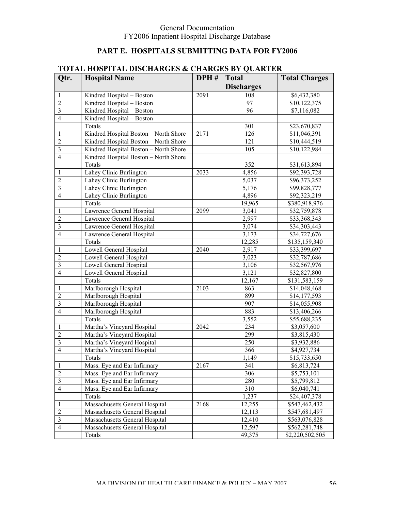# **PART E. HOSPITALS SUBMITTING DATA FOR FY2006**

|                         | I OTAL HOSI ITAL DISCHANGES & CHANGES DT QUANTEN |      |                    |                         |
|-------------------------|--------------------------------------------------|------|--------------------|-------------------------|
| Qtr.                    | <b>Hospital Name</b>                             | DPH# | <b>Total</b>       | <b>Total Charges</b>    |
|                         |                                                  |      | <b>Discharges</b>  |                         |
| 1                       | Kindred Hospital - Boston                        | 2091 | 108                | $\overline{$6,432,380}$ |
| $\overline{c}$          | Kindred Hospital - Boston                        |      | 97                 | \$10,122,375            |
| $\overline{\mathbf{3}}$ | Kindred Hospital - Boston                        |      | 96                 | \$7,116,082             |
| $\overline{4}$          | Kindred Hospital - Boston                        |      |                    |                         |
|                         | Totals                                           |      | 301                | \$23,670,837            |
| 1                       | Kindred Hospital Boston - North Shore            | 2171 | 126                | \$11,046,391            |
| $\overline{c}$          | Kindred Hospital Boston - North Shore            |      | 121                | \$10,444,519            |
| $\overline{\mathbf{3}}$ | Kindred Hospital Boston - North Shore            |      | 105                | \$10,122,984            |
| $\overline{4}$          | Kindred Hospital Boston - North Shore            |      |                    |                         |
|                         | Totals                                           |      | 352                | \$31,613,894            |
| 1                       | Lahey Clinic Burlington                          | 2033 | 4,856              | \$92,393,728            |
| $\overline{c}$          | Lahey Clinic Burlington                          |      | 5,037              | \$96,373,252            |
| $\overline{\mathbf{3}}$ | Lahey Clinic Burlington                          |      | 5,176              | \$99,828,777            |
| $\overline{4}$          | Lahey Clinic Burlington                          |      | 4,896              | \$92,323,219            |
|                         | Totals                                           |      | 19,965             | \$380,918,976           |
| 1                       | Lawrence General Hospital                        | 2099 | 3,041              | \$32,759,878            |
| $\overline{c}$          | Lawrence General Hospital                        |      | 2,997              | \$33,368,343            |
| $\overline{\mathbf{3}}$ | Lawrence General Hospital                        |      | $\overline{3,074}$ | \$34,303,443            |
| $\overline{4}$          | Lawrence General Hospital                        |      | 3,173              | \$34,727,676            |
|                         | Totals                                           |      | 12,285             | \$135,159,340           |
| 1                       | Lowell General Hospital                          | 2040 | 2,917              | \$33,399,697            |
| $\overline{c}$          | Lowell General Hospital                          |      | 3,023              | \$32,787,686            |
|                         |                                                  |      |                    |                         |
| $\overline{\mathbf{3}}$ | Lowell General Hospital                          |      | 3,106              | \$32,567,976            |
| $\overline{4}$          | Lowell General Hospital                          |      | 3,121              | \$32,827,800            |
|                         | Totals                                           |      | 12,167             | \$131,583,159           |
| 1                       | Marlborough Hospital                             | 2103 | 863                | \$14,048,468            |
| $\overline{c}$          | Marlborough Hospital                             |      | 899                | \$14,177,593            |
| $\overline{\mathbf{3}}$ | Marlborough Hospital                             |      | 907                | \$14,055,908            |
| $\overline{4}$          | Marlborough Hospital                             |      | 883                | \$13,406,266            |
|                         | Totals                                           |      | 3,552              | \$55,688,235            |
| 1                       | Martha's Vineyard Hospital                       | 2042 | 234                | \$3,057,600             |
| $\overline{c}$          | Martha's Vineyard Hospital                       |      | 299                | \$3,815,430             |
| $\overline{\mathbf{3}}$ | Martha's Vineyard Hospital                       |      | 250                | \$3,932,886             |
| $\overline{4}$          | Martha's Vineyard Hospital                       |      | 366                | \$4,927,734             |
|                         | Totals                                           |      | 1,149              | \$15,733,650            |
| $\mathbf{1}$            | Mass. Eye and Ear Infirmary                      | 2167 | 341                | \$6,813,724             |
| $\overline{2}$          | Mass. Eye and Ear Infirmary                      |      | 306                | \$5,753,101             |
| $\mathfrak{Z}$          | Mass. Eye and Ear Infirmary                      |      | 280                | \$5,799,812             |
| $\overline{4}$          | Mass. Eye and Ear Infirmary                      |      | 310                | \$6,040,741             |
|                         | Totals                                           |      | 1,237              | \$24,407,378            |
| 1                       | Massachusetts General Hospital                   | 2168 | 12,255             | \$547,462,432           |
| $\overline{2}$          | Massachusetts General Hospital                   |      | 12,113             | \$547,681,497           |
| $\mathfrak{Z}$          | Massachusetts General Hospital                   |      | 12,410             | \$563,076,828           |
| $\overline{4}$          | Massachusetts General Hospital                   |      | 12,597             | \$562,281,748           |
|                         | Totals                                           |      | 49,375             | \$2,220,502,505         |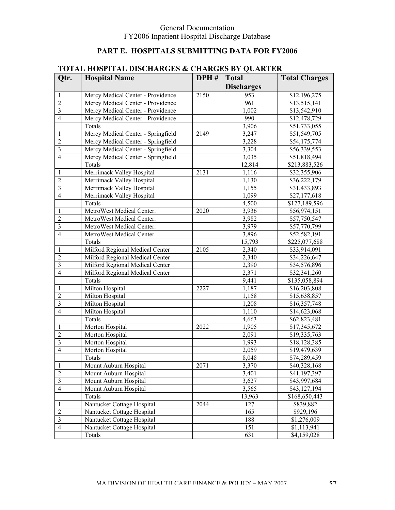# **PART E. HOSPITALS SUBMITTING DATA FOR FY2006**

|                         | TOTAL HOST FRAL DISCHANGES & CHANGES DT QUANTER |      |                   |                      |
|-------------------------|-------------------------------------------------|------|-------------------|----------------------|
| Qtr.                    | <b>Hospital Name</b>                            | DPH# | <b>Total</b>      | <b>Total Charges</b> |
|                         |                                                 |      | <b>Discharges</b> |                      |
| 1                       | Mercy Medical Center - Providence               | 2150 | 953               | \$12,196,275         |
| $\overline{2}$          | Mercy Medical Center - Providence               |      | 961               | \$13,515,141         |
| 3                       | Mercy Medical Center - Providence               |      | 1,002             | \$13,542,910         |
| $\overline{4}$          | Mercy Medical Center - Providence               |      | 990               | \$12,478,729         |
|                         | Totals                                          |      | 3,906             | \$51,733,055         |
| 1                       | Mercy Medical Center - Springfield              | 2149 | 3,247             | \$51,549,705         |
| $\overline{2}$          | Mercy Medical Center - Springfield              |      | 3,228             | \$54,175,774         |
| 3                       | Mercy Medical Center - Springfield              |      | 3,304             | \$56,339,553         |
| $\overline{4}$          | Mercy Medical Center - Springfield              |      | 3,035             | \$51,818,494         |
|                         | Totals                                          |      | 12,814            | \$213,883,526        |
| 1                       | Merrimack Valley Hospital                       | 2131 | 1,116             | \$32,355,906         |
| $\overline{2}$          | Merrimack Valley Hospital                       |      | 1,130             | \$36,222,179         |
| 3                       | Merrimack Valley Hospital                       |      | 1,155             | \$31,433,893         |
| $\overline{4}$          | Merrimack Valley Hospital                       |      | 1,099             | \$27,177,618         |
|                         | Totals                                          |      | 4,500             | \$127,189,596        |
| 1                       | MetroWest Medical Center.                       | 2020 | 3,936             | \$56,974,151         |
| $\overline{2}$          | MetroWest Medical Center.                       |      | 3,982             | \$57,750,547         |
| 3                       | MetroWest Medical Center.                       |      | 3,979             | \$57,770,799         |
| $\overline{4}$          | MetroWest Medical Center.                       |      | 3,896             | \$52,582,191         |
|                         | Totals                                          |      | 15,793            | \$225,077,688        |
| 1                       | Milford Regional Medical Center                 | 2105 | 2,340             | \$33,914,091         |
| $\overline{2}$          | Milford Regional Medical Center                 |      | 2,340             | \$34,226,647         |
| 3                       | Milford Regional Medical Center                 |      | 2,390             | \$34,576,896         |
| $\overline{4}$          | Milford Regional Medical Center                 |      | 2,371             | \$32,341,260         |
|                         | Totals                                          |      | 9,441             | \$135,058,894        |
| 1                       | Milton Hospital                                 | 2227 | 1,187             | \$16,203,808         |
| $\overline{2}$          | Milton Hospital                                 |      | 1,158             | \$15,638,857         |
| 3                       | Milton Hospital                                 |      | 1,208             | \$16,357,748         |
| $\overline{4}$          | Milton Hospital                                 |      | 1,110             | \$14,623,068         |
|                         | Totals                                          |      | 4,663             | \$62,823,481         |
| 1                       | Morton Hospital                                 | 2022 | 1,905             | \$17,345,672         |
| $\overline{2}$          | Morton Hospital                                 |      | 2,091             | \$19,335,763         |
| $\overline{\mathbf{3}}$ | Morton Hospital                                 |      | 1,993             | \$18,128,385         |
| $\overline{4}$          | Morton Hospital                                 |      | 2,059             | \$19,479,639         |
|                         | Totals                                          |      | 8,048             | \$74,289,459         |
| 1                       | Mount Auburn Hospital                           | 2071 | 3,370             | \$40,328,168         |
| $\overline{2}$          | Mount Auburn Hospital                           |      | 3,401             | \$41,197,397         |
| $\mathfrak{Z}$          | Mount Auburn Hospital                           |      | 3,627             | \$43,997,684         |
| $\overline{4}$          | Mount Auburn Hospital                           |      | 3,565             | \$43,127,194         |
|                         | Totals                                          |      | 13,963            | \$168,650,443        |
| 1                       | Nantucket Cottage Hospital                      | 2044 | 127               | \$839,882            |
| $\overline{2}$          | Nantucket Cottage Hospital                      |      | 165               | \$929,196            |
| $\mathfrak{Z}$          | Nantucket Cottage Hospital                      |      | 188               | \$1,276,009          |
| $\overline{4}$          | Nantucket Cottage Hospital                      |      | 151               | \$1,113,941          |
|                         | Totals                                          |      | 631               | \$4,159,028          |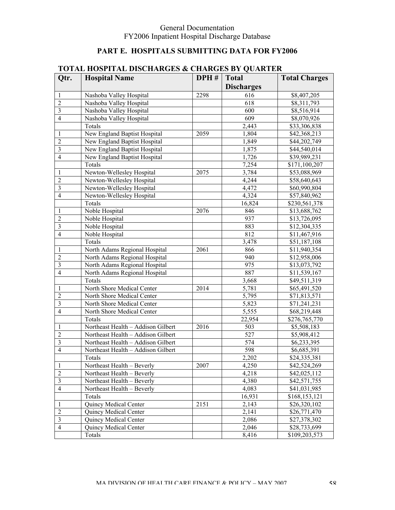# **PART E. HOSPITALS SUBMITTING DATA FOR FY2006**

|                         | rotal host fral disclianols <b>&amp;</b> changle of Quanten |      |                   |                              |
|-------------------------|-------------------------------------------------------------|------|-------------------|------------------------------|
| Qtr.                    | <b>Hospital Name</b>                                        | DPH# | <b>Total</b>      | <b>Total Charges</b>         |
|                         |                                                             |      | <b>Discharges</b> |                              |
| 1                       | Nashoba Valley Hospital                                     | 2298 | 616               | \$8,407,205                  |
| $\overline{2}$          | Nashoba Valley Hospital                                     |      | 618               | \$8,311,793                  |
| $\overline{3}$          | Nashoba Valley Hospital                                     |      | 600               | \$8,516,914                  |
| $\overline{4}$          | Nashoba Valley Hospital                                     |      | 609               | \$8,070,926                  |
|                         | Totals                                                      |      | 2,443             | \$33,306,838                 |
| 1                       | New England Baptist Hospital                                | 2059 | 1,804             | \$42,368,213                 |
| $\overline{2}$          | New England Baptist Hospital                                |      | 1,849             | \$44,202,749                 |
| $\overline{3}$          | New England Baptist Hospital                                |      | 1,875             | \$44,540,014                 |
| $\overline{4}$          | New England Baptist Hospital                                |      | 1,726             | \$39,989,231                 |
|                         | Totals                                                      |      | 7,254             | \$171,100,207                |
| 1                       | Newton-Wellesley Hospital                                   | 2075 | 3,784             | \$53,088,969                 |
| $\overline{2}$          | Newton-Wellesley Hospital                                   |      | 4,244             | \$58,640,643                 |
| $\overline{3}$          | Newton-Wellesley Hospital                                   |      | 4,472             | \$60,990,804                 |
| $\overline{4}$          | Newton-Wellesley Hospital                                   |      | 4,324             | \$57,840,962                 |
|                         | Totals                                                      |      | 16,824            | \$230,561,378                |
| 1                       | Noble Hospital                                              | 2076 | 846               | \$13,688,762                 |
| $\overline{2}$          | Noble Hospital                                              |      | 937               | \$13,726,095                 |
| $\overline{3}$          | Noble Hospital                                              |      | 883               | \$12,304,335                 |
| $\overline{4}$          | Noble Hospital                                              |      | 812               | \$11,467,916                 |
|                         | Totals                                                      |      | 3,478             | \$51,187,108                 |
| 1                       | North Adams Regional Hospital                               | 2061 | 866               | \$11,940,354                 |
| $\overline{2}$          | North Adams Regional Hospital                               |      | 940               | \$12,958,006                 |
| $\overline{3}$          | North Adams Regional Hospital                               |      | 975               | \$13,073,792                 |
| $\overline{4}$          | North Adams Regional Hospital                               |      | 887               | \$11,539,167                 |
|                         | Totals                                                      |      | 3,668             | \$49,511,319                 |
| 1                       | North Shore Medical Center                                  | 2014 | 5,781             | \$65,491,520                 |
| $\overline{2}$          | North Shore Medical Center                                  |      | 5,795             | \$71,813,571                 |
| $\overline{3}$          | North Shore Medical Center                                  |      | 5,823             | \$71,241,231                 |
| $\overline{4}$          | North Shore Medical Center                                  |      | 5,555             | \$68,219,448                 |
|                         | Totals                                                      |      | 22,954            | \$276,765,770                |
| 1                       | Northeast Health - Addison Gilbert                          | 2016 | 503               | \$5,508,183                  |
| $\overline{2}$          | Northeast Health - Addison Gilbert                          |      | 527               | \$5,908,412                  |
| $\overline{\mathbf{3}}$ | Northeast Health - Addison Gilbert                          |      | 574               | \$6,233,395                  |
| $\overline{4}$          | Northeast Health - Addison Gilbert                          |      | 598               | \$6,685,391                  |
|                         | Totals                                                      |      | 2,202             |                              |
|                         | Northeast Health - Beverly                                  | 2007 | 4,250             | \$24,335,381<br>\$42,524,269 |
| 1<br>$\overline{2}$     |                                                             |      | 4,218             |                              |
|                         | Northeast Health - Beverly                                  |      |                   | \$42,025,112                 |
| 3<br>$\overline{4}$     | Northeast Health - Beverly                                  |      | 4,380             | \$42,571,755                 |
|                         | Northeast Health - Beverly                                  |      | 4,083             | \$41,031,985                 |
|                         | Totals                                                      |      | 16,931            | \$168,153,121                |
| 1                       | Quincy Medical Center                                       | 2151 | 2,143             | \$26,320,102                 |
| $\overline{2}$          | Quincy Medical Center                                       |      | 2,141             | \$26,771,470                 |
| $\mathfrak{Z}$          | Quincy Medical Center                                       |      | 2,086             | \$27,378,302                 |
| $\overline{4}$          | Quincy Medical Center                                       |      | 2,046             | \$28,733,699                 |
|                         | Totals                                                      |      | 8,416             | \$109,203,573                |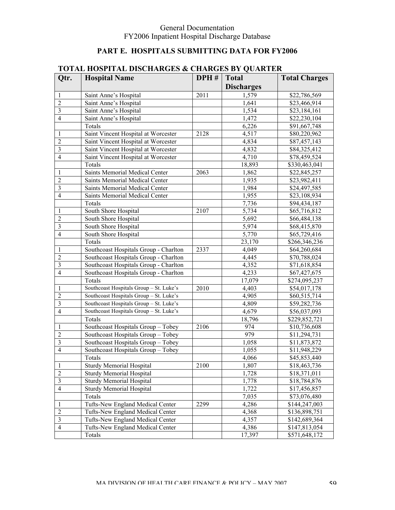# **PART E. HOSPITALS SUBMITTING DATA FOR FY2006**

|                         | TUTAL HUSHTAL DISCHANGES & CHANGES DT QUANTEN |                   |                   |                      |
|-------------------------|-----------------------------------------------|-------------------|-------------------|----------------------|
| Qtr.                    | <b>Hospital Name</b>                          | DPH#              | <b>Total</b>      | <b>Total Charges</b> |
|                         |                                               |                   | <b>Discharges</b> |                      |
| 1                       | Saint Anne's Hospital                         | $\overline{2011}$ | 1,579             | \$22,786,569         |
| $\overline{c}$          | Saint Anne's Hospital                         |                   | 1,641             | \$23,466,914         |
| $\overline{3}$          | Saint Anne's Hospital                         |                   | 1,534             | \$23,184,161         |
| $\overline{4}$          | Saint Anne's Hospital                         |                   | 1,472             | \$22,230,104         |
|                         | Totals                                        |                   | 6,226             | \$91,667,748         |
| 1                       | Saint Vincent Hospital at Worcester           | 2128              | 4,517             | \$80,220,962         |
| $\overline{c}$          | Saint Vincent Hospital at Worcester           |                   | 4,834             | \$87,457,143         |
| $\overline{3}$          | Saint Vincent Hospital at Worcester           |                   | 4,832             | \$84,325,412         |
| $\overline{4}$          | Saint Vincent Hospital at Worcester           |                   | 4,710             | \$78,459,524         |
|                         | Totals                                        |                   | 18,893            | \$330,463,041        |
| 1                       | Saints Memorial Medical Center                | 2063              | 1,862             | \$22,845,257         |
| $\overline{c}$          | Saints Memorial Medical Center                |                   | 1,935             | \$23,982,411         |
| $\overline{3}$          | Saints Memorial Medical Center                |                   | 1,984             | \$24,497,585         |
| $\overline{4}$          | Saints Memorial Medical Center                |                   | 1,955             | \$23,108,934         |
|                         | Totals                                        |                   | 7,736             | \$94,434,187         |
|                         |                                               | 2107              | 5,734             |                      |
| 1                       | South Shore Hospital                          |                   | 5,692             | \$65,716,812         |
| $\overline{c}$          | South Shore Hospital                          |                   |                   | \$66,484,138         |
| $\overline{3}$          | South Shore Hospital                          |                   | 5,974             | \$68,415,870         |
| $\overline{4}$          | South Shore Hospital                          |                   | 5,770             | \$65,729,416         |
|                         | Totals                                        |                   | 23,170            | \$266,346,236        |
| 1                       | Southcoast Hospitals Group - Charlton         | 2337              | 4,049             | \$64,260,684         |
| $\overline{c}$          | Southcoast Hospitals Group - Charlton         |                   | 4,445             | \$70,788,024         |
| $\overline{3}$          | Southcoast Hospitals Group - Charlton         |                   | 4,352             | \$71,618,854         |
| $\overline{4}$          | Southcoast Hospitals Group - Charlton         |                   | 4,233             | \$67,427,675         |
|                         | Totals                                        |                   | 17,079            | \$274,095,237        |
| 1                       | Southcoast Hospitals Group - St. Luke's       | 2010              | 4,403             | \$54,017,178         |
| $\overline{c}$          | Southcoast Hospitals Group - St. Luke's       |                   | 4,905             | \$60,515,714         |
| $\overline{3}$          | Southcoast Hospitals Group - St. Luke's       |                   | 4,809             | \$59,282,736         |
| $\overline{4}$          | Southcoast Hospitals Group - St. Luke's       |                   | 4,679             | \$56,037,093         |
|                         | Totals                                        |                   | 18,796            | \$229,852,721        |
| 1                       | Southcoast Hospitals Group - Tobey            | 2106              | 974               | \$10,736,608         |
| $\overline{c}$          | Southcoast Hospitals Group - Tobey            |                   | 979               | \$11,294,731         |
| $\overline{\mathbf{3}}$ | Southcoast Hospitals Group - Tobey            |                   | 1,058             | \$11,873,872         |
| $\overline{4}$          | Southcoast Hospitals Group - Tobey            |                   | 1,055             | \$11,948,229         |
|                         | Totals                                        |                   | 4,066             | \$45,853,440         |
| 1                       | <b>Sturdy Memorial Hospital</b>               | 2100              | 1,807             | \$18,463,736         |
| $\overline{2}$          | <b>Sturdy Memorial Hospital</b>               |                   | 1,728             | \$18,371,011         |
| $\mathfrak{Z}$          | <b>Sturdy Memorial Hospital</b>               |                   | 1,778             | \$18,784,876         |
| $\overline{4}$          | <b>Sturdy Memorial Hospital</b>               |                   | 1,722             | \$17,456,857         |
|                         | Totals                                        |                   | 7,035             | \$73,076,480         |
| 1                       | Tufts-New England Medical Center              | 2299              | 4,286             | \$144,247,003        |
| $\overline{2}$          | Tufts-New England Medical Center              |                   | 4,368             | \$136,898,751        |
| $\mathfrak{Z}$          | Tufts-New England Medical Center              |                   | 4,357             | \$142,689,364        |
| $\overline{4}$          | Tufts-New England Medical Center              |                   | 4,386             | \$147,813,054        |
|                         | Totals                                        |                   | 17,397            | \$571,648,172        |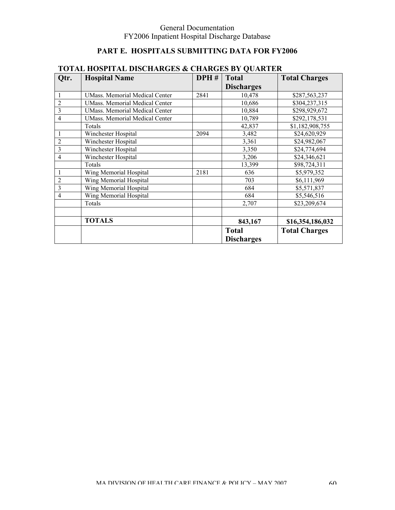# **PART E. HOSPITALS SUBMITTING DATA FOR FY2006**

| Qtr.           | <b>Hospital Name</b>                  | DPH# | <b>Total</b>                      | <b>Total Charges</b> |
|----------------|---------------------------------------|------|-----------------------------------|----------------------|
|                |                                       |      | <b>Discharges</b>                 |                      |
|                | <b>UMass. Memorial Medical Center</b> | 2841 | 10,478                            | \$287,563,237        |
| $\overline{2}$ | <b>UMass. Memorial Medical Center</b> |      | 10,686                            | \$304,237,315        |
| 3              | <b>UMass. Memorial Medical Center</b> |      | 10,884                            | \$298,929,672        |
| $\overline{4}$ | <b>UMass. Memorial Medical Center</b> |      | 10,789                            | \$292,178,531        |
|                | Totals                                |      | 42,837                            | \$1,182,908,755      |
|                | Winchester Hospital                   | 2094 | 3,482                             | \$24,620,929         |
| $\overline{2}$ | Winchester Hospital                   |      | 3,361                             | \$24,982,067         |
| 3              | Winchester Hospital                   |      | 3,350                             | \$24,774,694         |
| $\overline{4}$ | Winchester Hospital                   |      | 3,206                             | \$24,346,621         |
|                | Totals                                |      | 13,399                            | \$98,724,311         |
|                | Wing Memorial Hospital                | 2181 | 636                               | \$5,979,352          |
| $\overline{2}$ | Wing Memorial Hospital                |      | 703                               | \$6,111,969          |
| 3              | Wing Memorial Hospital                |      | 684                               | \$5,571,837          |
| $\overline{4}$ | Wing Memorial Hospital                |      | 684                               | \$5,546,516          |
|                | Totals                                |      | 2,707                             | \$23,209,674         |
|                |                                       |      |                                   |                      |
|                | <b>TOTALS</b>                         |      | 843,167                           | \$16,354,186,032     |
|                |                                       |      | <b>Total</b><br><b>Discharges</b> | <b>Total Charges</b> |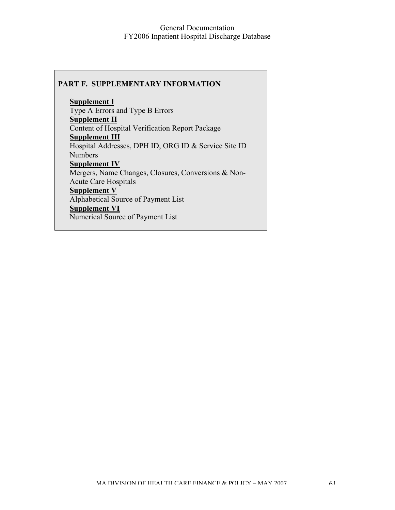### **PART F. SUPPLEMENTARY INFORMATION**

**Supplement I** Type A Errors and Type B Errors **Supplement II** Content of Hospital Verification Report Package **Supplement III** Hospital Addresses, DPH ID, ORG ID & Service Site ID Numbers **Supplement IV** Mergers, Name Changes, Closures, Conversions & Non-Acute Care Hospitals **Supplement V** Alphabetical Source of Payment List **Supplement VI** Numerical Source of Payment List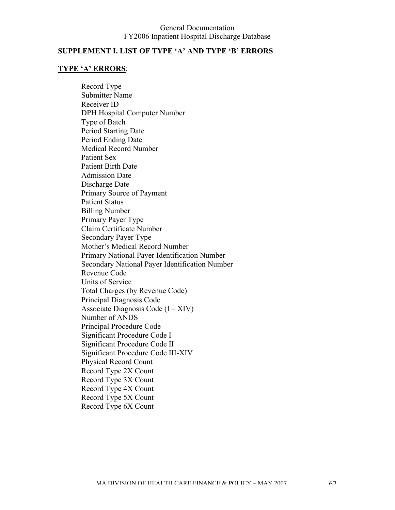## **SUPPLEMENT I. LIST OF TYPE 'A' AND TYPE 'B' ERRORS**

## **TYPE 'A' ERRORS**:

Record Type Submitter Name Receiver ID DPH Hospital Computer Number Type of Batch Period Starting Date Period Ending Date Medical Record Number Patient Sex Patient Birth Date Admission Date Discharge Date Primary Source of Payment Patient Status Billing Number Primary Payer Type Claim Certificate Number Secondary Payer Type Mother's Medical Record Number Primary National Payer Identification Number Secondary National Payer Identification Number Revenue Code Units of Service Total Charges (by Revenue Code) Principal Diagnosis Code Associate Diagnosis Code  $(I - XIV)$ Number of ANDS Principal Procedure Code Significant Procedure Code I Significant Procedure Code II Significant Procedure Code III-XIV Physical Record Count Record Type 2X Count Record Type 3X Count Record Type 4X Count Record Type 5X Count Record Type 6X Count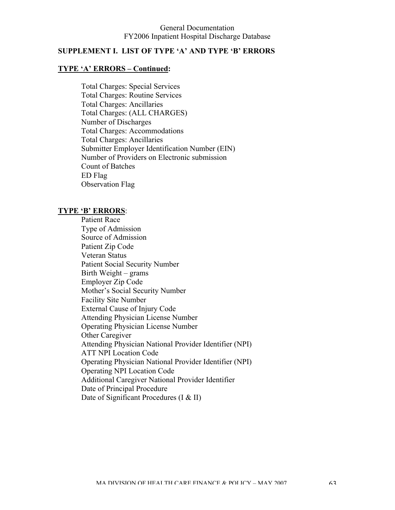## **SUPPLEMENT I. LIST OF TYPE 'A' AND TYPE 'B' ERRORS**

### **TYPE 'A' ERRORS – Continued:**

Total Charges: Special Services Total Charges: Routine Services Total Charges: Ancillaries Total Charges: (ALL CHARGES) Number of Discharges Total Charges: Accommodations Total Charges: Ancillaries Submitter Employer Identification Number (EIN) Number of Providers on Electronic submission Count of Batches ED Flag Observation Flag

#### **TYPE 'B' ERRORS**:

Patient Race Type of Admission Source of Admission Patient Zip Code Veteran Status Patient Social Security Number Birth Weight – grams Employer Zip Code Mother's Social Security Number Facility Site Number External Cause of Injury Code Attending Physician License Number Operating Physician License Number Other Caregiver Attending Physician National Provider Identifier (NPI) ATT NPI Location Code Operating Physician National Provider Identifier (NPI) Operating NPI Location Code Additional Caregiver National Provider Identifier Date of Principal Procedure Date of Significant Procedures (I & II)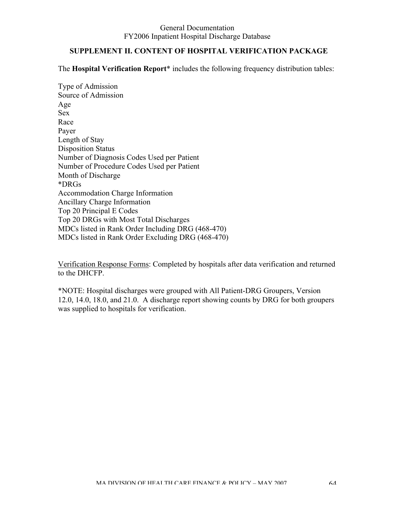## **SUPPLEMENT II. CONTENT OF HOSPITAL VERIFICATION PACKAGE**

The **Hospital Verification Report**\* includes the following frequency distribution tables:

Type of Admission Source of Admission Age Sex Race Payer Length of Stay Disposition Status Number of Diagnosis Codes Used per Patient Number of Procedure Codes Used per Patient Month of Discharge \*DRGs Accommodation Charge Information Ancillary Charge Information Top 20 Principal E Codes Top 20 DRGs with Most Total Discharges MDCs listed in Rank Order Including DRG (468-470) MDCs listed in Rank Order Excluding DRG (468-470)

Verification Response Forms: Completed by hospitals after data verification and returned to the DHCFP.

\*NOTE: Hospital discharges were grouped with All Patient-DRG Groupers, Version 12.0, 14.0, 18.0, and 21.0. A discharge report showing counts by DRG for both groupers was supplied to hospitals for verification.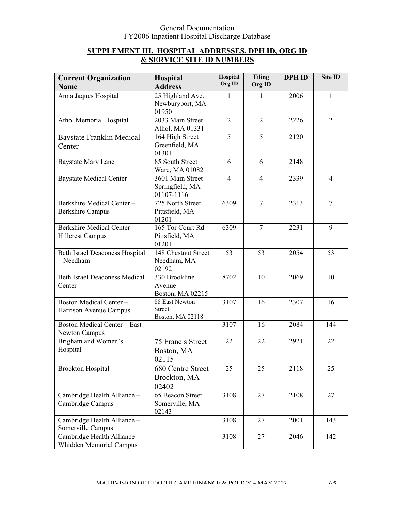# **SUPPLEMENT III. HOSPITAL ADDRESSES, DPH ID, ORG ID & SERVICE SITE ID NUMBERS**

| <b>Current Organization</b><br><b>Name</b>             | Hospital<br><b>Address</b>                          | Hospital<br>Org ID | <b>Filing</b><br>Org ID | <b>DPH ID</b> | Site ID        |
|--------------------------------------------------------|-----------------------------------------------------|--------------------|-------------------------|---------------|----------------|
| Anna Jaques Hospital                                   | 25 Highland Ave.<br>Newburyport, MA<br>01950        | 1                  | 1                       | 2006          | 1              |
| Athol Memorial Hospital                                | 2033 Main Street<br>Athol, MA 01331                 | $\overline{2}$     | $\overline{2}$          | 2226          | $\overline{2}$ |
| <b>Baystate Franklin Medical</b><br>Center             | 164 High Street<br>Greenfield, MA<br>01301          | $\overline{5}$     | $\overline{5}$          | 2120          |                |
| <b>Baystate Mary Lane</b>                              | 85 South Street<br>Ware, MA 01082                   | 6                  | 6                       | 2148          |                |
| <b>Baystate Medical Center</b>                         | 3601 Main Street<br>Springfield, MA<br>01107-1116   | $\overline{4}$     | $\overline{4}$          | 2339          | $\overline{4}$ |
| Berkshire Medical Center-<br><b>Berkshire Campus</b>   | 725 North Street<br>Pittsfield, MA<br>01201         | 6309               | $\overline{7}$          | 2313          | $\overline{7}$ |
| Berkshire Medical Center-<br><b>Hillcrest Campus</b>   | 165 Tor Court Rd.<br>Pittsfield, MA<br>01201        | 6309               | $\overline{7}$          | 2231          | 9              |
| Beth Israel Deaconess Hospital<br>- Needham            | 148 Chestnut Street<br>Needham, MA<br>02192         | 53                 | 53                      | 2054          | 53             |
| <b>Beth Israel Deaconess Medical</b><br>Center         | 330 Brookline<br>Avenue<br>Boston, MA 02215         | 8702               | 10                      | 2069          | 10             |
| Boston Medical Center-<br>Harrison Avenue Campus       | 88 East Newton<br><b>Street</b><br>Boston, MA 02118 | 3107               | 16                      | 2307          | 16             |
| <b>Boston Medical Center - East</b><br>Newton Campus   |                                                     | 3107               | 16                      | 2084          | 144            |
| Brigham and Women's<br>Hospital                        | 75 Francis Street<br>Boston, MA<br>02115            | 22                 | 22                      | 2921          | 22             |
| <b>Brockton Hospital</b>                               | 680 Centre Street<br>Brockton, MA<br>02402          | 25                 | 25                      | 2118          | 25             |
| Cambridge Health Alliance -<br>Cambridge Campus        | 65 Beacon Street<br>Somerville, MA<br>02143         | 3108               | 27                      | 2108          | 27             |
| Cambridge Health Alliance -<br>Somerville Campus       |                                                     | 3108               | 27                      | 2001          | 143            |
| Cambridge Health Alliance -<br>Whidden Memorial Campus |                                                     | 3108               | 27                      | 2046          | 142            |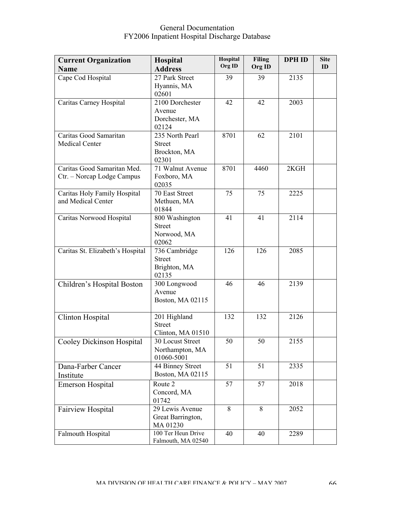| <b>Current Organization</b>      | <b>Hospital</b>                 | Hospital | <b>Filing</b> | <b>DPH ID</b> | <b>Site</b> |
|----------------------------------|---------------------------------|----------|---------------|---------------|-------------|
| <b>Name</b>                      | <b>Address</b>                  | Org ID   | Org ID        |               | ID          |
| Cape Cod Hospital                | 27 Park Street                  | 39       | 39            | 2135          |             |
|                                  | Hyannis, MA                     |          |               |               |             |
|                                  | 02601                           |          |               |               |             |
| Caritas Carney Hospital          | 2100 Dorchester                 | 42       | 42            | 2003          |             |
|                                  | Avenue                          |          |               |               |             |
|                                  | Dorchester, MA<br>02124         |          |               |               |             |
| Caritas Good Samaritan           | 235 North Pearl                 | 8701     | 62            | 2101          |             |
| <b>Medical Center</b>            | <b>Street</b>                   |          |               |               |             |
|                                  | Brockton, MA                    |          |               |               |             |
|                                  | 02301                           |          |               |               |             |
| Caritas Good Samaritan Med.      | 71 Walnut Avenue                | 8701     | 4460          | 2KGH          |             |
| Ctr. - Norcap Lodge Campus       | Foxboro, MA                     |          |               |               |             |
|                                  | 02035                           |          |               |               |             |
| Caritas Holy Family Hospital     | 70 East Street                  | 75       | 75            | 2225          |             |
| and Medical Center               | Methuen, MA                     |          |               |               |             |
| Caritas Norwood Hospital         | 01844                           | 41       | 41            | 2114          |             |
|                                  | 800 Washington<br><b>Street</b> |          |               |               |             |
|                                  | Norwood, MA                     |          |               |               |             |
|                                  | 02062                           |          |               |               |             |
| Caritas St. Elizabeth's Hospital | 736 Cambridge                   | 126      | 126           | 2085          |             |
|                                  | <b>Street</b>                   |          |               |               |             |
|                                  | Brighton, MA                    |          |               |               |             |
|                                  | 02135                           |          |               |               |             |
| Children's Hospital Boston       | 300 Longwood                    | 46       | 46            | 2139          |             |
|                                  | Avenue<br>Boston, MA 02115      |          |               |               |             |
|                                  |                                 |          |               |               |             |
| Clinton Hospital                 | 201 Highland                    | 132      | 132           | 2126          |             |
|                                  | <b>Street</b>                   |          |               |               |             |
|                                  | Clinton, MA 01510               |          |               |               |             |
| Cooley Dickinson Hospital        | 30 Locust Street                | 50       | 50            | 2155          |             |
|                                  | Northampton, MA                 |          |               |               |             |
|                                  | 01060-5001                      |          |               |               |             |
| Dana-Farber Cancer               | 44 Binney Street                | 51       | 51            | 2335          |             |
| Institute                        | Boston, MA 02115                |          |               |               |             |
| <b>Emerson Hospital</b>          | Route 2                         | 57       | 57            | 2018          |             |
|                                  | Concord, MA<br>01742            |          |               |               |             |
| <b>Fairview Hospital</b>         | 29 Lewis Avenue                 | 8        | 8             | 2052          |             |
|                                  | Great Barrington,               |          |               |               |             |
|                                  | MA 01230                        |          |               |               |             |
| Falmouth Hospital                | 100 Ter Heun Drive              | 40       | 40            | 2289          |             |
|                                  | Falmouth, MA 02540              |          |               |               |             |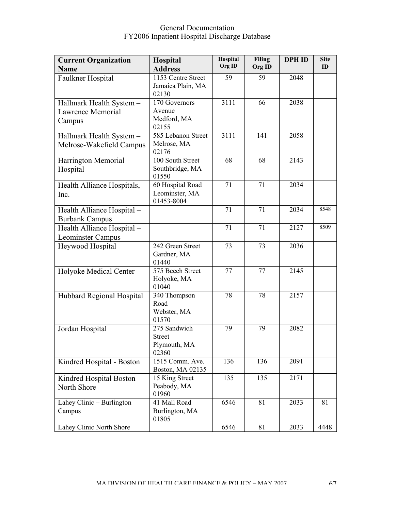| <b>Current Organization</b><br><b>Name</b>              | <b>Hospital</b><br><b>Address</b>                      | Hospital<br>Org ID | <b>Filing</b><br>Org ID | <b>DPH ID</b> | <b>Site</b><br>ID |
|---------------------------------------------------------|--------------------------------------------------------|--------------------|-------------------------|---------------|-------------------|
| Faulkner Hospital                                       | 1153 Centre Street<br>Jamaica Plain, MA<br>02130       | 59                 | 59                      | 2048          |                   |
| Hallmark Health System -<br>Lawrence Memorial<br>Campus | 170 Governors<br>Avenue<br>Medford, MA<br>02155        | 3111               | 66                      | 2038          |                   |
| Hallmark Health System -<br>Melrose-Wakefield Campus    | 585 Lebanon Street<br>Melrose, MA<br>02176             | 3111               | 141                     | 2058          |                   |
| Harrington Memorial<br>Hospital                         | 100 South Street<br>Southbridge, MA<br>01550           | 68                 | 68                      | 2143          |                   |
| Health Alliance Hospitals,<br>Inc.                      | 60 Hospital Road<br>Leominster, MA<br>01453-8004       | 71                 | 71                      | 2034          |                   |
| Health Alliance Hospital -<br><b>Burbank Campus</b>     |                                                        | 71                 | 71                      | 2034          | 8548              |
| Health Alliance Hospital -<br>Leominster Campus         |                                                        | 71                 | 71                      | 2127          | 8509              |
| Heywood Hospital                                        | 242 Green Street<br>Gardner, MA<br>01440               | 73                 | 73                      | 2036          |                   |
| Holyoke Medical Center                                  | 575 Beech Street<br>Holyoke, MA<br>01040               | 77                 | 77                      | 2145          |                   |
| Hubbard Regional Hospital                               | 340 Thompson<br>Road<br>Webster, MA<br>01570           | 78                 | 78                      | 2157          |                   |
| Jordan Hospital                                         | 275 Sandwich<br><b>Street</b><br>Plymouth, MA<br>02360 | 79                 | 79                      | 2082          |                   |
| Kindred Hospital - Boston                               | 1515 Comm. Ave.<br>Boston, MA 02135                    | 136                | 136                     | 2091          |                   |
| Kindred Hospital Boston -<br>North Shore                | 15 King Street<br>Peabody, MA<br>01960                 | 135                | 135                     | 2171          |                   |
| Lahey Clinic - Burlington<br>Campus                     | 41 Mall Road<br>Burlington, MA<br>01805                | 6546               | 81                      | 2033          | 81                |
| Lahey Clinic North Shore                                |                                                        | 6546               | 81                      | 2033          | 4448              |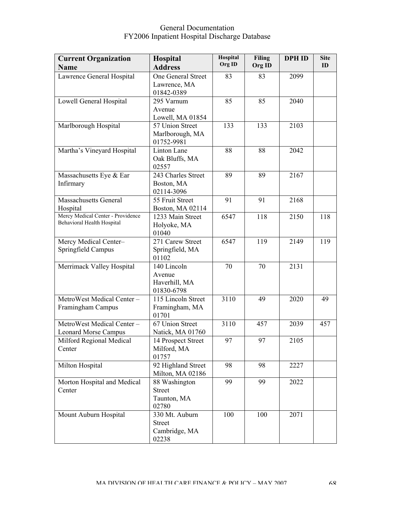| <b>Current Organization</b><br><b>Name</b>                      | Hospital<br><b>Address</b>                                           | Hospital<br>Org ID | <b>Filing</b><br>Org ID | <b>DPH ID</b> | <b>Site</b><br>ID |
|-----------------------------------------------------------------|----------------------------------------------------------------------|--------------------|-------------------------|---------------|-------------------|
| Lawrence General Hospital                                       | One General Street<br>Lawrence, MA                                   | 83                 | 83                      | 2099          |                   |
| Lowell General Hospital                                         | 01842-0389<br>295 Varnum<br>Avenue                                   | 85                 | 85                      | 2040          |                   |
| Marlborough Hospital                                            | Lowell, MA 01854<br>57 Union Street<br>Marlborough, MA<br>01752-9981 | 133                | 133                     | 2103          |                   |
| Martha's Vineyard Hospital                                      | Linton Lane<br>Oak Bluffs, MA<br>02557                               | 88                 | 88                      | 2042          |                   |
| Massachusetts Eye & Ear<br>Infirmary                            | 243 Charles Street<br>Boston, MA<br>02114-3096                       | 89                 | 89                      | 2167          |                   |
| <b>Massachusetts General</b><br>Hospital                        | 55 Fruit Street<br>Boston, MA 02114                                  | 91                 | 91                      | 2168          |                   |
| Mercy Medical Center - Providence<br>Behavioral Health Hospital | 1233 Main Street<br>Holyoke, MA<br>01040                             | 6547               | 118                     | 2150          | 118               |
| Mercy Medical Center-<br>Springfield Campus                     | 271 Carew Street<br>Springfield, MA<br>01102                         | 6547               | 119                     | 2149          | 119               |
| Merrimack Valley Hospital                                       | 140 Lincoln<br>Avenue<br>Haverhill, MA<br>01830-6798                 | 70                 | 70                      | 2131          |                   |
| MetroWest Medical Center-<br>Framingham Campus                  | 115 Lincoln Street<br>Framingham, MA<br>01701                        | 3110               | 49                      | 2020          | 49                |
| MetroWest Medical Center-<br><b>Leonard Morse Campus</b>        | 67 Union Street<br>Natick, MA 01760                                  | 3110               | 457                     | 2039          | 457               |
| Milford Regional Medical<br>Center                              | 14 Prospect Street<br>Milford, MA<br>01757                           | 97                 | 97                      | 2105          |                   |
| Milton Hospital                                                 | 92 Highland Street<br>Milton, MA 02186                               | 98                 | 98                      | 2227          |                   |
| Morton Hospital and Medical<br>Center                           | 88 Washington<br><b>Street</b><br>Taunton, MA<br>02780               | 99                 | 99                      | 2022          |                   |
| Mount Auburn Hospital                                           | 330 Mt. Auburn<br><b>Street</b><br>Cambridge, MA<br>02238            | 100                | 100                     | 2071          |                   |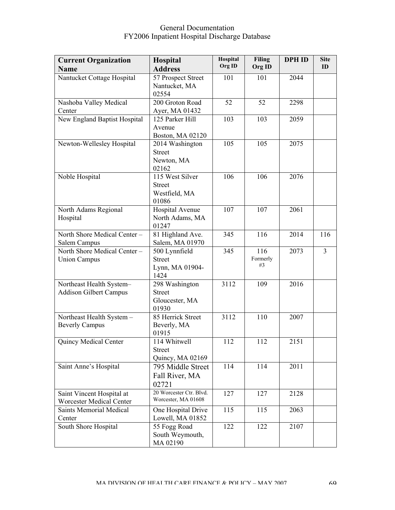| <b>Current Organization</b><br><b>Name</b>                | <b>Hospital</b><br><b>Address</b>                          | Hospital<br>Org ID | <b>Filing</b><br>Org ID | <b>DPH ID</b> | <b>Site</b><br>ID |
|-----------------------------------------------------------|------------------------------------------------------------|--------------------|-------------------------|---------------|-------------------|
| Nantucket Cottage Hospital                                | 57 Prospect Street<br>Nantucket, MA<br>02554               | 101                | 101                     | 2044          |                   |
| Nashoba Valley Medical<br>Center                          | 200 Groton Road<br>Ayer, MA 01432                          | 52                 | 52                      | 2298          |                   |
| New England Baptist Hospital                              | 125 Parker Hill<br>Avenue<br>Boston, MA 02120              | 103                | 103                     | 2059          |                   |
| Newton-Wellesley Hospital                                 | 2014 Washington<br><b>Street</b><br>Newton, MA<br>02162    | 105                | 105                     | 2075          |                   |
| Noble Hospital                                            | 115 West Silver<br><b>Street</b><br>Westfield, MA<br>01086 | 106                | 106                     | 2076          |                   |
| North Adams Regional<br>Hospital                          | Hospital Avenue<br>North Adams, MA<br>01247                | 107                | 107                     | 2061          |                   |
| North Shore Medical Center -<br>Salem Campus              | 81 Highland Ave.<br>Salem, MA 01970                        | 345                | 116                     | 2014          | 116               |
| North Shore Medical Center -<br><b>Union Campus</b>       | 500 Lynnfield<br><b>Street</b><br>Lynn, MA 01904-<br>1424  | 345                | 116<br>Formerly<br>#3   | 2073          | $\overline{3}$    |
| Northeast Health System-<br><b>Addison Gilbert Campus</b> | 298 Washington<br><b>Street</b><br>Gloucester, MA<br>01930 | 3112               | 109                     | 2016          |                   |
| Northeast Health System -<br><b>Beverly Campus</b>        | 85 Herrick Street<br>Beverly, MA<br>01915                  | 3112               | 110                     | 2007          |                   |
| Quincy Medical Center                                     | 114 Whitwell<br><b>Street</b><br>Quincy, MA 02169          | 112                | 112                     | 2151          |                   |
| Saint Anne's Hospital                                     | 795 Middle Street<br>Fall River, MA<br>02721               | 114                | 114                     | 2011          |                   |
| Saint Vincent Hospital at<br>Worcester Medical Center     | 20 Worcester Ctr. Blvd.<br>Worcester, MA 01608             | 127                | 127                     | 2128          |                   |
| <b>Saints Memorial Medical</b><br>Center                  | One Hospital Drive<br>Lowell, MA 01852                     | 115                | 115                     | 2063          |                   |
| South Shore Hospital                                      | 55 Fogg Road<br>South Weymouth,<br>MA 02190                | 122                | 122                     | 2107          |                   |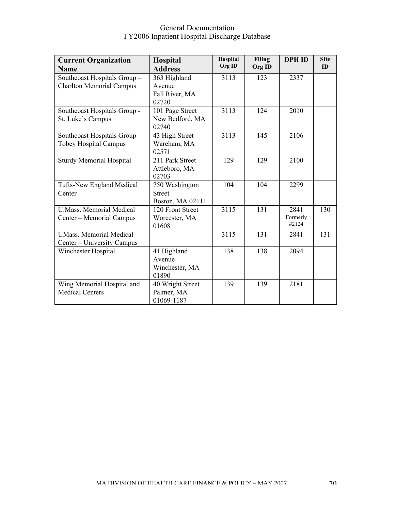| <b>Current Organization</b>     | Hospital                 | Hospital | <b>Filing</b> | <b>DPH ID</b> | <b>Site</b> |
|---------------------------------|--------------------------|----------|---------------|---------------|-------------|
| <b>Name</b>                     | <b>Address</b>           | Org ID   | Org ID        |               | ID          |
| Southcoast Hospitals Group-     | 363 Highland             | 3113     | 123           | 2337          |             |
| <b>Charlton Memorial Campus</b> | Avenue                   |          |               |               |             |
|                                 | Fall River, MA           |          |               |               |             |
|                                 | 02720                    |          |               |               |             |
| Southcoast Hospitals Group -    | 101 Page Street          | 3113     | 124           | 2010          |             |
| St. Luke's Campus               | New Bedford, MA          |          |               |               |             |
|                                 | 02740                    |          |               |               |             |
| Southcoast Hospitals Group-     | 43 High Street           | 3113     | 145           | 2106          |             |
| <b>Tobey Hospital Campus</b>    | Wareham, MA              |          |               |               |             |
| <b>Sturdy Memorial Hospital</b> | 02571<br>211 Park Street | 129      | 129           | 2100          |             |
|                                 | Attleboro, MA            |          |               |               |             |
|                                 | 02703                    |          |               |               |             |
| Tufts-New England Medical       | 750 Washington           | 104      | 104           | 2299          |             |
| Center                          | <b>Street</b>            |          |               |               |             |
|                                 | Boston, MA 02111         |          |               |               |             |
| <b>U.Mass. Memorial Medical</b> | 120 Front Street         | 3115     | 131           | 2841          | 130         |
| Center - Memorial Campus        | Worcester, MA            |          |               | Formerly      |             |
|                                 | 01608                    |          |               | #2124         |             |
| <b>UMass. Memorial Medical</b>  |                          | 3115     | 131           | 2841          | 131         |
| Center – University Campus      |                          |          |               |               |             |
| Winchester Hospital             | 41 Highland              | 138      | 138           | 2094          |             |
|                                 | Avenue                   |          |               |               |             |
|                                 | Winchester, MA           |          |               |               |             |
|                                 | 01890                    |          |               |               |             |
| Wing Memorial Hospital and      | 40 Wright Street         | 139      | 139           | 2181          |             |
| <b>Medical Centers</b>          | Palmer, MA               |          |               |               |             |
|                                 | 01069-1187               |          |               |               |             |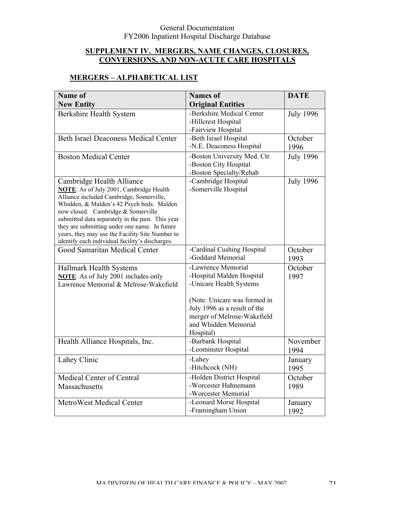### **SUPPLEMENT IV. MERGERS, NAME CHANGES, CLOSURES, CONVERSIONS, AND NON-ACUTE CARE HOSPITALS**

# **MERGERS – ALPHABETICAL LIST**

| Name of                                                                                            | <b>Names</b> of                                              | <b>DATE</b>      |
|----------------------------------------------------------------------------------------------------|--------------------------------------------------------------|------------------|
| <b>New Entity</b>                                                                                  | <b>Original Entities</b>                                     |                  |
| Berkshire Health System                                                                            | -Berkshire Medical Center                                    | <b>July 1996</b> |
|                                                                                                    | -Hillcrest Hospital                                          |                  |
|                                                                                                    | -Fairview Hospital                                           |                  |
| <b>Beth Israel Deaconess Medical Center</b>                                                        | -Beth Israel Hospital                                        | October          |
|                                                                                                    | -N.E. Deaconess Hospital                                     | 1996             |
| <b>Boston Medical Center</b>                                                                       | -Boston University Med. Ctr.                                 | <b>July 1996</b> |
|                                                                                                    | -Boston City Hospital                                        |                  |
|                                                                                                    | -Boston Specialty/Rehab                                      |                  |
| Cambridge Health Alliance                                                                          | -Cambridge Hospital<br>-Somerville Hospital                  | <b>July 1996</b> |
| <b>NOTE:</b> As of July 2001, Cambridge Health<br>Alliance included Cambridge, Somerville,         |                                                              |                  |
| Whidden, & Malden's 42 Psych beds. Malden                                                          |                                                              |                  |
| now closed. Cambridge & Somerville                                                                 |                                                              |                  |
| submitted data separately in the past. This year                                                   |                                                              |                  |
| they are submitting under one name. In future                                                      |                                                              |                  |
| years, they may use the Facility Site Number to<br>identify each individual facility's discharges. |                                                              |                  |
| Good Samaritan Medical Center                                                                      | -Cardinal Cushing Hospital                                   | October          |
|                                                                                                    | -Goddard Memorial                                            | 1993             |
| Hallmark Health Systems                                                                            | -Lawrence Memorial                                           | October          |
| <b>NOTE:</b> As of July 2001 includes only                                                         | -Hospital Malden Hospital                                    | 1997             |
| Lawrence Memorial & Melrose-Wakefield                                                              | -Unicare Health Systems                                      |                  |
|                                                                                                    |                                                              |                  |
|                                                                                                    | (Note: Unicare was formed in<br>July 1996 as a result of the |                  |
|                                                                                                    | merger of Melrose-Wakefield                                  |                  |
|                                                                                                    | and Whidden Memorial                                         |                  |
|                                                                                                    | Hospital)                                                    |                  |
| Health Alliance Hospitals, Inc.                                                                    | -Burbank Hospital                                            | November         |
|                                                                                                    | -Leominster Hospital                                         | 1994             |
| Lahey Clinic                                                                                       | -Lahey                                                       | January          |
|                                                                                                    | -Hitchcock (NH)                                              | 1995             |
| Medical Center of Central                                                                          | -Holden District Hospital                                    | October          |
| Massachusetts                                                                                      | -Worcester Hahnemann                                         | 1989             |
|                                                                                                    | -Worcester Memorial                                          |                  |
| MetroWest Medical Center                                                                           | -Leonard Morse Hospital                                      | January          |
|                                                                                                    | -Framingham Union                                            | 1992             |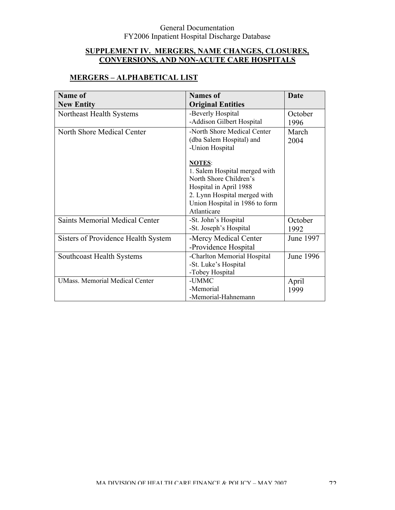### **SUPPLEMENT IV. MERGERS, NAME CHANGES, CLOSURES, CONVERSIONS, AND NON-ACUTE CARE HOSPITALS**

# **MERGERS – ALPHABETICAL LIST**

| <b>Name of</b>                        | <b>Names of</b>                                | <b>Date</b> |
|---------------------------------------|------------------------------------------------|-------------|
| <b>New Entity</b>                     | <b>Original Entities</b>                       |             |
| Northeast Health Systems              | -Beverly Hospital                              | October     |
|                                       | -Addison Gilbert Hospital                      | 1996        |
| North Shore Medical Center            | -North Shore Medical Center                    | March       |
|                                       | (dba Salem Hospital) and                       | 2004        |
|                                       | -Union Hospital                                |             |
|                                       |                                                |             |
|                                       | <b>NOTES:</b><br>1. Salem Hospital merged with |             |
|                                       | North Shore Children's                         |             |
|                                       | Hospital in April 1988                         |             |
|                                       | 2. Lynn Hospital merged with                   |             |
|                                       | Union Hospital in 1986 to form                 |             |
|                                       | Atlanticare                                    |             |
| <b>Saints Memorial Medical Center</b> | -St. John's Hospital                           | October     |
|                                       | -St. Joseph's Hospital                         | 1992        |
| Sisters of Providence Health System   | -Mercy Medical Center                          | June 1997   |
|                                       | -Providence Hospital                           |             |
| <b>Southcoast Health Systems</b>      | -Charlton Memorial Hospital                    | June 1996   |
|                                       | -St. Luke's Hospital                           |             |
|                                       | -Tobey Hospital                                |             |
| <b>UMass. Memorial Medical Center</b> | -UMMC                                          | April       |
|                                       | -Memorial                                      | 1999        |
|                                       | -Memorial-Hahnemann                            |             |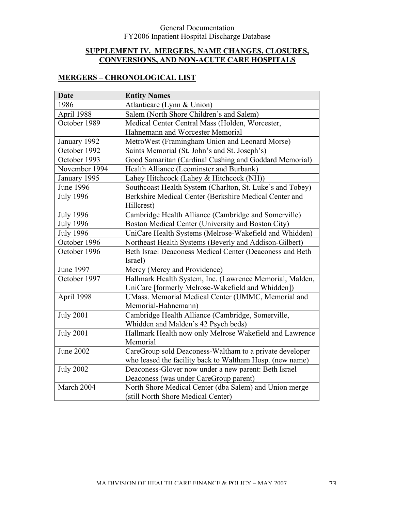### **SUPPLEMENT IV. MERGERS, NAME CHANGES, CLOSURES, CONVERSIONS, AND NON-ACUTE CARE HOSPITALS**

### **MERGERS – CHRONOLOGICAL LIST**

| <b>Date</b>      | <b>Entity Names</b>                                       |  |
|------------------|-----------------------------------------------------------|--|
| 1986             | Atlanticare (Lynn & Union)                                |  |
| April 1988       | Salem (North Shore Children's and Salem)                  |  |
| October 1989     | Medical Center Central Mass (Holden, Worcester,           |  |
|                  | Hahnemann and Worcester Memorial                          |  |
| January 1992     | MetroWest (Framingham Union and Leonard Morse)            |  |
| October 1992     | Saints Memorial (St. John's and St. Joseph's)             |  |
| October 1993     | Good Samaritan (Cardinal Cushing and Goddard Memorial)    |  |
| November 1994    | Health Alliance (Leominster and Burbank)                  |  |
| January 1995     | Lahey Hitchcock (Lahey & Hitchcock (NH))                  |  |
| <b>June 1996</b> | Southcoast Health System (Charlton, St. Luke's and Tobey) |  |
| <b>July 1996</b> | Berkshire Medical Center (Berkshire Medical Center and    |  |
|                  | Hillcrest)                                                |  |
| <b>July 1996</b> | Cambridge Health Alliance (Cambridge and Somerville)      |  |
| <b>July 1996</b> | Boston Medical Center (University and Boston City)        |  |
| <b>July 1996</b> | UniCare Health Systems (Melrose-Wakefield and Whidden)    |  |
| October 1996     | Northeast Health Systems (Beverly and Addison-Gilbert)    |  |
| October 1996     | Beth Israel Deaconess Medical Center (Deaconess and Beth  |  |
|                  | Israel)                                                   |  |
| June 1997        | Mercy (Mercy and Providence)                              |  |
| October 1997     | Hallmark Health System, Inc. (Lawrence Memorial, Malden,  |  |
|                  | UniCare [formerly Melrose-Wakefield and Whidden])         |  |
| April 1998       | UMass. Memorial Medical Center (UMMC, Memorial and        |  |
|                  | Memorial-Hahnemann)                                       |  |
| <b>July 2001</b> | Cambridge Health Alliance (Cambridge, Somerville,         |  |
|                  | Whidden and Malden's 42 Psych beds)                       |  |
| <b>July 2001</b> | Hallmark Health now only Melrose Wakefield and Lawrence   |  |
|                  | Memorial                                                  |  |
| <b>June 2002</b> | CareGroup sold Deaconess-Waltham to a private developer   |  |
|                  | who leased the facility back to Waltham Hosp. (new name)  |  |
| <b>July 2002</b> | Deaconess-Glover now under a new parent: Beth Israel      |  |
|                  | Deaconess (was under CareGroup parent)                    |  |
| March 2004       | North Shore Medical Center (dba Salem) and Union merge    |  |
|                  | (still North Shore Medical Center)                        |  |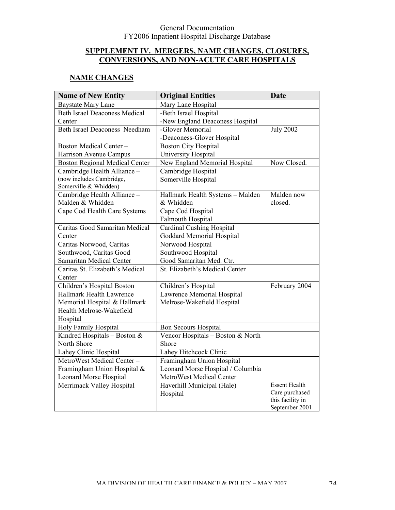### **SUPPLEMENT IV. MERGERS, NAME CHANGES, CLOSURES, CONVERSIONS, AND NON-ACUTE CARE HOSPITALS**

### **NAME CHANGES**

| <b>Name of New Entity</b>             | <b>Original Entities</b>          | <b>Date</b>                        |
|---------------------------------------|-----------------------------------|------------------------------------|
| <b>Baystate Mary Lane</b>             | Mary Lane Hospital                |                                    |
| <b>Beth Israel Deaconess Medical</b>  | -Beth Israel Hospital             |                                    |
| Center                                | -New England Deaconess Hospital   |                                    |
| <b>Beth Israel Deaconess Needham</b>  | -Glover Memorial                  | <b>July 2002</b>                   |
|                                       | -Deaconess-Glover Hospital        |                                    |
| <b>Boston Medical Center-</b>         | <b>Boston City Hospital</b>       |                                    |
| Harrison Avenue Campus                | University Hospital               |                                    |
| <b>Boston Regional Medical Center</b> | New England Memorial Hospital     | Now Closed.                        |
| Cambridge Health Alliance -           | Cambridge Hospital                |                                    |
| (now includes Cambridge,              | Somerville Hospital               |                                    |
| Somerville & Whidden)                 |                                   |                                    |
| Cambridge Health Alliance -           | Hallmark Health Systems - Malden  | Malden now                         |
| Malden & Whidden                      | & Whidden                         | closed.                            |
| Cape Cod Health Care Systems          | Cape Cod Hospital                 |                                    |
|                                       | <b>Falmouth Hospital</b>          |                                    |
| Caritas Good Samaritan Medical        | <b>Cardinal Cushing Hospital</b>  |                                    |
| Center                                | <b>Goddard Memorial Hospital</b>  |                                    |
| Caritas Norwood, Caritas              | Norwood Hospital                  |                                    |
| Southwood, Caritas Good               | Southwood Hospital                |                                    |
| Samaritan Medical Center              | Good Samaritan Med. Ctr.          |                                    |
| Caritas St. Elizabeth's Medical       | St. Elizabeth's Medical Center    |                                    |
| Center                                |                                   |                                    |
| Children's Hospital Boston            | Children's Hospital               | February 2004                      |
| Hallmark Health Lawrence              | Lawrence Memorial Hospital        |                                    |
| Memorial Hospital & Hallmark          | Melrose-Wakefield Hospital        |                                    |
| Health Melrose-Wakefield              |                                   |                                    |
| Hospital                              |                                   |                                    |
| Holy Family Hospital                  | <b>Bon Secours Hospital</b>       |                                    |
| Kindred Hospitals - Boston $&$        | Vencor Hospitals - Boston & North |                                    |
| North Shore                           | Shore                             |                                    |
| Lahey Clinic Hospital                 | Lahey Hitchcock Clinic            |                                    |
| MetroWest Medical Center-             | Framingham Union Hospital         |                                    |
| Framingham Union Hospital &           | Leonard Morse Hospital / Columbia |                                    |
| <b>Leonard Morse Hospital</b>         | MetroWest Medical Center          |                                    |
| Merrimack Valley Hospital             | Haverhill Municipal (Hale)        | <b>Essent Health</b>               |
|                                       | Hospital                          | Care purchased                     |
|                                       |                                   | this facility in<br>September 2001 |
|                                       |                                   |                                    |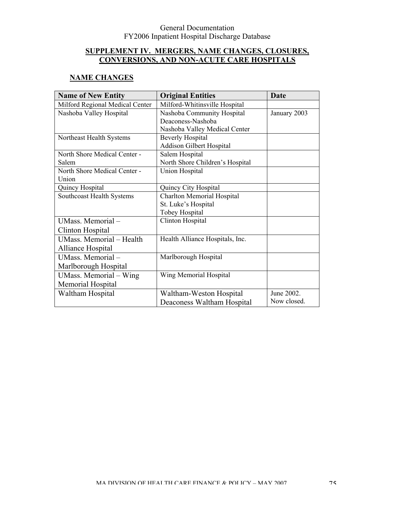### **SUPPLEMENT IV. MERGERS, NAME CHANGES, CLOSURES, CONVERSIONS, AND NON-ACUTE CARE HOSPITALS**

### **NAME CHANGES**

| <b>Name of New Entity</b>        | <b>Original Entities</b>              | <b>Date</b>  |
|----------------------------------|---------------------------------------|--------------|
| Milford Regional Medical Center  | Milford-Whitinsville Hospital         |              |
| Nashoba Valley Hospital          | Nashoba Community Hospital            | January 2003 |
|                                  | Deaconess-Nashoba                     |              |
|                                  | Nashoba Valley Medical Center         |              |
| Northeast Health Systems         | <b>Beverly Hospital</b>               |              |
|                                  | Addison Gilbert Hospital              |              |
| North Shore Medical Center -     | Salem Hospital                        |              |
| Salem                            | North Shore Children's Hospital       |              |
| North Shore Medical Center -     | <b>Union Hospital</b>                 |              |
| Union                            |                                       |              |
| Quincy Hospital                  | Quincy City Hospital                  |              |
| <b>Southcoast Health Systems</b> | <b>Charlton Memorial Hospital</b>     |              |
|                                  | St. Luke's Hospital                   |              |
|                                  | Tobey Hospital                        |              |
| UMass. Memorial-                 | Clinton Hospital                      |              |
| Clinton Hospital                 |                                       |              |
| UMass. Memorial - Health         | Health Alliance Hospitals, Inc.       |              |
| Alliance Hospital                |                                       |              |
| UMass. Memorial-                 | Marlborough Hospital                  |              |
| Marlborough Hospital             |                                       |              |
| UMass. Memorial - Wing           | Wing Memorial Hospital                |              |
| Memorial Hospital                |                                       |              |
| Waltham Hospital                 | June 2002.<br>Waltham-Weston Hospital |              |
|                                  | Deaconess Waltham Hospital            | Now closed.  |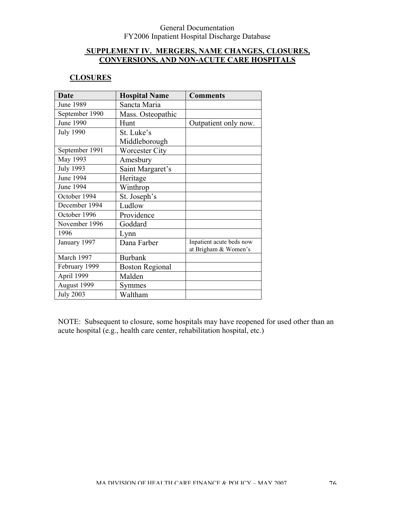### **SUPPLEMENT IV. MERGERS, NAME CHANGES, CLOSURES, CONVERSIONS, AND NON-ACUTE CARE HOSPITALS**

### **CLOSURES**

| <b>Date</b>      | <b>Hospital Name</b>   | <b>Comments</b>          |
|------------------|------------------------|--------------------------|
| <b>June 1989</b> | Sancta Maria           |                          |
| September 1990   | Mass. Osteopathic      |                          |
| <b>June 1990</b> | Hunt                   | Outpatient only now.     |
| <b>July 1990</b> | St. Luke's             |                          |
|                  | Middleborough          |                          |
| September 1991   | <b>Worcester City</b>  |                          |
| May 1993         | Amesbury               |                          |
| <b>July 1993</b> | Saint Margaret's       |                          |
| June 1994        | Heritage               |                          |
| June 1994        | Winthrop               |                          |
| October 1994     | St. Joseph's           |                          |
| December 1994    | Ludlow                 |                          |
| October 1996     | Providence             |                          |
| November 1996    | Goddard                |                          |
| 1996             | Lynn                   |                          |
| January 1997     | Dana Farber            | Inpatient acute beds now |
|                  |                        | at Brigham & Women's     |
| March 1997       | <b>Burbank</b>         |                          |
| February 1999    | <b>Boston Regional</b> |                          |
| April 1999       | Malden                 |                          |
| August 1999      | Symmes                 |                          |
| <b>July 2003</b> | Waltham                |                          |

NOTE: Subsequent to closure, some hospitals may have reopened for used other than an acute hospital (e.g., health care center, rehabilitation hospital, etc.)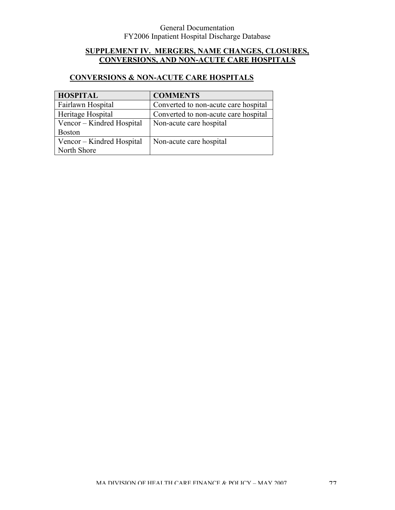### **SUPPLEMENT IV. MERGERS, NAME CHANGES, CLOSURES, CONVERSIONS, AND NON-ACUTE CARE HOSPITALS**

# **CONVERSIONS & NON-ACUTE CARE HOSPITALS**

| <b>HOSPITAL</b>           | <b>COMMENTS</b>                      |
|---------------------------|--------------------------------------|
| Fairlawn Hospital         | Converted to non-acute care hospital |
| Heritage Hospital         | Converted to non-acute care hospital |
| Vencor – Kindred Hospital | Non-acute care hospital              |
| <b>Boston</b>             |                                      |
| Vencor – Kindred Hospital | Non-acute care hospital              |
| North Shore               |                                      |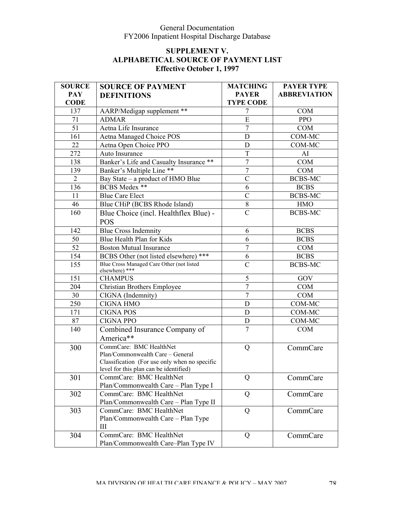| <b>SOURCE</b>   | <b>SOURCE OF PAYMENT</b>                                                                                                                               | <b>MATCHING</b>  | <b>PAYER TYPE</b>   |
|-----------------|--------------------------------------------------------------------------------------------------------------------------------------------------------|------------------|---------------------|
| <b>PAY</b>      | <b>DEFINITIONS</b>                                                                                                                                     | <b>PAYER</b>     | <b>ABBREVIATION</b> |
| <b>CODE</b>     |                                                                                                                                                        | <b>TYPE CODE</b> |                     |
| 137             | AARP/Medigap supplement **                                                                                                                             | 7                | <b>COM</b>          |
| 71              | <b>ADMAR</b>                                                                                                                                           | $\overline{E}$   | <b>PPO</b>          |
| $\overline{51}$ | Aetna Life Insurance                                                                                                                                   | $\overline{7}$   | <b>COM</b>          |
| 161             | Aetna Managed Choice POS                                                                                                                               | D                | COM-MC              |
| 22              | Aetna Open Choice PPO                                                                                                                                  | D                | COM-MC              |
| 272             | Auto Insurance                                                                                                                                         | T                | AI                  |
| 138             | Banker's Life and Casualty Insurance **                                                                                                                | $\overline{7}$   | <b>COM</b>          |
| 139             | Banker's Multiple Line **                                                                                                                              | $\tau$           | <b>COM</b>          |
| $\overline{2}$  | Bay State – a product of HMO Blue                                                                                                                      | $\overline{C}$   | <b>BCBS-MC</b>      |
| 136             | BCBS Medex **                                                                                                                                          | 6                | <b>BCBS</b>         |
| 11              | <b>Blue Care Elect</b>                                                                                                                                 | $\overline{C}$   | <b>BCBS-MC</b>      |
| 46              | Blue CHiP (BCBS Rhode Island)                                                                                                                          | $8\,$            | <b>HMO</b>          |
| 160             | Blue Choice (incl. Healthflex Blue) -                                                                                                                  | $\overline{C}$   | <b>BCBS-MC</b>      |
|                 | <b>POS</b>                                                                                                                                             |                  |                     |
| 142             | <b>Blue Cross Indemnity</b>                                                                                                                            | 6                | <b>BCBS</b>         |
| 50              | Blue Health Plan for Kids                                                                                                                              | 6                | <b>BCBS</b>         |
| 52              | <b>Boston Mutual Insurance</b>                                                                                                                         | $\tau$           | <b>COM</b>          |
| 154             | BCBS Other (not listed elsewhere) ***                                                                                                                  | 6                | <b>BCBS</b>         |
| 155             | Blue Cross Managed Care Other (not listed<br>elsewhere) ***                                                                                            | $\mathcal{C}$    | <b>BCBS-MC</b>      |
| 151             | <b>CHAMPUS</b>                                                                                                                                         | 5                | GOV                 |
| 204             | <b>Christian Brothers Employee</b>                                                                                                                     | $\overline{7}$   | <b>COM</b>          |
| 30              | CIGNA (Indemnity)                                                                                                                                      | $\overline{7}$   | <b>COM</b>          |
| 250             | <b>CIGNA HMO</b>                                                                                                                                       | D                | COM-MC              |
| 171             | <b>CIGNA POS</b>                                                                                                                                       | D                | COM-MC              |
| 87              | <b>CIGNA PPO</b>                                                                                                                                       | D                | COM-MC              |
| 140             | Combined Insurance Company of<br>America**                                                                                                             | $\overline{7}$   | <b>COM</b>          |
| 300             | CommCare: BMC HealthNet<br>Plan/Commonwealth Care - General<br>Classification (For use only when no specific<br>level for this plan can be identified) | Q                | CommCare            |
| 301             | CommCare: BMC HealthNet<br>Plan/Commonwealth Care - Plan Type I                                                                                        | Q                | CommCare            |
| 302             | CommCare: BMC HealthNet<br>Plan/Commonwealth Care - Plan Type II                                                                                       | Q                | CommCare            |
| 303             | CommCare: BMC HealthNet<br>Plan/Commonwealth Care - Plan Type<br>III                                                                                   | Q                | CommCare            |
| 304             | CommCare: BMC HealthNet<br>Plan/Commonwealth Care-Plan Type IV                                                                                         | Q                | CommCare            |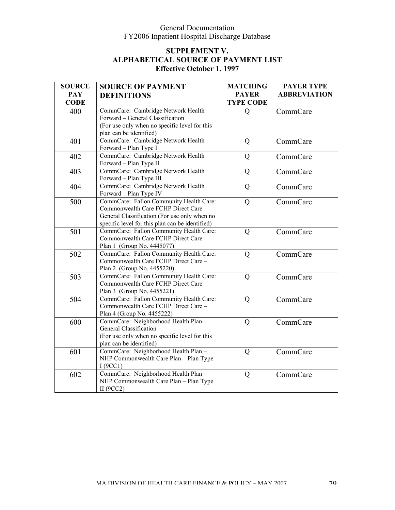| <b>SOURCE</b> | <b>SOURCE OF PAYMENT</b>                                              | <b>MATCHING</b>  | <b>PAYER TYPE</b>   |
|---------------|-----------------------------------------------------------------------|------------------|---------------------|
| <b>PAY</b>    | <b>DEFINITIONS</b>                                                    | <b>PAYER</b>     | <b>ABBREVIATION</b> |
| <b>CODE</b>   |                                                                       | <b>TYPE CODE</b> |                     |
| 400           | CommCare: Cambridge Network Health                                    | $\mathbf Q$      | CommCare            |
|               | Forward - General Classification                                      |                  |                     |
|               | (For use only when no specific level for this                         |                  |                     |
|               | plan can be identified)                                               |                  |                     |
| 401           | CommCare: Cambridge Network Health                                    | Q                | CommCare            |
|               | Forward - Plan Type I                                                 |                  |                     |
| 402           | CommCare: Cambridge Network Health                                    | Q                | CommCare            |
|               | Forward - Plan Type II                                                |                  |                     |
| 403           | CommCare: Cambridge Network Health                                    | Q                | CommCare            |
|               | Forward - Plan Type III                                               |                  |                     |
| 404           | CommCare: Cambridge Network Health                                    | Q                | CommCare            |
|               | Forward - Plan Type IV                                                |                  |                     |
| 500           | CommCare: Fallon Community Health Care:                               | Q                | CommCare            |
|               | Commonwealth Care FCHP Direct Care -                                  |                  |                     |
|               | General Classification (For use only when no                          |                  |                     |
|               | specific level for this plan can be identified)                       |                  |                     |
| 501           | CommCare: Fallon Community Health Care:                               | Q                | CommCare            |
|               | Commonwealth Care FCHP Direct Care -                                  |                  |                     |
|               | Plan 1 (Group No. 4445077)                                            |                  |                     |
| 502           | CommCare: Fallon Community Health Care:                               | Q                | CommCare            |
|               | Commonwealth Care FCHP Direct Care -                                  |                  |                     |
|               | Plan 2 (Group No. 4455220)<br>CommCare: Fallon Community Health Care: |                  |                     |
| 503           | Commonwealth Care FCHP Direct Care -                                  | Q                | CommCare            |
|               | Plan 3 (Group No. 4455221)                                            |                  |                     |
| 504           | CommCare: Fallon Community Health Care:                               | Q                | CommCare            |
|               | Commonwealth Care FCHP Direct Care -                                  |                  |                     |
|               | Plan 4 (Group No. 4455222)                                            |                  |                     |
| 600           | CommCare: Neighborhood Health Plan-                                   | Q                | CommCare            |
|               | General Classification                                                |                  |                     |
|               | (For use only when no specific level for this                         |                  |                     |
|               | plan can be identified)                                               |                  |                     |
| 601           | CommCare: Neighborhood Health Plan -                                  | Q                | CommCare            |
|               | NHP Commonwealth Care Plan - Plan Type                                |                  |                     |
|               | I(9CC1)                                                               |                  |                     |
| 602           | CommCare: Neighborhood Health Plan -                                  | Q                | CommCare            |
|               | NHP Commonwealth Care Plan - Plan Type                                |                  |                     |
|               | II $(9CC2)$                                                           |                  |                     |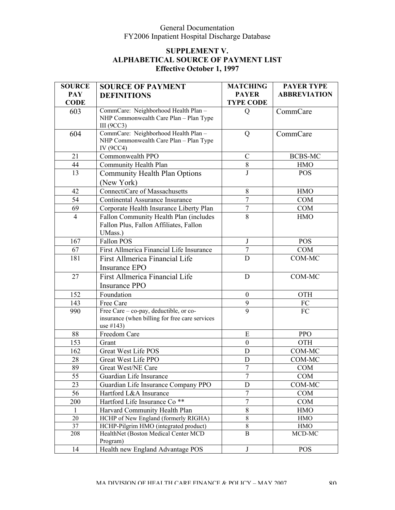| <b>SOURCE</b>  | <b>SOURCE OF PAYMENT</b>                       | <b>MATCHING</b>  | <b>PAYER TYPE</b>   |
|----------------|------------------------------------------------|------------------|---------------------|
| <b>PAY</b>     | <b>DEFINITIONS</b>                             | <b>PAYER</b>     | <b>ABBREVIATION</b> |
| <b>CODE</b>    |                                                | <b>TYPE CODE</b> |                     |
| 603            | CommCare: Neighborhood Health Plan -           | Q                | CommCare            |
|                | NHP Commonwealth Care Plan - Plan Type         |                  |                     |
|                | III $(9CC3)$                                   |                  |                     |
| 604            | CommCare: Neighborhood Health Plan -           | Q                | CommCare            |
|                | NHP Commonwealth Care Plan - Plan Type         |                  |                     |
|                | IV (9CC4)                                      |                  |                     |
| 21             | Commonwealth PPO                               | $\mathcal{C}$    | <b>BCBS-MC</b>      |
| 44             | Community Health Plan                          | $8\,$            | <b>HMO</b>          |
| 13             | <b>Community Health Plan Options</b>           | J                | <b>POS</b>          |
|                | (New York)                                     |                  |                     |
| 42             | <b>ConnectiCare of Massachusetts</b>           | 8                | <b>HMO</b>          |
| 54             | Continental Assurance Insurance                | $\overline{7}$   | <b>COM</b>          |
| 69             | Corporate Health Insurance Liberty Plan        | $\tau$           | <b>COM</b>          |
| $\overline{4}$ | Fallon Community Health Plan (includes         | 8                | <b>HMO</b>          |
|                | Fallon Plus, Fallon Affiliates, Fallon         |                  |                     |
|                | UMass.)                                        |                  |                     |
| 167            | Fallon POS                                     | J                | <b>POS</b>          |
| 67             | First Allmerica Financial Life Insurance       | $\overline{7}$   | <b>COM</b>          |
| 181            | First Allmerica Financial Life                 | D                | COM-MC              |
|                | Insurance EPO                                  |                  |                     |
| 27             | First Allmerica Financial Life                 | D                | COM-MC              |
|                | <b>Insurance PPO</b>                           |                  |                     |
| 152            | Foundation                                     | $\mathbf{0}$     | <b>OTH</b>          |
| 143            | Free Care                                      | 9                | FC                  |
| 990            | Free Care – co-pay, deductible, or co-         | 9                | FC                  |
|                | insurance (when billing for free care services |                  |                     |
|                | use #143)                                      |                  |                     |
| 88             | Freedom Care                                   | E                | <b>PPO</b>          |
| 153            | Grant                                          | $\boldsymbol{0}$ | <b>OTH</b>          |
| 162            | <b>Great West Life POS</b>                     | D                | COM-MC              |
| 28             | Great West Life PPO                            | D                | COM-MC              |
| 89             | Great West/NE Care                             | $\overline{7}$   | <b>COM</b>          |
| 55             | Guardian Life Insurance                        | $\tau$           | <b>COM</b>          |
| 23             | Guardian Life Insurance Company PPO            | $\mathbf D$      | COM-MC              |
| 56             | Hartford L&A Insurance                         | $\overline{7}$   | <b>COM</b>          |
| 200            | Hartford Life Insurance Co <sup>**</sup>       | $\overline{7}$   | COM                 |
| $\mathbf{1}$   | Harvard Community Health Plan                  | $8\,$            | <b>HMO</b>          |
| 20             | HCHP of New England (formerly RIGHA)           | $\,8\,$          | <b>HMO</b>          |
| 37             | HCHP-Pilgrim HMO (integrated product)          | $8\,$            | <b>HMO</b>          |
| 208            | HealthNet (Boston Medical Center MCD           | B                | MCD-MC              |
|                | Program)                                       |                  |                     |
| 14             | Health new England Advantage POS               | $\bf J$          | <b>POS</b>          |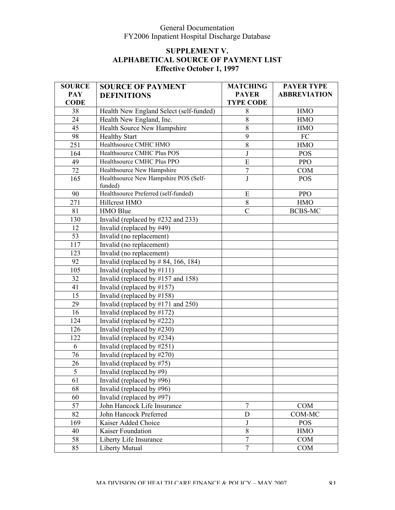| <b>SOURCE</b> | <b>SOURCE OF PAYMENT</b>                         | <b>MATCHING</b>  | <b>PAYER TYPE</b>   |
|---------------|--------------------------------------------------|------------------|---------------------|
| <b>PAY</b>    | <b>DEFINITIONS</b>                               | <b>PAYER</b>     | <b>ABBREVIATION</b> |
| <b>CODE</b>   |                                                  | <b>TYPE CODE</b> |                     |
| 38            | Health New England Select (self-funded)          | $8\,$            | <b>HMO</b>          |
| 24            | Health New England, Inc.                         | 8                | <b>HMO</b>          |
| 45            | Health Source New Hampshire                      | $8\,$            | <b>HMO</b>          |
| 98            | <b>Healthy Start</b>                             | 9                | FC                  |
| 251           | Healthsource CMHC HMO                            | $8\,$            | <b>HMO</b>          |
| 164           | Healthsource CMHC Plus POS                       | $\bf J$          | <b>POS</b>          |
| 49            | Healthsource CMHC Plus PPO                       | E                | <b>PPO</b>          |
| 72            | Healthsource New Hampshire                       | $\overline{7}$   | <b>COM</b>          |
| 165           | Healthsource New Hampshire POS (Self-<br>funded) | J                | <b>POS</b>          |
| 90            | Healthsource Preferred (self-funded)             | E                | <b>PPO</b>          |
| 271           | Hillcrest HMO                                    | $8\,$            | <b>HMO</b>          |
| 81            | HMO Blue                                         | $\overline{C}$   | <b>BCBS-MC</b>      |
| 130           | Invalid (replaced by #232 and 233)               |                  |                     |
| 12            | Invalid (replaced by #49)                        |                  |                     |
| 53            | Invalid (no replacement)                         |                  |                     |
| 117           | Invalid (no replacement)                         |                  |                     |
| 123           | Invalid (no replacement)                         |                  |                     |
| 92            | Invalid (replaced by $\#$ 84, 166, 184)          |                  |                     |
| 105           | Invalid (replaced by $\#111$ )                   |                  |                     |
| 32            | Invalid (replaced by $\#157$ and 158)            |                  |                     |
| 41            | Invalid (replaced by $\#157$ )                   |                  |                     |
| 15            | Invalid (replaced by $\#158$ )                   |                  |                     |
| 29            | Invalid (replaced by $\#171$ and 250)            |                  |                     |
| 16            | Invalid (replaced by $\#172$ )                   |                  |                     |
| 124           | Invalid (replaced by #222)                       |                  |                     |
| 126           | Invalid (replaced by $\#230$ )                   |                  |                     |
| 122           | Invalid (replaced by #234)                       |                  |                     |
| 6             | Invalid (replaced by $\#251$ )                   |                  |                     |
| 76            | Invalid (replaced by #270)                       |                  |                     |
| 26            | Invalid (replaced by $\#75$ )                    |                  |                     |
| 5             | Invalid (replaced by #9)                         |                  |                     |
| 61            | Invalid (replaced by $\#96$ )                    |                  |                     |
| 68            | Invalid (replaced by $\#96$ )                    |                  |                     |
| 60            | Invalid (replaced by #97)                        |                  |                     |
| 57            | John Hancock Life Insurance                      | $\overline{7}$   | <b>COM</b>          |
| 82            | John Hancock Preferred                           | D                | COM-MC              |
| 169           | Kaiser Added Choice                              | $_{\rm J}$       | <b>POS</b>          |
| 40            | Kaiser Foundation                                | $8\,$            | <b>HMO</b>          |
| 58            | Liberty Life Insurance                           | $\overline{7}$   | <b>COM</b>          |
| 85            | Liberty Mutual                                   | $\overline{7}$   | <b>COM</b>          |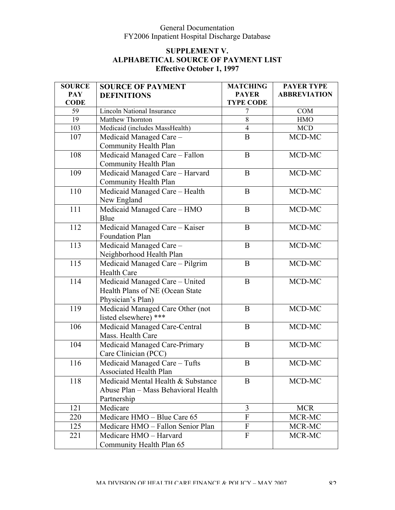| <b>SOURCE</b> | <b>SOURCE OF PAYMENT</b>            | <b>MATCHING</b>           | <b>PAYER TYPE</b>   |
|---------------|-------------------------------------|---------------------------|---------------------|
| <b>PAY</b>    | <b>DEFINITIONS</b>                  | <b>PAYER</b>              | <b>ABBREVIATION</b> |
| <b>CODE</b>   |                                     | <b>TYPE CODE</b>          |                     |
| 59            | <b>Lincoln National Insurance</b>   | 7                         | <b>COM</b>          |
| 19            | Matthew Thornton                    | 8                         | <b>HMO</b>          |
| 103           | Medicaid (includes MassHealth)      | $\overline{4}$            | <b>MCD</b>          |
| 107           | Medicaid Managed Care -             | B                         | MCD-MC              |
|               | Community Health Plan               |                           |                     |
| 108           | Medicaid Managed Care - Fallon      | $\bf{B}$                  | MCD-MC              |
|               | Community Health Plan               |                           |                     |
| 109           | Medicaid Managed Care - Harvard     | $\bf{B}$                  | MCD-MC              |
|               | Community Health Plan               |                           |                     |
| 110           | Medicaid Managed Care - Health      | $\bf{B}$                  | MCD-MC              |
|               | New England                         |                           |                     |
| 111           | Medicaid Managed Care - HMO         | $\bf{B}$                  | MCD-MC              |
|               | Blue                                |                           |                     |
| 112           | Medicaid Managed Care - Kaiser      | $\bf{B}$                  | MCD-MC              |
|               | <b>Foundation Plan</b>              |                           |                     |
| 113           | Medicaid Managed Care -             | $\mathbf B$               | MCD-MC              |
|               | Neighborhood Health Plan            |                           |                     |
| 115           | Medicaid Managed Care - Pilgrim     | $\bf{B}$                  | MCD-MC              |
|               | <b>Health Care</b>                  |                           |                     |
| 114           | Medicaid Managed Care - United      | B                         | MCD-MC              |
|               | Health Plans of NE (Ocean State     |                           |                     |
|               | Physician's Plan)                   |                           |                     |
| 119           | Medicaid Managed Care Other (not    | B                         | MCD-MC              |
|               | listed elsewhere) ***               |                           |                     |
| 106           | Medicaid Managed Care-Central       | $\bf{B}$                  | MCD-MC              |
|               | Mass. Health Care                   |                           |                     |
| 104           | Medicaid Managed Care-Primary       | $\mathbf B$               | MCD-MC              |
|               | Care Clinician (PCC)                |                           |                     |
| 116           | Medicaid Managed Care - Tufts       | $\bf{B}$                  | MCD-MC              |
|               | Associated Health Plan              |                           |                     |
| 118           | Medicaid Mental Health & Substance  | B                         | MCD-MC              |
|               | Abuse Plan - Mass Behavioral Health |                           |                     |
|               | Partnership                         |                           |                     |
| 121           | Medicare                            | 3                         | <b>MCR</b>          |
| 220           | Medicare HMO - Blue Care 65         | $\mathbf{F}$              | MCR-MC              |
| 125           | Medicare HMO - Fallon Senior Plan   | $\boldsymbol{\mathrm{F}}$ | MCR-MC              |
| 221           | Medicare HMO - Harvard              | $\overline{F}$            | MCR-MC              |
|               | Community Health Plan 65            |                           |                     |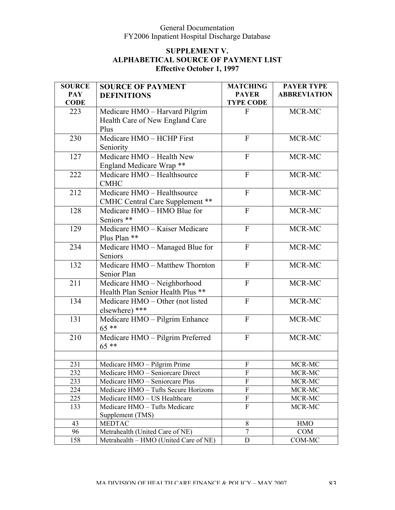| <b>SOURCE</b> | <b>SOURCE OF PAYMENT</b>               | <b>MATCHING</b>           | <b>PAYER TYPE</b>   |
|---------------|----------------------------------------|---------------------------|---------------------|
| <b>PAY</b>    | <b>DEFINITIONS</b>                     | <b>PAYER</b>              | <b>ABBREVIATION</b> |
| <b>CODE</b>   |                                        | <b>TYPE CODE</b>          |                     |
| 223           | Medicare HMO - Harvard Pilgrim         | F                         | MCR-MC              |
|               | Health Care of New England Care        |                           |                     |
|               | Plus                                   |                           |                     |
| 230           | Medicare HMO - HCHP First              | $\mathbf{F}$              | MCR-MC              |
|               | Seniority                              |                           |                     |
| 127           | Medicare HMO - Health New              | $\overline{F}$            | MCR-MC              |
|               | England Medicare Wrap **               |                           |                     |
| 222           | Medicare HMO - Healthsource            | $\mathbf{F}$              | MCR-MC              |
|               | <b>CMHC</b>                            |                           |                     |
| 212           | Medicare HMO - Healthsource            | $\mathbf{F}$              | MCR-MC              |
|               | <b>CMHC Central Care Supplement **</b> |                           |                     |
| 128           | Medicare HMO - HMO Blue for            | $\mathbf{F}$              | MCR-MC              |
|               | Seniors **                             |                           |                     |
| 129           | Medicare HMO - Kaiser Medicare         | $\mathbf{F}$              | MCR-MC              |
|               | Plus Plan **                           |                           |                     |
| 234           | Medicare HMO - Managed Blue for        | $\mathbf{F}$              | MCR-MC              |
|               | Seniors                                |                           |                     |
| 132           | Medicare HMO - Matthew Thornton        | $\mathbf{F}$              | MCR-MC              |
|               | Senior Plan                            |                           |                     |
| 211           | Medicare HMO - Neighborhood            | $\mathbf{F}$              | MCR-MC              |
|               | Health Plan Senior Health Plus **      |                           |                     |
| 134           | Medicare HMO – Other (not listed       | $\mathbf{F}$              | MCR-MC              |
|               | elsewhere) ***                         |                           |                     |
| 131           | Medicare HMO - Pilgrim Enhance         | $\mathbf{F}$              | MCR-MC              |
|               | $65***$                                |                           |                     |
| 210           | Medicare HMO - Pilgrim Preferred       | $\mathbf{F}$              | MCR-MC              |
|               | $65***$                                |                           |                     |
|               |                                        |                           |                     |
| 231           | Medicare HMO - Pilgrim Prime           | $\boldsymbol{\mathrm{F}}$ | MCR-MC              |
| 232           | Medicare HMO - Seniorcare Direct       | ${\bf F}$                 | MCR-MC              |
| 233           | Medicare HMO - Seniorcare Plus         | $\overline{F}$            | MCR-MC              |
| 224           | Medicare HMO - Tufts Secure Horizons   | $\overline{F}$            | MCR-MC              |
| 225           | Medicare HMO - US Healthcare           | $\boldsymbol{\mathrm{F}}$ | MCR-MC              |
| 133           | Medicare HMO - Tufts Medicare          | $\overline{F}$            | MCR-MC              |
|               | Supplement (TMS)                       |                           |                     |
| 43            | <b>MEDTAC</b>                          | 8                         | <b>HMO</b>          |
| 96            | Metrahealth (United Care of NE)        | $\overline{7}$            | COM                 |
| 158           | Metrahealth – HMO (United Care of NE)  | $\mathbf D$               | COM-MC              |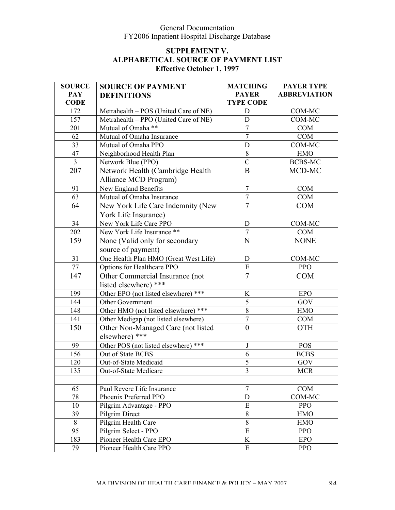| <b>SOURCE</b>   | <b>SOURCE OF PAYMENT</b>              | <b>MATCHING</b>  | <b>PAYER TYPE</b>   |
|-----------------|---------------------------------------|------------------|---------------------|
| <b>PAY</b>      | <b>DEFINITIONS</b>                    | <b>PAYER</b>     | <b>ABBREVIATION</b> |
| <b>CODE</b>     |                                       | <b>TYPE CODE</b> |                     |
| 172             | Metrahealth - POS (United Care of NE) | D                | COM-MC              |
| 157             | Metrahealth – PPO (United Care of NE) | $\mathbf D$      | COM-MC              |
| 201             | Mutual of Omaha <sup>**</sup>         | $\overline{7}$   | <b>COM</b>          |
| 62              | Mutual of Omaha Insurance             | $\overline{7}$   | COM                 |
| 33              | Mutual of Omaha PPO                   | $\mathbf D$      | COM-MC              |
| 47              | Neighborhood Health Plan              | $8\,$            | <b>HMO</b>          |
| $\overline{3}$  | Network Blue (PPO)                    | $\overline{C}$   | <b>BCBS-MC</b>      |
| 207             | Network Health (Cambridge Health      | $\bf{B}$         | MCD-MC              |
|                 | Alliance MCD Program)                 |                  |                     |
| 91              | New England Benefits                  | $\overline{7}$   | COM                 |
| 63              | Mutual of Omaha Insurance             | $\boldsymbol{7}$ | COM                 |
| 64              | New York Life Care Indemnity (New     | $\overline{7}$   | <b>COM</b>          |
|                 | York Life Insurance)                  |                  |                     |
| $\overline{34}$ | New York Life Care PPO                | D                | COM-MC              |
| 202             | New York Life Insurance **            | $\overline{7}$   | COM                 |
| 159             | None (Valid only for secondary        | $\mathbf N$      | <b>NONE</b>         |
|                 | source of payment)                    |                  |                     |
| 31              | One Health Plan HMO (Great West Life) | $\mathbf D$      | <b>COM-MC</b>       |
| 77              | Options for Healthcare PPO            | Ε                | <b>PPO</b>          |
| 147             | Other Commercial Insurance (not       | $\overline{7}$   | <b>COM</b>          |
|                 | listed elsewhere) ***                 |                  |                     |
| 199             | Other EPO (not listed elsewhere) ***  | $\bf K$          | <b>EPO</b>          |
| 144             | Other Government                      | 5                | GOV                 |
| 148             | Other HMO (not listed elsewhere) ***  | 8                | <b>HMO</b>          |
| 141             | Other Medigap (not listed elsewhere)  | $\overline{7}$   | COM                 |
| 150             | Other Non-Managed Care (not listed    | $\boldsymbol{0}$ | <b>OTH</b>          |
|                 | elsewhere) ***                        |                  |                     |
| 99              | Other POS (not listed elsewhere) ***  | $\mathbf{J}$     | <b>POS</b>          |
| 156             | Out of State BCBS                     | 6                | <b>BCBS</b>         |
| 120             | Out-of-State Medicaid                 | $\overline{5}$   | GOV                 |
| 135             | Out-of-State Medicare                 | 3                | <b>MCR</b>          |
|                 |                                       |                  |                     |
| 65              | Paul Revere Life Insurance            | $\overline{7}$   | <b>COM</b>          |
| 78              | Phoenix Preferred PPO                 | D                | COM-MC              |
| 10              | Pilgrim Advantage - PPO               | ${\bf E}$        | <b>PPO</b>          |
| 39              | Pilgrim Direct                        | $8\,$            | <b>HMO</b>          |
| 8               | Pilgrim Health Care                   | 8                | <b>HMO</b>          |
| 95              | Pilgrim Select - PPO                  | ${\bf E}$        | <b>PPO</b>          |
| 183             | Pioneer Health Care EPO               | K                | <b>EPO</b>          |
| 79              | Pioneer Health Care PPO               | ${\bf E}$        | <b>PPO</b>          |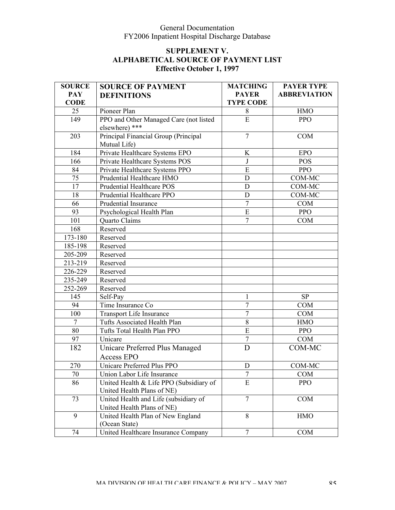| <b>SOURCE</b>  | <b>SOURCE OF PAYMENT</b>                | <b>MATCHING</b>  | <b>PAYER TYPE</b>   |
|----------------|-----------------------------------------|------------------|---------------------|
| <b>PAY</b>     | <b>DEFINITIONS</b>                      | <b>PAYER</b>     | <b>ABBREVIATION</b> |
| <b>CODE</b>    |                                         | <b>TYPE CODE</b> |                     |
| 25             | Pioneer Plan                            | 8                | <b>HMO</b>          |
| 149            | PPO and Other Managed Care (not listed  | E                | <b>PPO</b>          |
|                | elsewhere) ***                          |                  |                     |
| 203            | Principal Financial Group (Principal    | $\overline{7}$   | <b>COM</b>          |
|                | Mutual Life)                            |                  |                     |
| 184            | Private Healthcare Systems EPO          | K                | <b>EPO</b>          |
| 166            | Private Healthcare Systems POS          | J                | <b>POS</b>          |
| 84             | Private Healthcare Systems PPO          | ${\bf E}$        | <b>PPO</b>          |
| 75             | Prudential Healthcare HMO               | $\mathbf D$      | COM-MC              |
| 17             | Prudential Healthcare POS               | D                | COM-MC              |
| 18             | Prudential Healthcare PPO               | $\mathbf D$      | COM-MC              |
| 66             | Prudential Insurance                    | $\overline{7}$   | <b>COM</b>          |
| 93             | Psychological Health Plan               | $\overline{E}$   | <b>PPO</b>          |
| 101            | Quarto Claims                           | $\overline{7}$   | <b>COM</b>          |
| 168            | Reserved                                |                  |                     |
| 173-180        | Reserved                                |                  |                     |
| 185-198        | Reserved                                |                  |                     |
| 205-209        | Reserved                                |                  |                     |
| 213-219        | Reserved                                |                  |                     |
| 226-229        | Reserved                                |                  |                     |
| 235-249        | Reserved                                |                  |                     |
| 252-269        | Reserved                                |                  |                     |
| 145            | Self-Pay                                | 1                | <b>SP</b>           |
| 94             | Time Insurance Co                       | $\overline{7}$   | <b>COM</b>          |
| 100            | Transport Life Insurance                | $\boldsymbol{7}$ | <b>COM</b>          |
| $\overline{7}$ | Tufts Associated Health Plan            | $8\,$            | <b>HMO</b>          |
| 80             | Tufts Total Health Plan PPO             | ${\bf E}$        | <b>PPO</b>          |
| 97             | Unicare                                 | $\overline{7}$   | <b>COM</b>          |
| 182            | Unicare Preferred Plus Managed          | D                | COM-MC              |
|                | <b>Access EPO</b>                       |                  |                     |
| 270            | Unicare Preferred Plus PPO              | D                | COM-MC              |
| 70             | Union Labor Life Insurance              | 7                | <b>COM</b>          |
| 86             | United Health & Life PPO (Subsidiary of | E                | <b>PPO</b>          |
|                | United Health Plans of NE)              |                  |                     |
| 73             | United Health and Life (subsidiary of   | $\tau$           | <b>COM</b>          |
|                | United Health Plans of NE)              |                  |                     |
| 9              | United Health Plan of New England       | 8                | <b>HMO</b>          |
|                | (Ocean State)                           |                  |                     |
| 74             | United Healthcare Insurance Company     | $\overline{7}$   | <b>COM</b>          |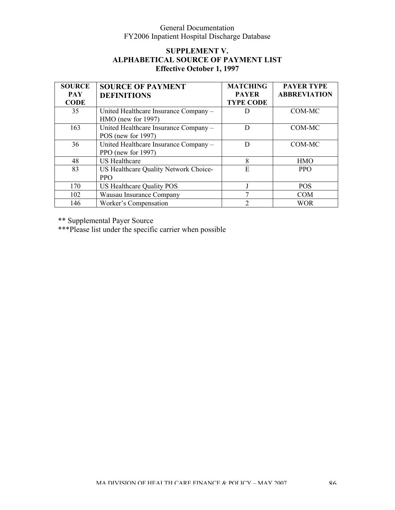### **SUPPLEMENT V. ALPHABETICAL SOURCE OF PAYMENT LIST Effective October 1, 1997**

| <b>SOURCE</b>             | <b>SOURCE OF PAYMENT</b>                                       | <b>MATCHING</b>                  | <b>PAYER TYPE</b>   |
|---------------------------|----------------------------------------------------------------|----------------------------------|---------------------|
| <b>PAY</b><br><b>CODE</b> | <b>DEFINITIONS</b>                                             | <b>PAYER</b><br><b>TYPE CODE</b> | <b>ABBREVIATION</b> |
| 35                        | United Healthcare Insurance Company -<br>$HMO$ (new for 1997)  |                                  | COM-MC              |
| 163                       | United Healthcare Insurance Company -<br>POS (new for $1997$ ) |                                  | COM-MC              |
| 36                        | United Healthcare Insurance Company -<br>PPO (new for 1997)    |                                  | COM-MC              |
| 48                        | <b>US</b> Healthcare                                           | 8                                | <b>HMO</b>          |
| 83                        | US Healthcare Quality Network Choice-<br><b>PPO</b>            | E                                | <b>PPO</b>          |
| 170                       | US Healthcare Quality POS                                      |                                  | <b>POS</b>          |
| 102                       | Wausau Insurance Company                                       |                                  | <b>COM</b>          |
| 146                       | Worker's Compensation                                          | っ                                | <b>WOR</b>          |

\*\* Supplemental Payer Source

\*\*\*Please list under the specific carrier when possible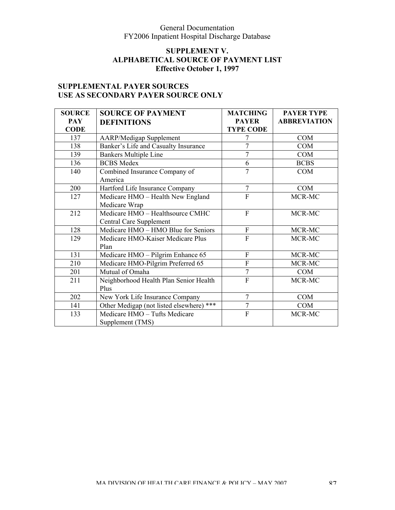### **SUPPLEMENT V. ALPHABETICAL SOURCE OF PAYMENT LIST Effective October 1, 1997**

# **SUPPLEMENTAL PAYER SOURCES USE AS SECONDARY PAYER SOURCE ONLY**

| <b>SOURCE</b> | <b>SOURCE OF PAYMENT</b>                 | <b>MATCHING</b>  | <b>PAYER TYPE</b>   |
|---------------|------------------------------------------|------------------|---------------------|
| <b>PAY</b>    | <b>DEFINITIONS</b>                       | <b>PAYER</b>     | <b>ABBREVIATION</b> |
| <b>CODE</b>   |                                          | <b>TYPE CODE</b> |                     |
| 137           | <b>AARP/Medigap Supplement</b>           |                  | <b>COM</b>          |
| 138           | Banker's Life and Casualty Insurance     | 7                | <b>COM</b>          |
| 139           | <b>Bankers Multiple Line</b>             | 7                | <b>COM</b>          |
| 136           | <b>BCBS</b> Medex                        | 6                | <b>BCBS</b>         |
| 140           | Combined Insurance Company of            | $\overline{7}$   | <b>COM</b>          |
|               | America                                  |                  |                     |
| 200           | Hartford Life Insurance Company          | $\overline{7}$   | COM                 |
| 127           | Medicare HMO - Health New England        | $\overline{F}$   | MCR-MC              |
|               | Medicare Wrap                            |                  |                     |
| 212           | Medicare HMO - Healthsource CMHC         | $\overline{F}$   | MCR-MC              |
|               | Central Care Supplement                  |                  |                     |
| 128           | Medicare HMO - HMO Blue for Seniors      | ${\bf F}$        | MCR-MC              |
| 129           | Medicare HMO-Kaiser Medicare Plus        | $\overline{F}$   | MCR-MC              |
|               | Plan                                     |                  |                     |
| 131           | Medicare HMO - Pilgrim Enhance 65        | $\mathbf F$      | MCR-MC              |
| 210           | Medicare HMO-Pilgrim Preferred 65        | $\overline{F}$   | MCR-MC              |
| 201           | Mutual of Omaha                          | $\overline{7}$   | <b>COM</b>          |
| 211           | Neighborhood Health Plan Senior Health   | $\overline{F}$   | MCR-MC              |
|               | Plus                                     |                  |                     |
| 202           | New York Life Insurance Company          | $\overline{7}$   | <b>COM</b>          |
| 141           | Other Medigap (not listed elsewhere) *** | $\overline{7}$   | <b>COM</b>          |
| 133           | Medicare HMO - Tufts Medicare            | $\overline{F}$   | MCR-MC              |
|               | Supplement (TMS)                         |                  |                     |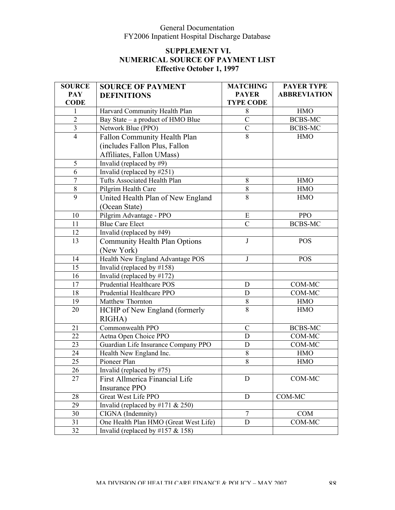| <b>SOURCE</b>  | <b>SOURCE OF PAYMENT</b>              | <b>MATCHING</b>  | <b>PAYER TYPE</b>   |
|----------------|---------------------------------------|------------------|---------------------|
| <b>PAY</b>     | <b>DEFINITIONS</b>                    | <b>PAYER</b>     | <b>ABBREVIATION</b> |
| <b>CODE</b>    |                                       | <b>TYPE CODE</b> |                     |
| 1              | Harvard Community Health Plan         | 8                | <b>HMO</b>          |
| $\overline{2}$ | Bay State – a product of HMO Blue     | $\overline{C}$   | <b>BCBS-MC</b>      |
| $\overline{3}$ | Network Blue (PPO)                    | $\overline{C}$   | <b>BCBS-MC</b>      |
| $\overline{4}$ | Fallon Community Health Plan          | 8                | <b>HMO</b>          |
|                | (includes Fallon Plus, Fallon         |                  |                     |
|                | Affiliates, Fallon UMass)             |                  |                     |
| 5              | Invalid (replaced by $#9$ )           |                  |                     |
| 6              | Invalid (replaced by #251)            |                  |                     |
| 7              | Tufts Associated Health Plan          | $8\,$            | <b>HMO</b>          |
| $8\,$          | Pilgrim Health Care                   | 8                | <b>HMO</b>          |
| 9              | United Health Plan of New England     | 8                | <b>HMO</b>          |
|                | (Ocean State)                         |                  |                     |
| 10             | Pilgrim Advantage - PPO               | E                | <b>PPO</b>          |
| 11             | <b>Blue Care Elect</b>                | $\overline{C}$   | <b>BCBS-MC</b>      |
| 12             | Invalid (replaced by #49)             |                  |                     |
| 13             | <b>Community Health Plan Options</b>  | J                | <b>POS</b>          |
|                | (New York)                            |                  |                     |
| 14             | Health New England Advantage POS      | J                | <b>POS</b>          |
| 15             | Invalid (replaced by $\#158$ )        |                  |                     |
| 16             | Invalid (replaced by $\#172$ )        |                  |                     |
| 17             | Prudential Healthcare POS             | D                | COM-MC              |
| 18             | Prudential Healthcare PPO             | D                | COM-MC              |
| 19             | Matthew Thornton                      | $8\,$            | <b>HMO</b>          |
| 20             | HCHP of New England (formerly         | $\overline{8}$   | <b>HMO</b>          |
|                | RIGHA)                                |                  |                     |
| 21             | Commonwealth PPO                      | $\mathcal{C}$    | <b>BCBS-MC</b>      |
| 22             | Aetna Open Choice PPO                 | D                | COM-MC              |
| 23             | Guardian Life Insurance Company PPO   | $\mathbf D$      | COM-MC              |
| 24             | Health New England Inc.               | 8                | <b>HMO</b>          |
| 25             | Pioneer Plan                          | 8                | <b>HMO</b>          |
| 26             | Invalid (replaced by #75)             |                  |                     |
| 27             | First Allmerica Financial Life        | D                | COM-MC              |
|                | <b>Insurance PPO</b>                  |                  |                     |
| 28             | Great West Life PPO                   | D                | COM-MC              |
| 29             | Invalid (replaced by #171 $& 250$ )   |                  |                     |
| 30             | CIGNA (Indemnity)                     | $\overline{7}$   | <b>COM</b>          |
| 31             | One Health Plan HMO (Great West Life) | D                | COM-MC              |
| 32             | Invalid (replaced by $\#157 \& 158$ ) |                  |                     |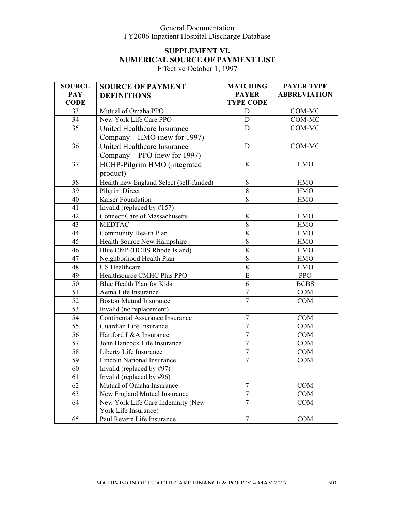# **SUPPLEMENT VI. NUMERICAL SOURCE OF PAYMENT LIST**

Effective October 1, 1997

| <b>SOURCE</b>   | <b>SOURCE OF PAYMENT</b>                | <b>MATCHING</b>  | <b>PAYER TYPE</b>   |
|-----------------|-----------------------------------------|------------------|---------------------|
| <b>PAY</b>      | <b>DEFINITIONS</b>                      | <b>PAYER</b>     | <b>ABBREVIATION</b> |
| <b>CODE</b>     |                                         | <b>TYPE CODE</b> |                     |
| 33              | Mutual of Omaha PPO                     | D                | COM-MC              |
| 34              | New York Life Care PPO                  | D                | COM-MC              |
| 35              | United Healthcare Insurance             | D                | COM-MC              |
|                 | Company – HMO (new for 1997)            |                  |                     |
| 36              | United Healthcare Insurance             | D                | COM-MC              |
|                 | Company - PPO (new for 1997)            |                  |                     |
| 37              | HCHP-Pilgrim HMO (integrated            | 8                | <b>HMO</b>          |
|                 | product)                                |                  |                     |
| 38              | Health new England Select (self-funded) | 8                | <b>HMO</b>          |
| 39              | Pilgrim Direct                          | $8\,$            | <b>HMO</b>          |
| 40              | Kaiser Foundation                       | $8\,$            | <b>HMO</b>          |
| 41              | Invalid (replaced by $\#157$ )          |                  |                     |
| 42              | ConnectiCare of Massachusetts           | $8\,$            | <b>HMO</b>          |
| 43              | <b>MEDTAC</b>                           | $\overline{8}$   | <b>HMO</b>          |
| 44              | <b>Community Health Plan</b>            | $8\,$            | <b>HMO</b>          |
| 45              | Health Source New Hampshire             | $8\,$            | <b>HMO</b>          |
| 46              | Blue ChiP (BCBS Rhode Island)           | 8                | <b>HMO</b>          |
| 47              | Neighborhood Health Plan                | 8                | <b>HMO</b>          |
| 48              | <b>US</b> Healthcare                    | 8                | <b>HMO</b>          |
| 49              | Healthsource CMHC Plus PPO              | $\overline{E}$   | <b>PPO</b>          |
| 50              | Blue Health Plan for Kids               | 6                | <b>BCBS</b>         |
| $\overline{51}$ | Aetna Life Insurance                    | $\overline{7}$   | COM                 |
| 52              | <b>Boston Mutual Insurance</b>          | $\overline{7}$   | <b>COM</b>          |
| 53              | Invalid (no replacement)                |                  |                     |
| $\overline{54}$ | Continental Assurance Insurance         | $\overline{7}$   | COM                 |
| 55              | Guardian Life Insurance                 | $\overline{7}$   | COM                 |
| 56              | Hartford L&A Insurance                  | $\tau$           | COM                 |
| $\overline{57}$ | John Hancock Life Insurance             | $\overline{7}$   | COM                 |
| $\overline{58}$ | Liberty Life Insurance                  | $\overline{7}$   | COM                 |
| 59              | <b>Lincoln National Insurance</b>       | $\overline{7}$   | <b>COM</b>          |
| 60              | Invalid (replaced by #97)               |                  |                     |
| 61              | Invalid (replaced by #96)               |                  |                     |
| 62              | Mutual of Omaha Insurance               | $\overline{7}$   | COM                 |
| 63              | New England Mutual Insurance            | $\boldsymbol{7}$ | COM                 |
| 64              | New York Life Care Indemnity (New       | $\overline{7}$   | COM                 |
|                 | York Life Insurance)                    |                  |                     |
| 65              | Paul Revere Life Insurance              | $\tau$           | COM                 |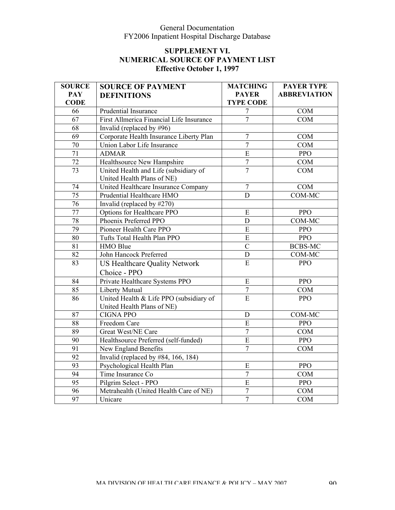| <b>SOURCE</b>   | <b>SOURCE OF PAYMENT</b>                                              | <b>MATCHING</b>  | <b>PAYER TYPE</b>   |
|-----------------|-----------------------------------------------------------------------|------------------|---------------------|
| <b>PAY</b>      | <b>DEFINITIONS</b>                                                    | <b>PAYER</b>     | <b>ABBREVIATION</b> |
| <b>CODE</b>     |                                                                       | <b>TYPE CODE</b> |                     |
| 66              | Prudential Insurance                                                  | $\overline{7}$   | <b>COM</b>          |
| 67              | First Allmerica Financial Life Insurance                              | $\overline{7}$   | COM                 |
| 68              | Invalid (replaced by $\#96$ )                                         |                  |                     |
| $\overline{69}$ | Corporate Health Insurance Liberty Plan                               | $\overline{7}$   | COM                 |
| 70              | Union Labor Life Insurance                                            | $\overline{7}$   | COM                 |
| 71              | <b>ADMAR</b>                                                          | $\overline{E}$   | <b>PPO</b>          |
| $\overline{72}$ | Healthsource New Hampshire                                            | $\overline{7}$   | COM                 |
| 73              | United Health and Life (subsidiary of<br>United Health Plans of NE)   | $\overline{7}$   | <b>COM</b>          |
| 74              | United Healthcare Insurance Company                                   | $\overline{7}$   | <b>COM</b>          |
| 75              | Prudential Healthcare HMO                                             | D                | COM-MC              |
| 76              | Invalid (replaced by #270)                                            |                  |                     |
| 77              | Options for Healthcare PPO                                            | ${\bf E}$        | <b>PPO</b>          |
| 78              | Phoenix Preferred PPO                                                 | $\mathbf D$      | <b>COM-MC</b>       |
| 79              | Pioneer Health Care PPO                                               | ${\bf E}$        | <b>PPO</b>          |
| 80              | Tufts Total Health Plan PPO                                           | $\mathbf E$      | PPO                 |
| 81              | HMO Blue                                                              | $\overline{C}$   | <b>BCBS-MC</b>      |
| 82              | John Hancock Preferred                                                | $\mathbf D$      | COM-MC              |
| 83              | <b>US Healthcare Quality Network</b>                                  | $\mathbf E$      | <b>PPO</b>          |
|                 | Choice - PPO                                                          |                  |                     |
| $\overline{84}$ | Private Healthcare Systems PPO                                        | ${\bf E}$        | <b>PPO</b>          |
| 85              | Liberty Mutual                                                        | $\boldsymbol{7}$ | COM                 |
| 86              | United Health & Life PPO (subsidiary of<br>United Health Plans of NE) | $\overline{E}$   | <b>PPO</b>          |
| 87              | <b>CIGNA PPO</b>                                                      | ${\rm D}$        | COM-MC              |
| $\overline{88}$ | Freedom Care                                                          | E                | <b>PPO</b>          |
| 89              | Great West/NE Care                                                    | $\boldsymbol{7}$ | <b>COM</b>          |
| 90              | Healthsource Preferred (self-funded)                                  | E                | <b>PPO</b>          |
| $\overline{91}$ | New England Benefits                                                  | $\overline{7}$   | <b>COM</b>          |
| 92              | Invalid (replaced by $\#84$ , 166, 184)                               |                  |                     |
| 93              | Psychological Health Plan                                             | ${\bf E}$        | <b>PPO</b>          |
| 94              | Time Insurance Co                                                     | $\overline{7}$   | COM                 |
| 95              | Pilgrim Select - PPO                                                  | $\overline{E}$   | PPO                 |
| 96              | Metrahealth (United Health Care of NE)                                | $\boldsymbol{7}$ | <b>COM</b>          |
| 97              | Unicare                                                               | $\overline{7}$   | <b>COM</b>          |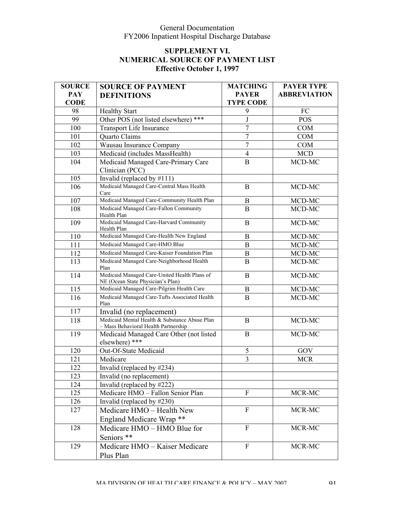| <b>SOURCE</b>    | <b>SOURCE OF PAYMENT</b>                                                              | <b>MATCHING</b>  | <b>PAYER TYPE</b>   |
|------------------|---------------------------------------------------------------------------------------|------------------|---------------------|
| <b>PAY</b>       | <b>DEFINITIONS</b>                                                                    | <b>PAYER</b>     | <b>ABBREVIATION</b> |
| <b>CODE</b>      |                                                                                       | <b>TYPE CODE</b> |                     |
| 98               | <b>Healthy Start</b>                                                                  | 9                | FC                  |
| 99               | Other POS (not listed elsewhere) ***                                                  | $\mathbf{J}$     | <b>POS</b>          |
| 100              | Transport Life Insurance                                                              | $\overline{7}$   | <b>COM</b>          |
| 101              | Quarto Claims                                                                         | $\overline{7}$   | <b>COM</b>          |
| 102              | Wausau Insurance Company                                                              | $\overline{7}$   | <b>COM</b>          |
| 103              | Medicaid (includes MassHealth)                                                        | $\overline{4}$   | <b>MCD</b>          |
| 104              | Medicaid Managed Care-Primary Care<br>Clinician (PCC)                                 | $\bf{B}$         | MCD-MC              |
| 105              | Invalid (replaced by $\#111$ )                                                        |                  |                     |
| 106              | Medicaid Managed Care-Central Mass Health<br>Care                                     | $\mathbf{B}$     | MCD-MC              |
| 107              | Medicaid Managed Care-Community Health Plan                                           | B                | MCD-MC              |
| 108              | Medicaid Managed Care-Fallon Community<br>Health Plan                                 | $\mathbf{B}$     | MCD-MC              |
| 109              | Medicaid Managed Care-Harvard Community<br>Health Plan                                | $\mathbf{B}$     | MCD-MC              |
| 110              | Medicaid Managed Care-Health New England                                              | B                | MCD-MC              |
| 111              | Medicaid Managed Care-HMO Blue                                                        | $\bf{B}$         | MCD-MC              |
| 112              | Medicaid Managed Care-Kaiser Foundation Plan                                          | $\bf{B}$         | MCD-MC              |
| 113              | Medicaid Managed Care-Neighborhood Health<br>Plan                                     | B                | MCD-MC              |
| 114              | Medicaid Managed Care-United Health Plans of<br>NE (Ocean State Physician's Plan)     | B                | MCD-MC              |
| $\overline{115}$ | Medicaid Managed Care-Pilgrim Health Care                                             | $\bf{B}$         | MCD-MC              |
| 116              | Medicaid Managed Care-Tufts Associated Health<br>Plan                                 | $\bf{B}$         | MCD-MC              |
| 117              | Invalid (no replacement)                                                              |                  |                     |
| 118              | Medicaid Mental Health & Substance Abuse Plan<br>- Mass Behavioral Health Partnership | B                | $MCD-MC$            |
| 119              | Medicaid Managed Care Other (not listed<br>elsewhere) ***                             | $\bf{B}$         | MCD-MC              |
| 120              | Out-Of-State Medicaid                                                                 | 5                | $\rm GOV$           |
| 121              | Medicare                                                                              | 3                | <b>MCR</b>          |
| 122              | Invalid (replaced by #234)                                                            |                  |                     |
| 123              | Invalid (no replacement)                                                              |                  |                     |
| 124              | Invalid (replaced by #222)                                                            |                  |                     |
| 125              | Medicare HMO - Fallon Senior Plan                                                     | F                | MCR-MC              |
| 126              | Invalid (replaced by $\#230$ )                                                        |                  |                     |
| 127              | Medicare HMO - Health New<br>England Medicare Wrap **                                 | $\mathbf{F}$     | MCR-MC              |
| 128              |                                                                                       | $\mathbf F$      | MCR-MC              |
|                  | Medicare HMO – HMO Blue for<br>Seniors **                                             |                  |                     |
| 129              | Medicare HMO - Kaiser Medicare<br>Plus Plan                                           | $\mathbf F$      | MCR-MC              |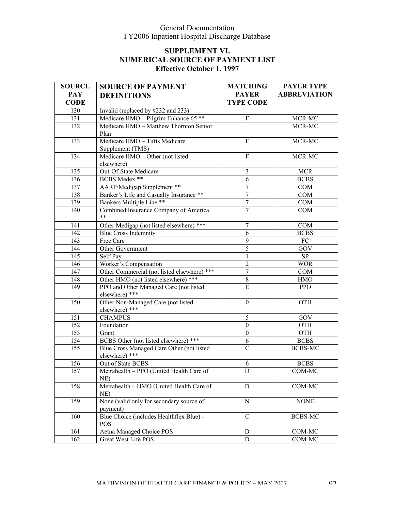| <b>SOURCE</b> | <b>SOURCE OF PAYMENT</b>                                    | <b>MATCHING</b>  | <b>PAYER TYPE</b>   |
|---------------|-------------------------------------------------------------|------------------|---------------------|
| <b>PAY</b>    | <b>DEFINITIONS</b>                                          | <b>PAYER</b>     | <b>ABBREVIATION</b> |
| <b>CODE</b>   |                                                             | <b>TYPE CODE</b> |                     |
| 130           | Invalid (replaced by #232 and 233)                          |                  |                     |
| 131           | Medicare HMO - Pilgrim Enhance 65 **                        | $\overline{F}$   | MCR-MC              |
| 132           | Medicare HMO - Matthew Thornton Senior                      |                  | MCR-MC              |
|               | Plan                                                        |                  |                     |
| 133           | Medicare HMO - Tufts Medicare                               | F                | MCR-MC              |
|               | Supplement (TMS)                                            |                  |                     |
| 134           | Medicare HMO - Other (not listed                            | $\overline{F}$   | MCR-MC              |
|               | elsewhere)                                                  |                  |                     |
| 135           | Out-Of-State Medicare                                       | $\mathfrak{Z}$   | <b>MCR</b>          |
| 136           | BCBS Medex **                                               | 6                | <b>BCBS</b>         |
| 137           | <b>AARP/Medigap Supplement **</b>                           | $\tau$           | COM                 |
| 138           | Banker's Life and Casualty Insurance **                     | $\boldsymbol{7}$ | COM                 |
| 139           | Bankers Multiple Line <sup>**</sup>                         | $\boldsymbol{7}$ | COM                 |
| 140           | Combined Insurance Company of America<br>$* *$              | $\overline{7}$   | COM                 |
| 141           | Other Medigap (not listed elsewhere) ***                    | 7                | COM                 |
| 142           | <b>Blue Cross Indemnity</b>                                 | 6                | <b>BCBS</b>         |
| 143           | Free Care                                                   | 9                | FC                  |
| 144           | Other Government                                            | $\sqrt{5}$       | GOV                 |
| 145           | Self-Pay                                                    | 1                | SP                  |
| 146           | Worker's Compensation                                       | $\overline{2}$   | <b>WOR</b>          |
| 147           | Other Commercial (not listed elsewhere) ***                 | 7                | COM                 |
| 148           | Other HMO (not listed elsewhere) ***                        | 8                | <b>HMO</b>          |
| 149           | PPO and Other Managed Care (not listed                      | E                | <b>PPO</b>          |
|               | elsewhere) ***                                              |                  |                     |
| 150           | Other Non-Managed Care (not listed                          | $\boldsymbol{0}$ | <b>OTH</b>          |
|               | elsewhere) ***                                              |                  |                     |
| 151           | <b>CHAMPUS</b>                                              | 5                | GOV                 |
| 152           | Foundation                                                  | $\mathbf{0}$     | <b>OTH</b>          |
| 153           | Grant                                                       | $\boldsymbol{0}$ | <b>OTH</b>          |
| 154           | BCBS Other (not listed elsewhere) ***                       | 6                | <b>BCBS</b>         |
| 155           | Blue Cross Managed Care Other (not listed<br>elsewhere) *** | $\mathcal{C}$    | <b>BCBS-MC</b>      |
| 156           | Out of State BCBS                                           | 6                | <b>BCBS</b>         |
| 157           | Metrahealth - PPO (United Health Care of                    | D                | COM-MC              |
|               | $NE$ )                                                      |                  |                     |
| 158           | Metrahealth - HMO (United Health Care of<br>$NE$ )          | D                | $COM-MC$            |
| 159           | None (valid only for secondary source of                    | $\mathbf N$      | <b>NONE</b>         |
|               | payment)<br>Blue Choice (includes Healthflex Blue) -        |                  |                     |
| 160           | <b>POS</b>                                                  | $\mathbf C$      | BCBS-MC             |
| 161           | <b>Aetna Managed Choice POS</b>                             | D                | <b>COM-MC</b>       |
| 162           | Great West Life POS                                         | D                | COM-MC              |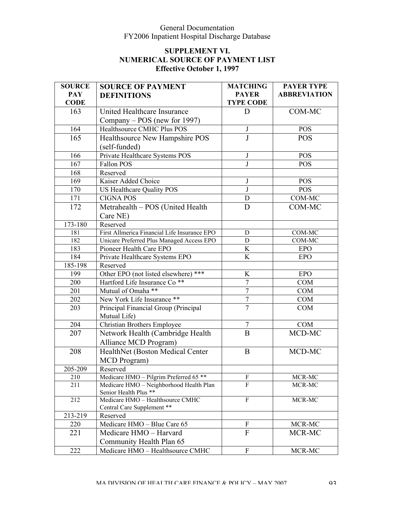| <b>SOURCE</b> | <b>SOURCE OF PAYMENT</b>                                       | <b>MATCHING</b>           | <b>PAYER TYPE</b>   |
|---------------|----------------------------------------------------------------|---------------------------|---------------------|
| <b>PAY</b>    | <b>DEFINITIONS</b>                                             | <b>PAYER</b>              | <b>ABBREVIATION</b> |
| <b>CODE</b>   |                                                                | <b>TYPE CODE</b>          |                     |
| 163           | United Healthcare Insurance                                    | D                         | COM-MC              |
|               | Company – POS (new for 1997)                                   |                           |                     |
| 164           | Healthsource CMHC Plus POS                                     | $\mathbf{J}$              | <b>POS</b>          |
| 165           | Healthsource New Hampshire POS                                 | J                         | <b>POS</b>          |
|               | (self-funded)                                                  |                           |                     |
| 166           | Private Healthcare Systems POS                                 | J                         | <b>POS</b>          |
| 167           | Fallon POS                                                     | J                         | <b>POS</b>          |
| 168           | Reserved                                                       |                           |                     |
| 169           | Kaiser Added Choice                                            | J                         | <b>POS</b>          |
| 170           | US Healthcare Quality POS                                      | $\mathbf{J}$              | <b>POS</b>          |
| 171           | <b>CIGNA POS</b>                                               | $\mathbf D$               | COM-MC              |
| 172           | Metrahealth - POS (United Health                               | D                         | COM-MC              |
|               | Care NE)                                                       |                           |                     |
| 173-180       | Reserved                                                       |                           |                     |
| 181           | First Allmerica Financial Life Insurance EPO                   | D                         | COM-MC              |
| 182           | Unicare Preferred Plus Managed Access EPO                      | D                         | COM-MC              |
| 183           | Pioneer Health Care EPO                                        | K                         | <b>EPO</b>          |
| 184           | Private Healthcare Systems EPO                                 | K                         | <b>EPO</b>          |
| $185 - 198$   | Reserved                                                       |                           |                     |
| 199           | Other EPO (not listed elsewhere) ***                           | K                         | <b>EPO</b>          |
| 200           | Hartford Life Insurance Co <sup>**</sup>                       | $\boldsymbol{7}$          | <b>COM</b>          |
| 201           | Mutual of Omaha **                                             | $\overline{7}$            | <b>COM</b>          |
| 202           | New York Life Insurance **                                     | $\sqrt{ }$                | <b>COM</b>          |
| 203           | Principal Financial Group (Principal                           | $\overline{7}$            | <b>COM</b>          |
|               | Mutual Life)                                                   |                           |                     |
| 204           | <b>Christian Brothers Employee</b>                             | $\boldsymbol{7}$          | <b>COM</b>          |
| 207           | Network Health (Cambridge Health                               | $\overline{B}$            | MCD-MC              |
|               | Alliance MCD Program)                                          |                           |                     |
| 208           | HealthNet (Boston Medical Center                               | B                         | MCD-MC              |
|               | MCD Program)                                                   |                           |                     |
| 205-209       | Reserved                                                       |                           |                     |
| 210           | Medicare HMO - Pilgrim Preferred 65 **                         | $\boldsymbol{\mathrm{F}}$ | MCR-MC              |
| 211           | Medicare HMO - Neighborhood Health Plan                        | F                         | MCR-MC              |
|               | Senior Health Plus **                                          |                           |                     |
| 212           | Medicare HMO - Healthsource CMHC<br>Central Care Supplement ** | F                         | MCR-MC              |
| 213-219       | Reserved                                                       |                           |                     |
| 220           | Medicare HMO - Blue Care 65                                    | ${\bf F}$                 | MCR-MC              |
| 221           | Medicare HMO - Harvard                                         | $\mathbf{F}$              | MCR-MC              |
|               | Community Health Plan 65                                       |                           |                     |
|               |                                                                |                           |                     |
| 222           | Medicare HMO - Healthsource CMHC                               | ${\bf F}$                 | MCR-MC              |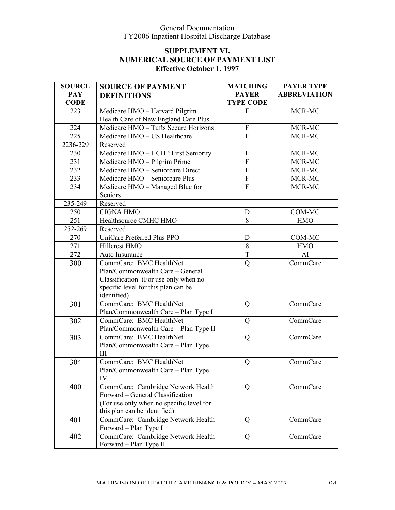| <b>SOURCE</b> | <b>SOURCE OF PAYMENT</b>                 | <b>MATCHING</b>           | <b>PAYER TYPE</b>   |
|---------------|------------------------------------------|---------------------------|---------------------|
| <b>PAY</b>    | <b>DEFINITIONS</b>                       | <b>PAYER</b>              | <b>ABBREVIATION</b> |
| <b>CODE</b>   |                                          | <b>TYPE CODE</b>          |                     |
| 223           | Medicare HMO - Harvard Pilgrim           | F                         | MCR-MC              |
|               | Health Care of New England Care Plus     |                           |                     |
| 224           | Medicare HMO - Tufts Secure Horizons     | $\mathbf F$               | MCR-MC              |
| 225           | Medicare HMO - US Healthcare             | $\mathbf F$               | MCR-MC              |
| 2236-229      | Reserved                                 |                           |                     |
| 230           | Medicare HMO - HCHP First Seniority      | $\boldsymbol{\mathrm{F}}$ | MCR-MC              |
| 231           | Medicare HMO - Pilgrim Prime             | $\overline{F}$            | MCR-MC              |
| 232           | Medicare HMO - Seniorcare Direct         | $\overline{F}$            | MCR-MC              |
| 233           | Medicare HMO - Seniorcare Plus           | $\boldsymbol{\mathrm{F}}$ | MCR-MC              |
| 234           | Medicare HMO - Managed Blue for          | $\mathbf{F}$              | MCR-MC              |
|               | Seniors                                  |                           |                     |
| 235-249       | Reserved                                 |                           |                     |
| 250           | <b>CIGNA HMO</b>                         | D                         | COM-MC              |
| 251           | Healthsource CMHC HMO                    | 8                         | <b>HMO</b>          |
| 252-269       | Reserved                                 |                           |                     |
| 270           | UniCare Preferred Plus PPO               | D                         | COM-MC              |
| 271           | Hillcrest HMO                            | 8                         | <b>HMO</b>          |
| 272           | Auto Insurance                           | T                         | AI                  |
| 300           | CommCare: BMC HealthNet                  | Q                         | CommCare            |
|               | Plan/Commonwealth Care - General         |                           |                     |
|               | Classification (For use only when no     |                           |                     |
|               | specific level for this plan can be      |                           |                     |
|               | identified)                              |                           |                     |
| 301           | CommCare: BMC HealthNet                  | Q                         | CommCare            |
|               | Plan/Commonwealth Care - Plan Type I     |                           |                     |
| 302           | CommCare: BMC HealthNet                  | Q                         | CommCare            |
|               | Plan/Commonwealth Care - Plan Type II    |                           |                     |
| 303           | CommCare: BMC HealthNet                  | $\mathbf Q$               | CommCare            |
|               | Plan/Commonwealth Care - Plan Type       |                           |                     |
|               | III                                      |                           |                     |
| 304           | CommCare: BMC HealthNet                  | Q                         | CommCare            |
|               | Plan/Commonwealth Care - Plan Type       |                           |                     |
|               | IV                                       |                           |                     |
| 400           | CommCare: Cambridge Network Health       | Q                         | CommCare            |
|               | Forward – General Classification         |                           |                     |
|               | (For use only when no specific level for |                           |                     |
|               | this plan can be identified)             |                           |                     |
| 401           | CommCare: Cambridge Network Health       | Q                         | CommCare            |
|               | Forward - Plan Type I                    |                           |                     |
| 402           | CommCare: Cambridge Network Health       | Q                         | CommCare            |
|               | Forward - Plan Type II                   |                           |                     |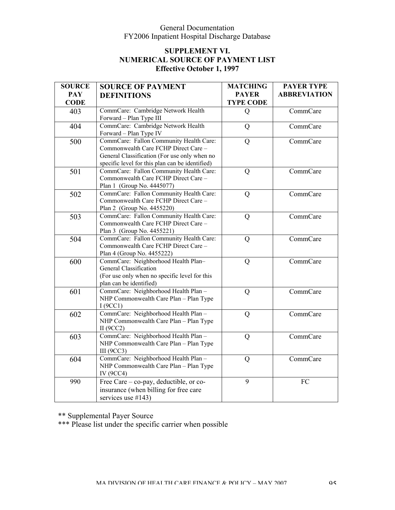### **SUPPLEMENT VI. NUMERICAL SOURCE OF PAYMENT LIST Effective October 1, 1997**

| <b>SOURCE</b> | <b>SOURCE OF PAYMENT</b>                                                        | <b>MATCHING</b>  | <b>PAYER TYPE</b>   |
|---------------|---------------------------------------------------------------------------------|------------------|---------------------|
| <b>PAY</b>    | <b>DEFINITIONS</b>                                                              | <b>PAYER</b>     | <b>ABBREVIATION</b> |
| <b>CODE</b>   |                                                                                 | <b>TYPE CODE</b> |                     |
| 403           | CommCare: Cambridge Network Health                                              | $\mathbf Q$      | CommCare            |
|               | Forward - Plan Type III                                                         |                  |                     |
| 404           | CommCare: Cambridge Network Health                                              | Q                | CommCare            |
|               | Forward - Plan Type IV                                                          |                  |                     |
| 500           | CommCare: Fallon Community Health Care:                                         | Q                | CommCare            |
|               | Commonwealth Care FCHP Direct Care -                                            |                  |                     |
|               | General Classification (For use only when no                                    |                  |                     |
|               | specific level for this plan can be identified)                                 |                  |                     |
| 501           | CommCare: Fallon Community Health Care:                                         | Q                | CommCare            |
|               | Commonwealth Care FCHP Direct Care -                                            |                  |                     |
|               | Plan 1 (Group No. 4445077)                                                      |                  |                     |
| 502           | CommCare: Fallon Community Health Care:<br>Commonwealth Care FCHP Direct Care - | Q                | CommCare            |
|               | Plan 2 (Group No. 4455220)                                                      |                  |                     |
| 503           | CommCare: Fallon Community Health Care:                                         | Q                | CommCare            |
|               | Commonwealth Care FCHP Direct Care -                                            |                  |                     |
|               | Plan 3 (Group No. 4455221)                                                      |                  |                     |
| 504           | CommCare: Fallon Community Health Care:                                         | Q                | CommCare            |
|               | Commonwealth Care FCHP Direct Care -                                            |                  |                     |
|               | Plan 4 (Group No. 4455222)                                                      |                  |                     |
| 600           | CommCare: Neighborhood Health Plan-                                             | Q                | CommCare            |
|               | General Classification                                                          |                  |                     |
|               | (For use only when no specific level for this                                   |                  |                     |
|               | plan can be identified)                                                         |                  |                     |
| 601           | CommCare: Neighborhood Health Plan -                                            | Q                | CommCare            |
|               | NHP Commonwealth Care Plan - Plan Type                                          |                  |                     |
|               | I(9CC1)                                                                         |                  |                     |
| 602           | CommCare: Neighborhood Health Plan -                                            | Q                | CommCare            |
|               | NHP Commonwealth Care Plan - Plan Type                                          |                  |                     |
|               | II $(9CC2)$                                                                     |                  |                     |
| 603           | CommCare: Neighborhood Health Plan -                                            | Q                | CommCare            |
|               | NHP Commonwealth Care Plan - Plan Type                                          |                  |                     |
|               | <b>III</b> (9CC3)                                                               |                  |                     |
| 604           | CommCare: Neighborhood Health Plan -                                            | Q                | CommCare            |
|               | NHP Commonwealth Care Plan - Plan Type                                          |                  |                     |
|               | IV (9CC4)                                                                       | 9                |                     |
| 990           | Free Care - co-pay, deductible, or co-                                          |                  | FC                  |
|               | insurance (when billing for free care                                           |                  |                     |
|               | services use $#143$ )                                                           |                  |                     |

\*\* Supplemental Payer Source

\*\*\* Please list under the specific carrier when possible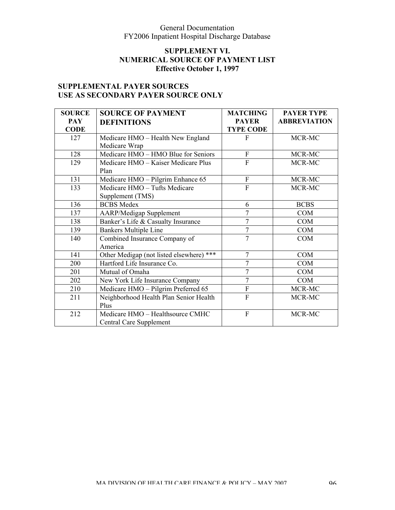## **SUPPLEMENT VI. NUMERICAL SOURCE OF PAYMENT LIST Effective October 1, 1997**

# **SUPPLEMENTAL PAYER SOURCES USE AS SECONDARY PAYER SOURCE ONLY**

| <b>SOURCE</b> | <b>SOURCE OF PAYMENT</b>                 | <b>MATCHING</b>  | <b>PAYER TYPE</b>   |
|---------------|------------------------------------------|------------------|---------------------|
| <b>PAY</b>    | <b>DEFINITIONS</b>                       | <b>PAYER</b>     | <b>ABBREVIATION</b> |
| <b>CODE</b>   |                                          | <b>TYPE CODE</b> |                     |
| 127           | Medicare HMO - Health New England        | F                | MCR-MC              |
|               | Medicare Wrap                            |                  |                     |
| 128           | Medicare HMO - HMO Blue for Seniors      | $\overline{F}$   | MCR-MC              |
| 129           | Medicare HMO - Kaiser Medicare Plus      | $\overline{F}$   | MCR-MC              |
|               | Plan                                     |                  |                     |
| 131           | Medicare HMO - Pilgrim Enhance 65        | $\mathbf F$      | MCR-MC              |
| 133           | Medicare HMO - Tufts Medicare            | F                | MCR-MC              |
|               | Supplement (TMS)                         |                  |                     |
| 136           | <b>BCBS</b> Medex                        | 6                | <b>BCBS</b>         |
| 137           | <b>AARP/Medigap Supplement</b>           |                  | <b>COM</b>          |
| 138           | Banker's Life & Casualty Insurance       | $\overline{7}$   | <b>COM</b>          |
| 139           | <b>Bankers Multiple Line</b>             | $\overline{7}$   | <b>COM</b>          |
| 140           | Combined Insurance Company of            | $\overline{7}$   | <b>COM</b>          |
|               | America                                  |                  |                     |
| 141           | Other Medigap (not listed elsewhere) *** | $\overline{7}$   | <b>COM</b>          |
| 200           | Hartford Life Insurance Co.              | 7                | <b>COM</b>          |
| 201           | Mutual of Omaha                          | 7                | <b>COM</b>          |
| 202           | New York Life Insurance Company          | $\overline{7}$   | <b>COM</b>          |
| 210           | Medicare HMO - Pilgrim Preferred 65      | $\overline{F}$   | MCR-MC              |
| 211           | Neighborhood Health Plan Senior Health   | F                | MCR-MC              |
|               | Plus                                     |                  |                     |
| 212           | Medicare HMO - Healthsource CMHC         | $\overline{F}$   | MCR-MC              |
|               | <b>Central Care Supplement</b>           |                  |                     |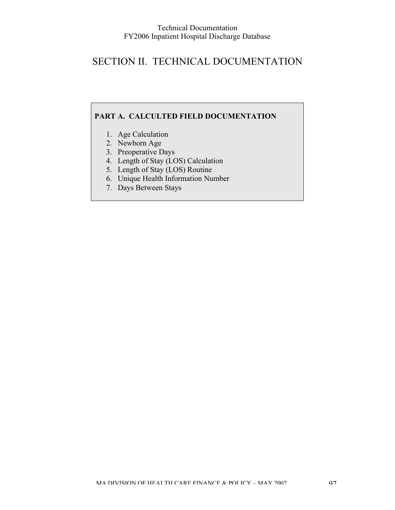# SECTION II. TECHNICAL DOCUMENTATION

### **PART A. CALCULTED FIELD DOCUMENTATION**

- 1. Age Calculation
- 2. Newborn Age
- 3. Preoperative Days
- 4. Length of Stay (LOS) Calculation
- 5. Length of Stay (LOS) Routine
- 6. Unique Health Information Number
- 7. Days Between Stays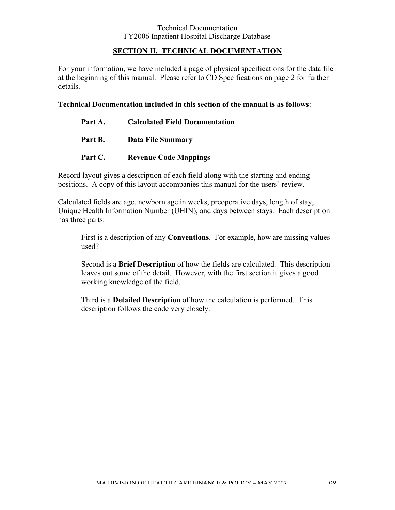#### **SECTION II. TECHNICAL DOCUMENTATION**

For your information, we have included a page of physical specifications for the data file at the beginning of this manual. Please refer to CD Specifications on page 2 for further details.

#### **Technical Documentation included in this section of the manual is as follows**:

| Part A. | <b>Calculated Field Documentation</b> |
|---------|---------------------------------------|
| Part B. | <b>Data File Summary</b>              |
| Part C. | <b>Revenue Code Mappings</b>          |

Record layout gives a description of each field along with the starting and ending positions. A copy of this layout accompanies this manual for the users' review.

Calculated fields are age, newborn age in weeks, preoperative days, length of stay, Unique Health Information Number (UHIN), and days between stays. Each description has three parts:

First is a description of any **Conventions**. For example, how are missing values used?

Second is a **Brief Description** of how the fields are calculated. This description leaves out some of the detail. However, with the first section it gives a good working knowledge of the field.

Third is a **Detailed Description** of how the calculation is performed. This description follows the code very closely.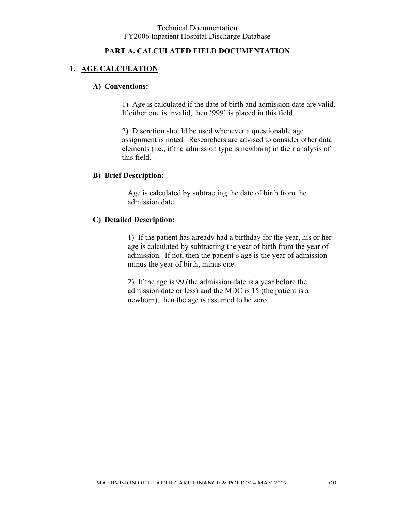#### **PART A. CALCULATED FIELD DOCUMENTATION**

# **1. AGE CALCULATION**

#### **A) Conventions:**

1) Age is calculated if the date of birth and admission date are valid. If either one is invalid, then '999' is placed in this field.

2) Discretion should be used whenever a questionable age assignment is noted. Researchers are advised to consider other data elements (i.e., if the admission type is newborn) in their analysis of this field.

#### **B) Brief Description:**

Age is calculated by subtracting the date of birth from the admission date.

#### **C) Detailed Description:**

1) If the patient has already had a birthday for the year, his or her age is calculated by subtracting the year of birth from the year of admission. If not, then the patient's age is the year of admission minus the year of birth, minus one.

2) If the age is 99 (the admission date is a year before the admission date or less) and the MDC is 15 (the patient is a newborn), then the age is assumed to be zero.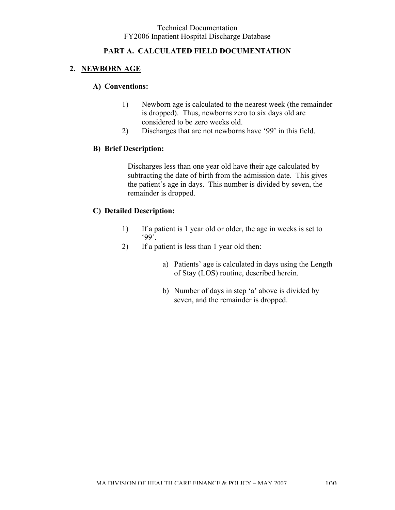### **PART A. CALCULATED FIELD DOCUMENTATION**

# **2. NEWBORN AGE**

#### **A) Conventions:**

- 1) Newborn age is calculated to the nearest week (the remainder is dropped). Thus, newborns zero to six days old are considered to be zero weeks old.
- 2) Discharges that are not newborns have '99' in this field.

### **B) Brief Description:**

Discharges less than one year old have their age calculated by subtracting the date of birth from the admission date. This gives the patient's age in days. This number is divided by seven, the remainder is dropped.

### **C) Detailed Description:**

- 1) If a patient is 1 year old or older, the age in weeks is set to '99'.
- 2) If a patient is less than 1 year old then:
	- a) Patients' age is calculated in days using the Length of Stay (LOS) routine, described herein.
	- b) Number of days in step 'a' above is divided by seven, and the remainder is dropped.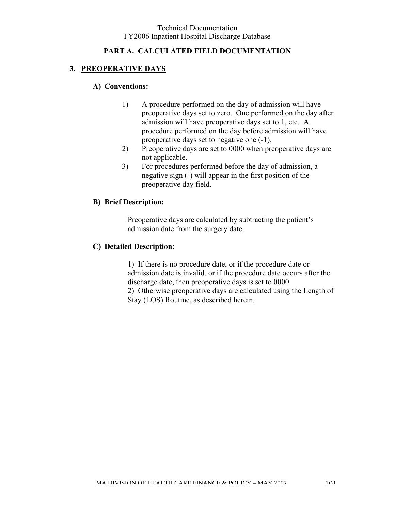### **PART A. CALCULATED FIELD DOCUMENTATION**

## **3. PREOPERATIVE DAYS**

#### **A) Conventions:**

- 1) A procedure performed on the day of admission will have preoperative days set to zero. One performed on the day after admission will have preoperative days set to 1, etc. A procedure performed on the day before admission will have preoperative days set to negative one (-1).
- 2) Preoperative days are set to 0000 when preoperative days are not applicable.
- 3) For procedures performed before the day of admission, a negative sign (-) will appear in the first position of the preoperative day field.

#### **B) Brief Description:**

Preoperative days are calculated by subtracting the patient's admission date from the surgery date.

#### **C) Detailed Description:**

1) If there is no procedure date, or if the procedure date or admission date is invalid, or if the procedure date occurs after the discharge date, then preoperative days is set to 0000. 2) Otherwise preoperative days are calculated using the Length of Stay (LOS) Routine, as described herein.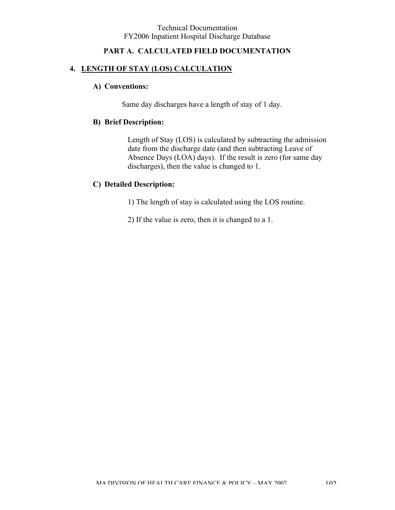### **PART A. CALCULATED FIELD DOCUMENTATION**

#### **4. LENGTH OF STAY (LOS) CALCULATION**

#### **A) Conventions:**

Same day discharges have a length of stay of 1 day.

#### **B) Brief Description:**

Length of Stay (LOS) is calculated by subtracting the admission date from the discharge date (and then subtracting Leave of Absence Days (LOA) days). If the result is zero (for same day discharges), then the value is changed to 1.

#### **C) Detailed Description:**

1) The length of stay is calculated using the LOS routine.

2) If the value is zero, then it is changed to a 1.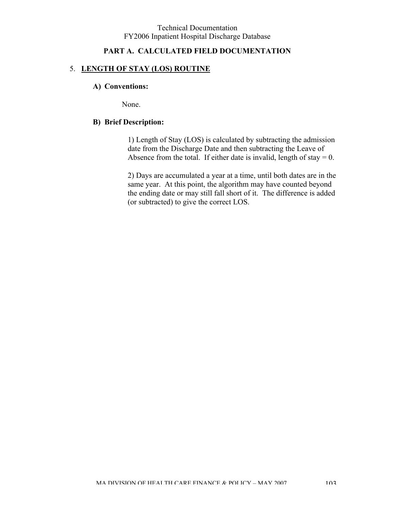### **PART A. CALCULATED FIELD DOCUMENTATION**

#### 5. **LENGTH OF STAY (LOS) ROUTINE**

#### **A) Conventions:**

None.

#### **B) Brief Description:**

1) Length of Stay (LOS) is calculated by subtracting the admission date from the Discharge Date and then subtracting the Leave of Absence from the total. If either date is invalid, length of stay  $= 0$ .

2) Days are accumulated a year at a time, until both dates are in the same year. At this point, the algorithm may have counted beyond the ending date or may still fall short of it. The difference is added (or subtracted) to give the correct LOS.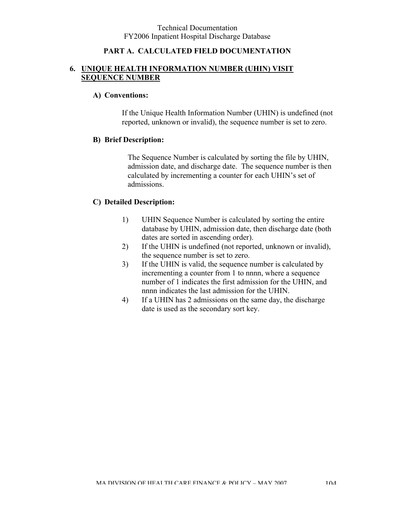### **PART A. CALCULATED FIELD DOCUMENTATION**

#### **6. UNIQUE HEALTH INFORMATION NUMBER (UHIN) VISIT SEQUENCE NUMBER**

#### **A) Conventions:**

If the Unique Health Information Number (UHIN) is undefined (not reported, unknown or invalid), the sequence number is set to zero.

#### **B) Brief Description:**

The Sequence Number is calculated by sorting the file by UHIN, admission date, and discharge date. The sequence number is then calculated by incrementing a counter for each UHIN's set of admissions.

### **C) Detailed Description:**

- 1) UHIN Sequence Number is calculated by sorting the entire database by UHIN, admission date, then discharge date (both dates are sorted in ascending order).
- 2) If the UHIN is undefined (not reported, unknown or invalid), the sequence number is set to zero.
- 3) If the UHIN is valid, the sequence number is calculated by incrementing a counter from 1 to nnnn, where a sequence number of 1 indicates the first admission for the UHIN, and nnnn indicates the last admission for the UHIN.
- 4) If a UHIN has 2 admissions on the same day, the discharge date is used as the secondary sort key.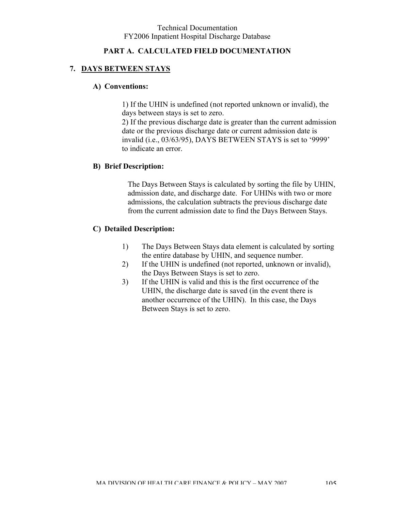#### **PART A. CALCULATED FIELD DOCUMENTATION**

#### **7. DAYS BETWEEN STAYS**

#### **A) Conventions:**

1) If the UHIN is undefined (not reported unknown or invalid), the days between stays is set to zero.

2) If the previous discharge date is greater than the current admission date or the previous discharge date or current admission date is invalid (i.e., 03/63/95), DAYS BETWEEN STAYS is set to '9999' to indicate an error.

#### **B) Brief Description:**

The Days Between Stays is calculated by sorting the file by UHIN, admission date, and discharge date. For UHINs with two or more admissions, the calculation subtracts the previous discharge date from the current admission date to find the Days Between Stays.

#### **C) Detailed Description:**

- 1) The Days Between Stays data element is calculated by sorting the entire database by UHIN, and sequence number.
- 2) If the UHIN is undefined (not reported, unknown or invalid), the Days Between Stays is set to zero.
- 3) If the UHIN is valid and this is the first occurrence of the UHIN, the discharge date is saved (in the event there is another occurrence of the UHIN). In this case, the Days Between Stays is set to zero.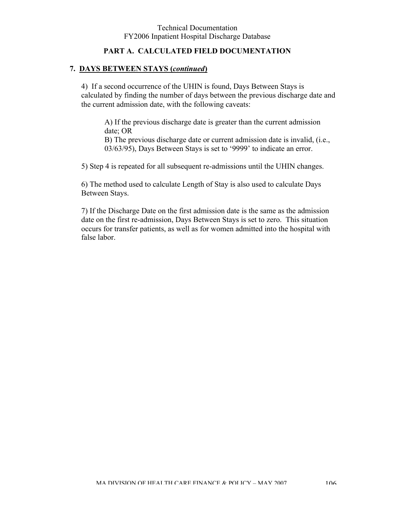### **PART A. CALCULATED FIELD DOCUMENTATION**

### **7. DAYS BETWEEN STAYS (***continued***)**

4) If a second occurrence of the UHIN is found, Days Between Stays is calculated by finding the number of days between the previous discharge date and the current admission date, with the following caveats:

A) If the previous discharge date is greater than the current admission date; OR B) The previous discharge date or current admission date is invalid, (i.e., 03/63/95), Days Between Stays is set to '9999' to indicate an error.

5) Step 4 is repeated for all subsequent re-admissions until the UHIN changes.

6) The method used to calculate Length of Stay is also used to calculate Days Between Stays.

7) If the Discharge Date on the first admission date is the same as the admission date on the first re-admission, Days Between Stays is set to zero. This situation occurs for transfer patients, as well as for women admitted into the hospital with false labor.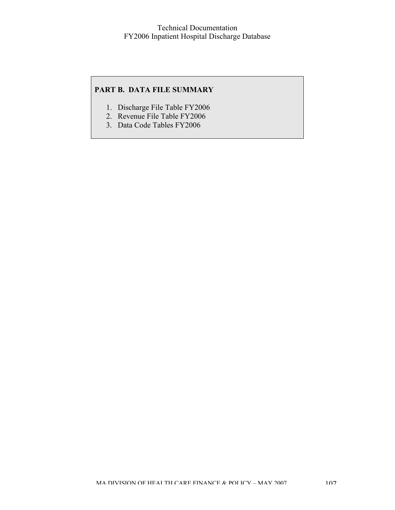### **PART B. DATA FILE SUMMARY**

- 1. Discharge File Table FY2006
- 2. Revenue File Table FY2006
- 3. Data Code Tables FY2006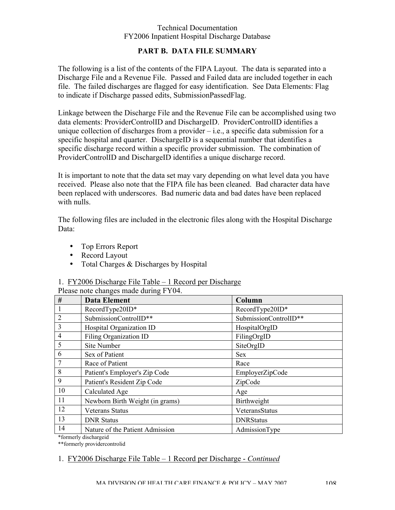### **PART B. DATA FILE SUMMARY**

The following is a list of the contents of the FIPA Layout. The data is separated into a Discharge File and a Revenue File. Passed and Failed data are included together in each file. The failed discharges are flagged for easy identification. See Data Elements: Flag to indicate if Discharge passed edits, SubmissionPassedFlag.

Linkage between the Discharge File and the Revenue File can be accomplished using two data elements: ProviderControlID and DischargeID. ProviderControlID identifies a unique collection of discharges from a provider  $-$  i.e., a specific data submission for a specific hospital and quarter. DischargeID is a sequential number that identifies a specific discharge record within a specific provider submission. The combination of ProviderControlID and DischargeID identifies a unique discharge record.

It is important to note that the data set may vary depending on what level data you have received. Please also note that the FIPA file has been cleaned. Bad character data have been replaced with underscores. Bad numeric data and bad dates have been replaced with nulls.

The following files are included in the electronic files along with the Hospital Discharge Data:

- Top Errors Report
- Record Layout
- Total Charges & Discharges by Hospital

### 1. FY2006 Discharge File Table – 1 Record per Discharge

| #                     | <b>Data Element</b>             | Column                |
|-----------------------|---------------------------------|-----------------------|
| $\mathbf{1}$          | RecordType20ID*                 | RecordType20ID*       |
| $\overline{2}$        | SubmissionControlID**           | SubmissionControlID** |
| 3                     | Hospital Organization ID        | HospitalOrgID         |
| $\overline{4}$        | <b>Filing Organization ID</b>   | FilingOrgID           |
| 5                     | Site Number                     | SiteOrgID             |
| 6                     | Sex of Patient                  | <b>Sex</b>            |
| $\overline{7}$        | Race of Patient                 | Race                  |
| 8                     | Patient's Employer's Zip Code   | EmployerZipCode       |
| 9                     | Patient's Resident Zip Code     | ZipCode               |
| 10                    | Calculated Age                  | Age                   |
| 11                    | Newborn Birth Weight (in grams) | Birthweight           |
| 12                    | <b>Veterans Status</b>          | VeteransStatus        |
| 13                    | <b>DNR Status</b>               | <b>DNRStatus</b>      |
| 14                    | Nature of the Patient Admission | AdmissionType         |
| *formerly dischargeid |                                 |                       |

Please note changes made during FY04.

\*\*formerly providercontrolid

## 1. FY2006 Discharge File Table – 1 Record per Discharge - *Continued*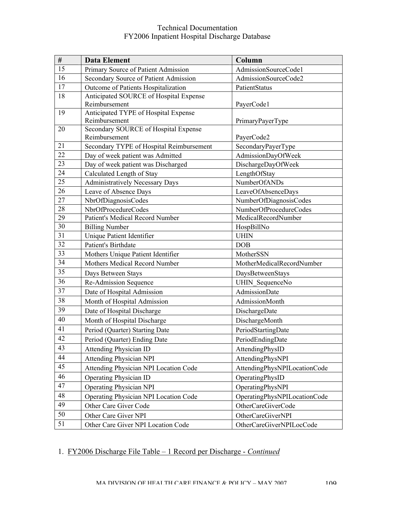| #        | <b>Data Element</b>                      | Column                       |
|----------|------------------------------------------|------------------------------|
| 15       | Primary Source of Patient Admission      | AdmissionSourceCode1         |
| 16       | Secondary Source of Patient Admission    | AdmissionSourceCode2         |
| 17       | Outcome of Patients Hospitalization      | PatientStatus                |
| 18       | Anticipated SOURCE of Hospital Expense   |                              |
|          | Reimbursement                            | PayerCode1                   |
| 19       | Anticipated TYPE of Hospital Expense     |                              |
|          | Reimbursement                            | PrimaryPayerType             |
| 20       | Secondary SOURCE of Hospital Expense     |                              |
| 21       | Reimbursement                            | PayerCode2                   |
| 22       | Secondary TYPE of Hospital Reimbursement | SecondaryPayerType           |
| 23       | Day of week patient was Admitted         | AdmissionDayOfWeek           |
| 24       | Day of week patient was Discharged       | DischargeDayOfWeek           |
| 25       | Calculated Length of Stay                | LengthOfStay                 |
| 26       | <b>Administratively Necessary Days</b>   | NumberOfANDs                 |
| 27       | Leave of Absence Days                    | LeaveOfAbsenceDays           |
|          | NbrOfDiagnosisCodes                      | NumberOfDiagnosisCodes       |
| 28       | NbrOfProcedureCodes                      | NumberOfProcedureCodes       |
| 29<br>30 | Patient's Medical Record Number          | MedicalRecordNumber          |
| 31       | <b>Billing Number</b>                    | HospBillNo                   |
| 32       | Unique Patient Identifier                | <b>UHIN</b>                  |
| 33       | Patient's Birthdate                      | <b>DOB</b>                   |
| 34       | Mothers Unique Patient Identifier        | MotherSSN                    |
| 35       | Mothers Medical Record Number            | MotherMedicalRecordNumber    |
| 36       | Days Between Stays                       | DaysBetweenStays             |
|          | Re-Admission Sequence                    | <b>UHIN</b> SequenceNo       |
| 37       | Date of Hospital Admission               | <b>AdmissionDate</b>         |
| 38       | Month of Hospital Admission              | AdmissionMonth               |
| 39       | Date of Hospital Discharge               | DischargeDate                |
| 40       | Month of Hospital Discharge              | DischargeMonth               |
| 41       | Period (Quarter) Starting Date           | PeriodStartingDate           |
| 42       | Period (Quarter) Ending Date             | PeriodEndingDate             |
| 43       | <b>Attending Physician ID</b>            | AttendingPhysID              |
| 44       | <b>Attending Physician NPI</b>           | AttendingPhysNPI             |
| 45       | Attending Physician NPI Location Code    | AttendingPhysNPILocationCode |
| 46       | <b>Operating Physician ID</b>            | OperatingPhysID              |
| 47       | <b>Operating Physician NPI</b>           | OperatingPhysNPI             |
| 48       | Operating Physician NPI Location Code    | OperatingPhysNPILocationCode |
| 49       | Other Care Giver Code                    | OtherCareGiverCode           |
| 50       | Other Care Giver NPI                     | OtherCareGiverNPI            |
| 51       | Other Care Giver NPI Location Code       | OtherCareGiverNPILocCode     |
|          |                                          |                              |

# 1. FY2006 Discharge File Table – 1 Record per Discharge - *Continued*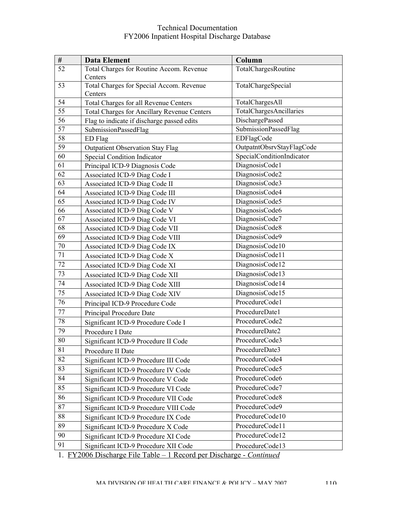| $\#$            | <b>Data Element</b>                                                 | Column                    |
|-----------------|---------------------------------------------------------------------|---------------------------|
| 52              | Total Charges for Routine Accom. Revenue                            | TotalChargesRoutine       |
|                 | Centers                                                             |                           |
| 53              | Total Charges for Special Accom. Revenue                            | TotalChargeSpecial        |
|                 | Centers                                                             |                           |
| 54              | Total Charges for all Revenue Centers                               | TotalChargesAll           |
| 55              | <b>Total Charges for Ancillary Revenue Centers</b>                  | TotalChargesAncillaries   |
| 56              | Flag to indicate if discharge passed edits                          | DischargePassed           |
| 57              | SubmissionPassedFlag                                                | SubmissionPassedFlag      |
| 58              | ED Flag                                                             | EDFlagCode                |
| 59              | <b>Outpatient Observation Stay Flag</b>                             | OutpatntObsrvStayFlagCode |
| 60              | Special Condition Indicator                                         | SpecialConditionIndicator |
| 61              | Principal ICD-9 Diagnosis Code                                      | DiagnosisCode1            |
| 62              | Associated ICD-9 Diag Code I                                        | DiagnosisCode2            |
| 63              | Associated ICD-9 Diag Code II                                       | DiagnosisCode3            |
| 64              | Associated ICD-9 Diag Code III                                      | DiagnosisCode4            |
| 65              | Associated ICD-9 Diag Code IV                                       | DiagnosisCode5            |
| 66              | Associated ICD-9 Diag Code V                                        | DiagnosisCode6            |
| 67              | Associated ICD-9 Diag Code VI                                       | DiagnosisCode7            |
| 68              | Associated ICD-9 Diag Code VII                                      | DiagnosisCode8            |
| 69              | Associated ICD-9 Diag Code VIII                                     | DiagnosisCode9            |
| $70\,$          | Associated ICD-9 Diag Code IX                                       | DiagnosisCode10           |
| 71              | Associated ICD-9 Diag Code X                                        | DiagnosisCode11           |
| 72              | Associated ICD-9 Diag Code XI                                       | DiagnosisCode12           |
| 73              | Associated ICD-9 Diag Code XII                                      | DiagnosisCode13           |
| 74              | Associated ICD-9 Diag Code XIII                                     | DiagnosisCode14           |
| $\overline{75}$ | <b>Associated ICD-9 Diag Code XIV</b>                               | DiagnosisCode15           |
| 76              | Principal ICD-9 Procedure Code                                      | ProcedureCode1            |
| 77              | Principal Procedure Date                                            | ProcedureDate1            |
| 78              | Significant ICD-9 Procedure Code I                                  | ProcedureCode2            |
| 79              | Procedure I Date                                                    | ProcedureDate2            |
| 80              | Significant ICD-9 Procedure II Code                                 | ProcedureCode3            |
| 81              | Procedure II Date                                                   | ProcedureDate3            |
| 82              | Significant ICD-9 Procedure III Code                                | ProcedureCode4            |
| 83              | Significant ICD-9 Procedure IV Code                                 | ProcedureCode5            |
| 84              | Significant ICD-9 Procedure V Code                                  | ProcedureCode6            |
| 85              | Significant ICD-9 Procedure VI Code                                 | ProcedureCode7            |
| 86              | Significant ICD-9 Procedure VII Code                                | ProcedureCode8            |
| 87              | Significant ICD-9 Procedure VIII Code                               | ProcedureCode9            |
| 88              | Significant ICD-9 Procedure IX Code                                 | ProcedureCode10           |
| 89              | Significant ICD-9 Procedure X Code                                  | ProcedureCode11           |
| 90              | Significant ICD-9 Procedure XI Code                                 | ProcedureCode12           |
| 91              | Significant ICD-9 Procedure XII Code                                | ProcedureCode13           |
|                 | 1. FY2006 Discharge File Table - 1 Record per Discharge - Continued |                           |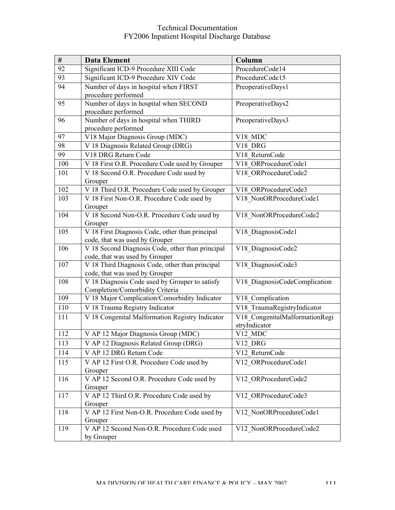| $\#$ | <b>Data Element</b>                                      | Column                         |  |
|------|----------------------------------------------------------|--------------------------------|--|
| 92   | Significant ICD-9 Procedure XIII Code<br>ProcedureCode14 |                                |  |
| 93   | Significant ICD-9 Procedure XIV Code<br>ProcedureCode15  |                                |  |
| 94   | Number of days in hospital when FIRST                    | PreoperativeDays1              |  |
|      | procedure performed                                      |                                |  |
| 95   | Number of days in hospital when SECOND                   | PreoperativeDays2              |  |
|      | procedure performed                                      |                                |  |
| 96   | Number of days in hospital when THIRD                    | PreoperativeDays3              |  |
|      | procedure performed                                      |                                |  |
| 97   | V18 Major Diagnosis Group (MDC)                          | V18 MDC                        |  |
| 98   | V 18 Diagnosis Related Group (DRG)                       | V18 DRG                        |  |
| 99   | V18 DRG Return Code                                      | V18 ReturnCode                 |  |
| 100  | V 18 First O.R. Procedure Code used by Grouper           | V18 ORProcedureCode1           |  |
| 101  | V 18 Second O.R. Procedure Code used by<br>Grouper       | V18 ORProcedureCode2           |  |
| 102  | V 18 Third O.R. Procedure Code used by Grouper           | V18 ORProcedureCode3           |  |
| 103  | V 18 First Non-O.R. Procedure Code used by               | V18 NonORProcedureCode1        |  |
|      | Grouper                                                  |                                |  |
| 104  | V 18 Second Non-O.R. Procedure Code used by              | V18 NonORProcedureCode2        |  |
|      | Grouper                                                  |                                |  |
| 105  | V 18 First Diagnosis Code, other than principal          | V18 DiagnosisCode1             |  |
|      | code, that was used by Grouper                           |                                |  |
| 106  | V 18 Second Diagnosis Code, other than principal         | V18 DiagnosisCode2             |  |
|      | code, that was used by Grouper                           |                                |  |
| 107  | V 18 Third Diagnosis Code, other than principal          | V18_DiagnosisCode3             |  |
|      | code, that was used by Grouper                           |                                |  |
| 108  | V 18 Diagnosis Code used by Grouper to satisfy           | V18 DiagnosisCodeComplication  |  |
|      | Completion/Comorbidity Criteria                          |                                |  |
| 109  | V 18 Major Complication/Comorbidity Indicator            | V18_Complication               |  |
| 110  | V 18 Trauma Registry Indicator                           | V18 TraumaRegistryIndicator    |  |
| 111  | V 18 Congenital Malformation Registry Indicator          | V18 CongenitalMalformationRegi |  |
|      |                                                          | stryIndicator                  |  |
| 112  | V AP 12 Major Diagnosis Group (MDC)                      | V <sub>12_MDC</sub>            |  |
| 113  | V AP 12 Diagnosis Related Group (DRG)                    | V12 DRG                        |  |
| 114  | V AP 12 DRG Return Code                                  | V12 ReturnCode                 |  |
| 115  | V AP 12 First O.R. Procedure Code used by                | V12 ORProcedureCode1           |  |
|      | Grouper                                                  |                                |  |
| 116  | V AP 12 Second O.R. Procedure Code used by               | V12 ORProcedureCode2           |  |
| 117  | Grouper<br>V AP 12 Third O.R. Procedure Code used by     |                                |  |
|      | Grouper                                                  | V12 ORProcedureCode3           |  |
| 118  | V AP 12 First Non-O.R. Procedure Code used by            | V12 NonORProcedureCode1        |  |
|      | Grouper                                                  |                                |  |
| 119  | V AP 12 Second Non-O.R. Procedure Code used              | V12 NonORProcedureCode2        |  |
|      | by Grouper                                               |                                |  |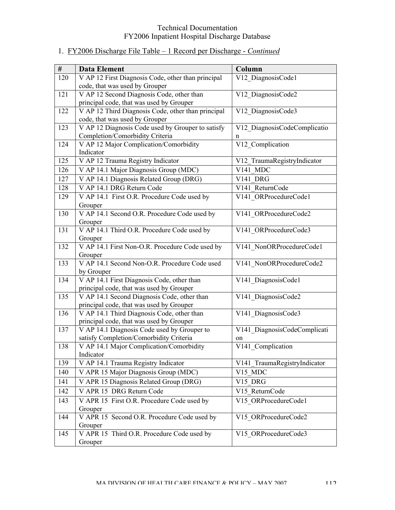| #   | <b>Data Element</b>                                      | Column                       |
|-----|----------------------------------------------------------|------------------------------|
| 120 | V AP 12 First Diagnosis Code, other than principal       | V12 DiagnosisCode1           |
|     | code, that was used by Grouper                           |                              |
| 121 | V AP 12 Second Diagnosis Code, other than                | V12 DiagnosisCode2           |
|     | principal code, that was used by Grouper                 |                              |
| 122 | V AP 12 Third Diagnosis Code, other than principal       | V12 DiagnosisCode3           |
|     | code, that was used by Grouper                           |                              |
| 123 | V AP 12 Diagnosis Code used by Grouper to satisfy        | V12 DiagnosisCodeComplicatio |
|     | Completion/Comorbidity Criteria                          | n                            |
| 124 | V AP 12 Major Complication/Comorbidity                   | V12 Complication             |
|     | Indicator                                                |                              |
| 125 | V AP 12 Trauma Registry Indicator                        | V12 TraumaRegistryIndicator  |
| 126 | V AP 14.1 Major Diagnosis Group (MDC)                    | V141 MDC                     |
| 127 | V AP 14.1 Diagnosis Related Group (DRG)                  | V141 DRG                     |
| 128 | V AP 14.1 DRG Return Code                                | V141 ReturnCode              |
| 129 | V AP 14.1 First O.R. Procedure Code used by              | V141 ORProcedureCode1        |
|     | Grouper                                                  |                              |
| 130 | V AP 14.1 Second O.R. Procedure Code used by             | V141 ORProcedureCode2        |
|     | Grouper                                                  |                              |
| 131 | V AP 14.1 Third O.R. Procedure Code used by              | V141 ORProcedureCode3        |
|     | Grouper                                                  |                              |
| 132 | V AP 14.1 First Non-O.R. Procedure Code used by          | V141 NonORProcedureCode1     |
| 133 | Grouper<br>V AP 14.1 Second Non-O.R. Procedure Code used |                              |
|     | by Grouper                                               | V141 NonORProcedureCode2     |
| 134 | V AP 14.1 First Diagnosis Code, other than               | V141 DiagnosisCode1          |
|     | principal code, that was used by Grouper                 |                              |
| 135 | V AP 14.1 Second Diagnosis Code, other than              | V141 DiagnosisCode2          |
|     | principal code, that was used by Grouper                 |                              |
| 136 | V AP 14.1 Third Diagnosis Code, other than               | V141 DiagnosisCode3          |
|     | principal code, that was used by Grouper                 |                              |
| 137 | V AP 14.1 Diagnosis Code used by Grouper to              | V141 DiagnosisCodeComplicati |
|     | satisfy Completion/Comorbidity Criteria                  | on                           |
| 138 | V AP 14.1 Major Complication/Comorbidity                 | V141_Complication            |
|     | Indicator                                                |                              |
| 139 | V AP 14.1 Trauma Registry Indicator                      | V141 TraumaRegistryIndicator |
| 140 | V APR 15 Major Diagnosis Group (MDC)                     | V15 MDC                      |
| 141 | V APR 15 Diagnosis Related Group (DRG)                   | V15 DRG                      |
| 142 | V APR 15 DRG Return Code                                 | V15 ReturnCode               |
| 143 | V APR 15 First O.R. Procedure Code used by               | V15 ORProcedureCode1         |
|     | Grouper                                                  |                              |
| 144 | V APR 15 Second O.R. Procedure Code used by              | V15_ORProcedureCode2         |
|     | Grouper                                                  |                              |
| 145 | V APR 15 Third O.R. Procedure Code used by               | V15 ORProcedureCode3         |
|     | Grouper                                                  |                              |

# 1. FY2006 Discharge File Table – 1 Record per Discharge - *Continued*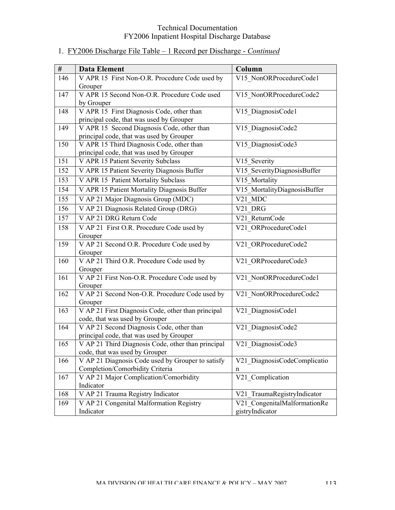# 1. FY2006 Discharge File Table – 1 Record per Discharge - *Continued*

| #   | <b>Data Element</b>                                                         | Column                       |
|-----|-----------------------------------------------------------------------------|------------------------------|
| 146 | V APR 15 First Non-O.R. Procedure Code used by                              | V15 NonORProcedureCode1      |
|     | Grouper                                                                     |                              |
| 147 | V APR 15 Second Non-O.R. Procedure Code used                                | V15 NonORProcedureCode2      |
|     | by Grouper                                                                  |                              |
| 148 | V APR 15 First Diagnosis Code, other than                                   | V15_DiagnosisCode1           |
|     | principal code, that was used by Grouper                                    |                              |
| 149 | V APR 15 Second Diagnosis Code, other than                                  | V15 DiagnosisCode2           |
|     | principal code, that was used by Grouper                                    |                              |
| 150 | V APR 15 Third Diagnosis Code, other than                                   | V15 DiagnosisCode3           |
|     | principal code, that was used by Grouper                                    |                              |
| 151 | V APR 15 Patient Severity Subclass                                          | V15 Severity                 |
| 152 | V APR 15 Patient Severity Diagnosis Buffer                                  | V15 SeverityDiagnosisBuffer  |
| 153 | V APR 15 Patient Mortality Subclass                                         | V15 Mortality                |
| 154 | V APR 15 Patient Mortality Diagnosis Buffer                                 | V15 MortalityDiagnosisBuffer |
| 155 | V AP 21 Major Diagnosis Group (MDC)                                         | V21 MDC                      |
| 156 | V AP 21 Diagnosis Related Group (DRG)                                       | V21 DRG                      |
| 157 | V AP 21 DRG Return Code                                                     | V21 ReturnCode               |
| 158 | V AP 21 First O.R. Procedure Code used by                                   | V21 ORProcedureCode1         |
|     | Grouper                                                                     |                              |
| 159 | V AP 21 Second O.R. Procedure Code used by                                  | V21_ORProcedureCode2         |
|     | Grouper                                                                     |                              |
| 160 | V AP 21 Third O.R. Procedure Code used by                                   | V21 ORProcedureCode3         |
|     | Grouper                                                                     |                              |
| 161 | V AP 21 First Non-O.R. Procedure Code used by                               | V21 NonORProcedureCode1      |
|     | Grouper                                                                     |                              |
| 162 | V AP 21 Second Non-O.R. Procedure Code used by                              | V21_NonORProcedureCode2      |
|     | Grouper                                                                     |                              |
| 163 | V AP 21 First Diagnosis Code, other than principal                          | V21 DiagnosisCode1           |
| 164 | code, that was used by Grouper<br>V AP 21 Second Diagnosis Code, other than |                              |
|     | principal code, that was used by Grouper                                    | V21 DiagnosisCode2           |
| 165 | V AP 21 Third Diagnosis Code, other than principal                          | V21 DiagnosisCode3           |
|     | code, that was used by Grouper                                              |                              |
| 166 | V AP 21 Diagnosis Code used by Grouper to satisfy                           | V21 DiagnosisCodeComplicatio |
|     | Completion/Comorbidity Criteria                                             | n                            |
| 167 | V AP 21 Major Complication/Comorbidity                                      | V21 Complication             |
|     | Indicator                                                                   |                              |
| 168 | V AP 21 Trauma Registry Indicator                                           | V21 TraumaRegistryIndicator  |
| 169 | V AP 21 Congenital Malformation Registry                                    | V21 CongenitalMalformationRe |
|     | Indicator                                                                   | gistryIndicator              |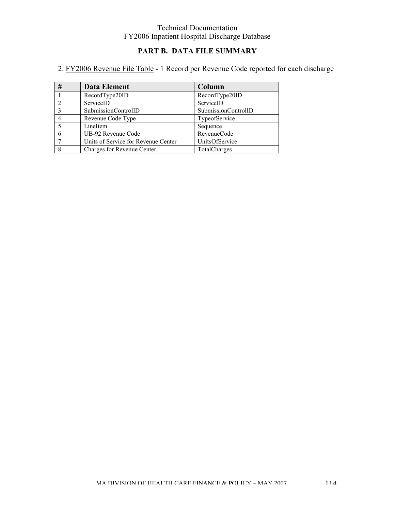## **PART B. DATA FILE SUMMARY**

# 2. FY2006 Revenue File Table - 1 Record per Revenue Code reported for each discharge

| # | <b>Data Element</b>                 | Column              |
|---|-------------------------------------|---------------------|
|   | RecordType20ID                      | RecordType20ID      |
|   | ServiceID                           | ServiceID           |
|   | SubmissionControlID                 | SubmissionControlID |
|   | Revenue Code Type                   | TypeofService       |
|   | LineItem                            | Sequence            |
|   | UB-92 Revenue Code                  | RevenueCode         |
|   | Units of Service for Revenue Center | UnitsOfService      |
|   | Charges for Revenue Center          | TotalCharges        |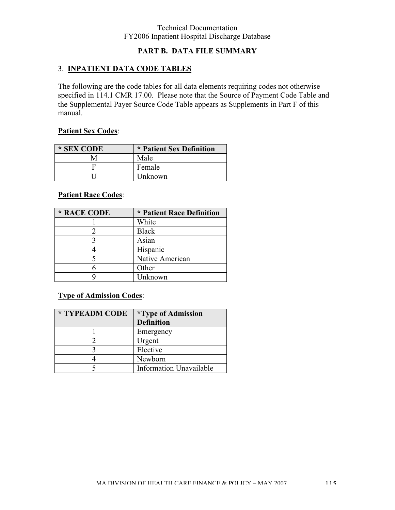## **PART B. DATA FILE SUMMARY**

## 3. **INPATIENT DATA CODE TABLES**

The following are the code tables for all data elements requiring codes not otherwise specified in 114.1 CMR 17.00. Please note that the Source of Payment Code Table and the Supplemental Payer Source Code Table appears as Supplements in Part F of this manual.

### **Patient Sex Codes**:

| * SEX CODE | * Patient Sex Definition |
|------------|--------------------------|
|            | Male                     |
|            | Female                   |
|            | Unknown                  |

## **Patient Race Codes**:

| * RACE CODE | * Patient Race Definition |
|-------------|---------------------------|
|             | White                     |
|             | <b>Black</b>              |
|             | Asian                     |
|             | Hispanic                  |
|             | Native American           |
|             | Other                     |
|             | Unknown                   |

## **Type of Admission Codes**:

| * TYPEADM CODE | <i>*Type of Admission</i>      |
|----------------|--------------------------------|
|                | <b>Definition</b>              |
|                | Emergency                      |
|                | Urgent                         |
|                | Elective                       |
|                | Newborn                        |
|                | <b>Information Unavailable</b> |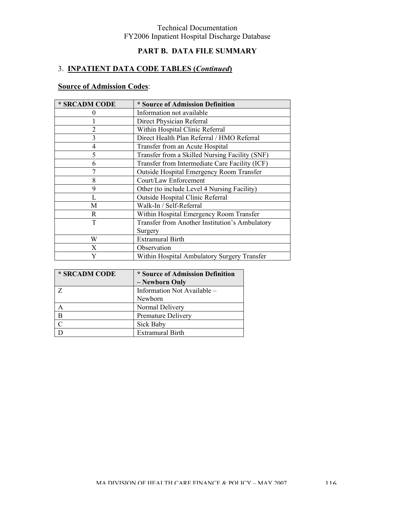## **PART B. DATA FILE SUMMARY**

## 3. **INPATIENT DATA CODE TABLES (***Continued***)**

# **Source of Admission Codes**:

| * SRCADM CODE     | * Source of Admission Definition               |
|-------------------|------------------------------------------------|
| $\mathbf{\Omega}$ | Information not available                      |
|                   | Direct Physician Referral                      |
| $\overline{2}$    | Within Hospital Clinic Referral                |
| 3                 | Direct Health Plan Referral / HMO Referral     |
| 4                 | Transfer from an Acute Hospital                |
| 5                 | Transfer from a Skilled Nursing Facility (SNF) |
| 6                 | Transfer from Intermediate Care Facility (ICF) |
|                   | Outside Hospital Emergency Room Transfer       |
| 8                 | Court/Law Enforcement                          |
| 9                 | Other (to include Level 4 Nursing Facility)    |
|                   | Outside Hospital Clinic Referral               |
| Μ                 | Walk-In / Self-Referral                        |
| R                 | Within Hospital Emergency Room Transfer        |
| T                 | Transfer from Another Institution's Ambulatory |
|                   | Surgery                                        |
| W                 | <b>Extramural Birth</b>                        |
| X                 | Observation                                    |
| Y                 | Within Hospital Ambulatory Surgery Transfer    |

| * SRCADM CODE | * Source of Admission Definition |
|---------------|----------------------------------|
|               | - Newborn Only                   |
|               | Information Not Available -      |
|               | Newborn                          |
|               | Normal Delivery                  |
| B             | Premature Delivery               |
|               | Sick Baby                        |
|               | <b>Extramural Birth</b>          |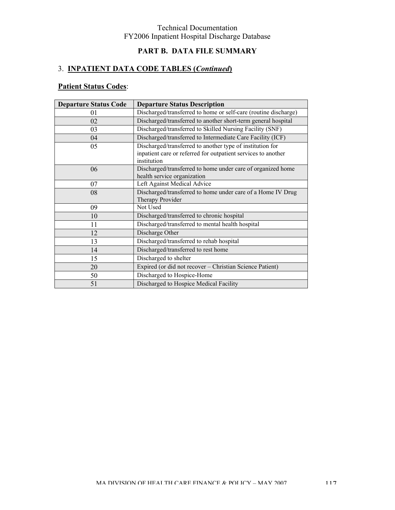## **PART B. DATA FILE SUMMARY**

# 3. **INPATIENT DATA CODE TABLES (***Continued***)**

# **Patient Status Codes**:

| <b>Departure Status Code</b> | <b>Departure Status Description</b>                                                                                                       |
|------------------------------|-------------------------------------------------------------------------------------------------------------------------------------------|
| 01                           | Discharged/transferred to home or self-care (routine discharge)                                                                           |
| 02                           | Discharged/transferred to another short-term general hospital                                                                             |
| 03                           | Discharged/transferred to Skilled Nursing Facility (SNF)                                                                                  |
| 04                           | Discharged/transferred to Intermediate Care Facility (ICF)                                                                                |
| 05                           | Discharged/transferred to another type of institution for<br>inpatient care or referred for outpatient services to another<br>institution |
| 06                           | Discharged/transferred to home under care of organized home<br>health service organization                                                |
| 07                           | Left Against Medical Advice                                                                                                               |
| 08                           | Discharged/transferred to home under care of a Home IV Drug<br>Therapy Provider                                                           |
| 09                           | Not Used                                                                                                                                  |
| 10                           | Discharged/transferred to chronic hospital                                                                                                |
| 11                           | Discharged/transferred to mental health hospital                                                                                          |
| 12                           | Discharge Other                                                                                                                           |
| 13                           | Discharged/transferred to rehab hospital                                                                                                  |
| 14                           | Discharged/transferred to rest home                                                                                                       |
| 15                           | Discharged to shelter                                                                                                                     |
| 20                           | Expired (or did not recover - Christian Science Patient)                                                                                  |
| 50                           | Discharged to Hospice-Home                                                                                                                |
| 51                           | Discharged to Hospice Medical Facility                                                                                                    |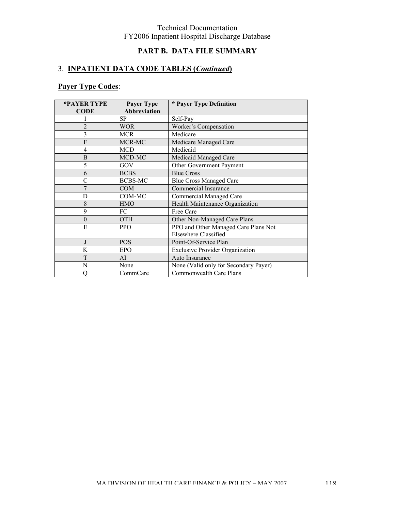## **PART B. DATA FILE SUMMARY**

## 3. **INPATIENT DATA CODE TABLES (***Continued***)**

# **Payer Type Codes**:

| *PAYER TYPE    | <b>Payer Type</b>   | * Payer Type Definition                |  |
|----------------|---------------------|----------------------------------------|--|
| <b>CODE</b>    | <b>Abbreviation</b> |                                        |  |
|                | <b>SP</b>           | Self-Pay                               |  |
| $\overline{2}$ | <b>WOR</b>          | Worker's Compensation                  |  |
| 3              | <b>MCR</b>          | Medicare                               |  |
| F              | MCR-MC              | Medicare Managed Care                  |  |
| $\overline{4}$ | <b>MCD</b>          | Medicaid                               |  |
| B              | MCD-MC              | Medicaid Managed Care                  |  |
| 5              | GOV                 | Other Government Payment               |  |
| 6              | <b>BCBS</b>         | <b>Blue Cross</b>                      |  |
| C              | <b>BCBS-MC</b>      | <b>Blue Cross Managed Care</b>         |  |
| 7              | <b>COM</b>          | <b>Commercial Insurance</b>            |  |
| D              | COM-MC              | <b>Commercial Managed Care</b>         |  |
| 8              | <b>HMO</b>          | Health Maintenance Organization        |  |
| 9              | FC                  | Free Care                              |  |
| $\theta$       | <b>OTH</b>          | Other Non-Managed Care Plans           |  |
| E              | <b>PPO</b>          | PPO and Other Managed Care Plans Not   |  |
|                |                     | Elsewhere Classified                   |  |
|                | <b>POS</b>          | Point-Of-Service Plan                  |  |
| K              | <b>EPO</b>          | <b>Exclusive Provider Organization</b> |  |
| T              | AI                  | Auto Insurance                         |  |
| N              | None                | None (Valid only for Secondary Payer)  |  |
| O              | CommCare            | Commonwealth Care Plans                |  |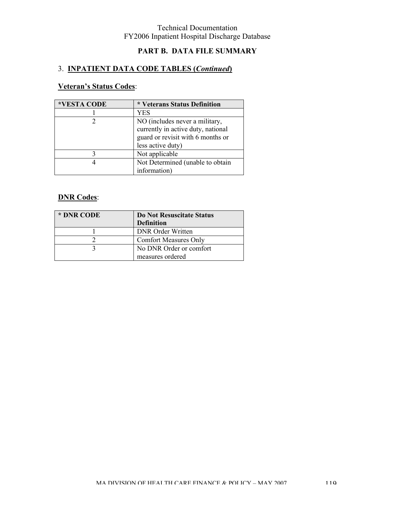# **PART B. DATA FILE SUMMARY**

## 3. **INPATIENT DATA CODE TABLES (***Continued***)**

# **Veteran's Status Codes**:

| *VESTA CODE | * Veterans Status Definition                                                                                                   |
|-------------|--------------------------------------------------------------------------------------------------------------------------------|
|             | YES                                                                                                                            |
|             | NO (includes never a military,<br>currently in active duty, national<br>guard or revisit with 6 months or<br>less active duty) |
|             | Not applicable                                                                                                                 |
|             | Not Determined (unable to obtain<br>information)                                                                               |

## **DNR Codes**:

| * DNR CODE | Do Not Resuscitate Status<br><b>Definition</b> |
|------------|------------------------------------------------|
|            | <b>DNR</b> Order Written                       |
|            | <b>Comfort Measures Only</b>                   |
|            | No DNR Order or comfort                        |
|            | measures ordered                               |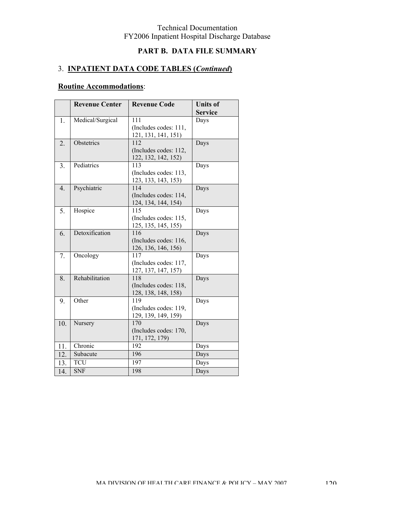# **PART B. DATA FILE SUMMARY**

# 3. **INPATIENT DATA CODE TABLES (***Continued***)**

# **Routine Accommodations**:

|                  | <b>Revenue Center</b> | <b>Revenue Code</b>        | <b>Units of</b><br><b>Service</b> |
|------------------|-----------------------|----------------------------|-----------------------------------|
| 1.               | Medical/Surgical      | 111                        | Days                              |
|                  |                       | (Includes codes: 111,      |                                   |
|                  |                       | 121, 131, 141, 151)        |                                   |
| 2.               | Obstetrics            | 112                        | Days                              |
|                  |                       | (Includes codes: 112,      |                                   |
|                  |                       | 122, 132, 142, 152)        |                                   |
| 3.               | Pediatrics            | 113                        | Days                              |
|                  |                       | (Includes codes: 113,      |                                   |
|                  |                       | 123, 133, 143, 153)        |                                   |
| $\overline{4}$ . | Psychiatric           | 114                        | Days                              |
|                  |                       | (Includes codes: 114,      |                                   |
|                  |                       | 124, 134, 144, 154)        |                                   |
| 5.               | Hospice               | 115                        | Days                              |
|                  |                       | (Includes codes: 115,      |                                   |
|                  |                       | 125, 135, 145, 155)        |                                   |
| 6.               | Detoxification        | 116                        | Days                              |
|                  |                       | (Includes codes: 116,      |                                   |
|                  |                       | 126, 136, 146, 156)<br>117 |                                   |
| 7.               | Oncology              | (Includes codes: 117,      | Days                              |
|                  |                       | 127, 137, 147, 157)        |                                   |
| 8.               | Rehabilitation        | 118                        | Days                              |
|                  |                       | (Includes codes: 118,      |                                   |
|                  |                       | 128, 138, 148, 158)        |                                   |
| 9.               | Other                 | 119                        | Days                              |
|                  |                       | (Includes codes: 119,      |                                   |
|                  |                       | 129, 139, 149, 159)        |                                   |
| 10.              | Nursery               | 170                        | Days                              |
|                  |                       | (Includes codes: 170,      |                                   |
|                  |                       | 171, 172, 179)             |                                   |
| 11.              | Chronic               | 192                        | Days                              |
| 12.              | Subacute              | 196                        | Days                              |
| 13.              | <b>TCU</b>            | 197                        | Days                              |
| 14.              | <b>SNF</b>            | 198                        | Days                              |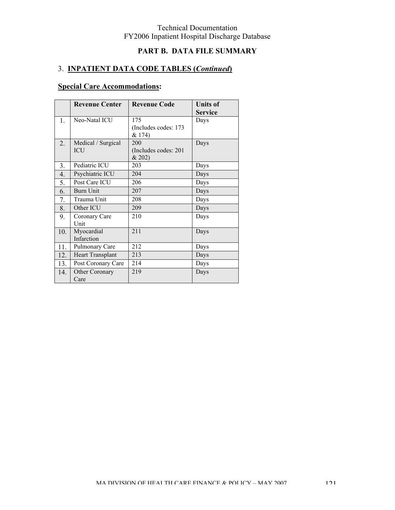# **PART B. DATA FILE SUMMARY**

# 3. **INPATIENT DATA CODE TABLES (***Continued***)**

# **Special Care Accommodations:**

|                  | <b>Revenue Center</b>            | <b>Revenue Code</b>                    | <b>Units of</b><br><b>Service</b> |
|------------------|----------------------------------|----------------------------------------|-----------------------------------|
| 1.               | Neo-Natal ICU                    | 175<br>(Includes codes: 173<br>& 174)  | Days                              |
| $\overline{2}$ . | Medical / Surgical<br><b>ICU</b> | 200<br>(Includes codes: 201)<br>& 202) | Days                              |
| 3.               | Pediatric ICU                    | 203                                    | Days                              |
| 4.               | Psychiatric ICU                  | 204                                    | Days                              |
| 5.               | Post Care ICU                    | 206                                    | Days                              |
| 6.               | Burn Unit                        | 207                                    | Days                              |
| 7.               | Trauma Unit                      | 208                                    | Days                              |
| 8.               | Other ICU                        | 209                                    | Days                              |
| 9.               | Coronary Care<br>Unit            | 210                                    | Days                              |
| 10.              | Myocardial<br>Infarction         | 211                                    | Days                              |
| 11.              | Pulmonary Care                   | 212                                    | Days                              |
| 12.              | <b>Heart Transplant</b>          | 213                                    | Days                              |
| 13.              | Post Coronary Care               | 214                                    | Days                              |
| 14.              | Other Coronary<br>Care           | 219                                    | Days                              |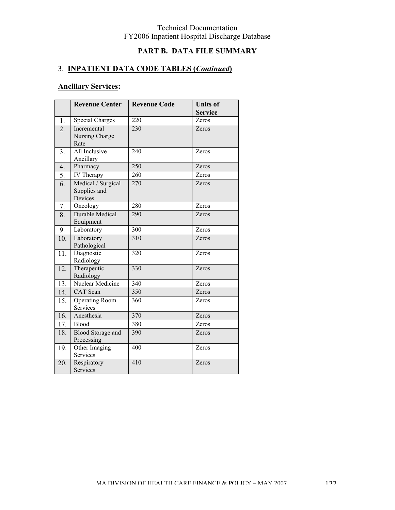# **PART B. DATA FILE SUMMARY**

## 3. **INPATIENT DATA CODE TABLES (***Continued***)**

|                  | <b>Revenue Center</b>                         | <b>Revenue Code</b> | <b>Units of</b> |
|------------------|-----------------------------------------------|---------------------|-----------------|
|                  |                                               |                     | <b>Service</b>  |
| $\overline{1}$ . | <b>Special Charges</b>                        | 220                 | Zeros           |
| 2.               | Incremental<br>Nursing Charge                 | 230                 | Zeros           |
|                  | Rate                                          |                     |                 |
| 3.               | All Inclusive<br>Ancillary                    | 240                 | Zeros           |
| 4.               | Pharmacy                                      | 250                 | Zeros           |
| 5.               | IV Therapy                                    | 260                 | Zeros           |
| 6.               | Medical / Surgical<br>Supplies and<br>Devices | 270                 | Zeros           |
| 7.               | Oncology                                      | 280                 | Zeros           |
| 8.               | <b>Durable Medical</b><br>Equipment           | 290                 | Zeros           |
| 9.               | Laboratory                                    | 300                 | Zeros           |
| 10.              | Laboratory<br>Pathological                    | $\overline{310}$    | Zeros           |
| 11.              | Diagnostic<br>Radiology                       | 320                 | Zeros           |
| 12.              | Therapeutic<br>Radiology                      | 330                 | Zeros           |
| 13.              | Nuclear Medicine                              | 340                 | Zeros           |
| 14.              | <b>CAT</b> Scan                               | 350                 | Zeros           |
| 15.              | <b>Operating Room</b><br>Services             | 360                 | Zeros           |
| 16.              | Anesthesia                                    | 370                 | Zeros           |
| 17.              | <b>Blood</b>                                  | 380                 | Zeros           |
| 18.              | <b>Blood Storage and</b><br>Processing        | 390                 | Zeros           |
| 19.              | Other Imaging<br>Services                     | 400                 | Zeros           |
| 20.              | Respiratory<br><b>Services</b>                | 410                 | Zeros           |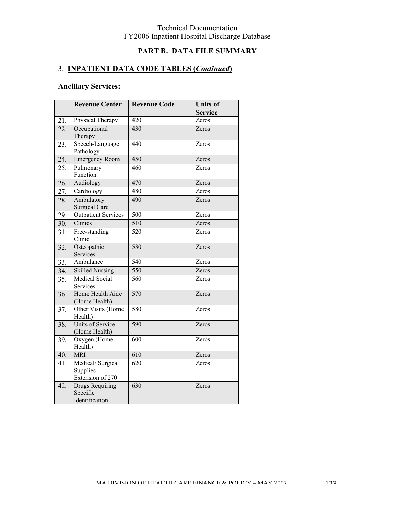# **PART B. DATA FILE SUMMARY**

## 3. **INPATIENT DATA CODE TABLES (***Continued***)**

|     | <b>Revenue Center</b>                                | <b>Revenue Code</b> | <b>Units of</b> |
|-----|------------------------------------------------------|---------------------|-----------------|
|     |                                                      |                     | <b>Service</b>  |
| 21. | Physical Therapy                                     | 420                 | Zeros           |
| 22. | Occupational<br>Therapy                              | 430                 | Zeros           |
| 23. | Speech-Language<br>Pathology                         | 440                 | Zeros           |
| 24. | <b>Emergency Room</b>                                | 450                 | Zeros           |
| 25. | Pulmonary<br>Function                                | 460                 | Zeros           |
| 26. | Audiology                                            | 470                 | Zeros           |
| 27. | Cardiology                                           | 480                 | Zeros           |
| 28. | Ambulatory<br><b>Surgical Care</b>                   | 490                 | Zeros           |
| 29. | <b>Outpatient Services</b>                           | 500                 | Zeros           |
| 30. | Clinics                                              | 510                 | Zeros           |
| 31. | Free-standing<br>Clinic                              | 520                 | Zeros           |
| 32. | Osteopathic<br>Services                              | 530                 | Zeros           |
| 33. | Ambulance                                            | 540                 | Zeros           |
| 34. | <b>Skilled Nursing</b>                               | 550                 | Zeros           |
| 35. | <b>Medical Social</b><br>Services                    | 560                 | Zeros           |
| 36. | Home Health Aide<br>(Home Health)                    | 570                 | Zeros           |
| 37. | Other Visits (Home<br>Health)                        | 580                 | Zeros           |
| 38. | Units of Service<br>(Home Health)                    | 590                 | Zeros           |
| 39. | Oxygen (Home<br>Health)                              | 600                 | Zeros           |
| 40. | <b>MRI</b>                                           | 610                 | Zeros           |
| 41. | Medical/Surgical<br>Supplies $-$<br>Extension of 270 | $\overline{620}$    | Zeros           |
| 42. | Drugs Requiring<br>Specific<br>Identification        | 630                 | Zeros           |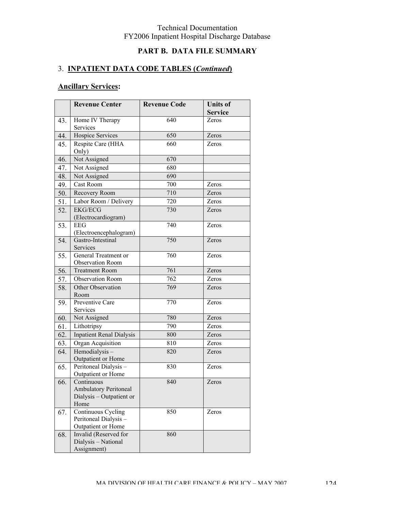# **PART B. DATA FILE SUMMARY**

## 3. **INPATIENT DATA CODE TABLES (***Continued***)**

|     | <b>Revenue Center</b>                                                          | <b>Revenue Code</b> | <b>Units of</b><br><b>Service</b> |
|-----|--------------------------------------------------------------------------------|---------------------|-----------------------------------|
| 43. | Home IV Therapy<br>Services                                                    | 640                 | Zeros                             |
| 44. | Hospice Services                                                               | 650                 | Zeros                             |
| 45. | Respite Care (HHA<br>Only)                                                     | 660                 | Zeros                             |
| 46. | Not Assigned                                                                   | 670                 |                                   |
| 47. | Not Assigned                                                                   | 680                 |                                   |
| 48. | Not Assigned                                                                   | 690                 |                                   |
| 49. | Cast Room                                                                      | 700                 | Zeros                             |
| 50. | Recovery Room                                                                  | 710                 | Zeros                             |
| 51. | Labor Room / Delivery                                                          | 720                 | Zeros                             |
| 52. | <b>EKG/ECG</b><br>(Electrocardiogram)                                          | 730                 | Zeros                             |
| 53. | <b>EEG</b><br>(Electroencephalogram)                                           | 740                 | Zeros                             |
| 54. | Gastro-Intestinal<br>Services                                                  | 750                 | Zeros                             |
| 55. | General Treatment or<br><b>Observation Room</b>                                | 760                 | Zeros                             |
| 56. | <b>Treatment Room</b>                                                          | 761                 | Zeros                             |
| 57. | <b>Observation Room</b>                                                        | 762                 | Zeros                             |
| 58. | Other Observation<br>Room                                                      | 769                 | Zeros                             |
| 59. | Preventive Care<br>Services                                                    | 770                 | Zeros                             |
| 60. | Not Assigned                                                                   | 780                 | Zeros                             |
| 61. | Lithotripsy                                                                    | 790                 | Zeros                             |
| 62. | <b>Inpatient Renal Dialysis</b>                                                | 800                 | Zeros                             |
| 63. | Organ Acquisition                                                              | 810                 | Zeros                             |
| 64. | Hemodialysis-<br>Outpatient or Home                                            | 820                 | Zeros                             |
| 65. | Peritoneal Dialysis-<br>Outpatient or Home                                     | 830                 | Zeros                             |
| 66. | Continuous<br><b>Ambulatory Peritoneal</b><br>Dialysis - Outpatient or<br>Home | 840                 | Zeros                             |
| 67. | Continuous Cycling<br>Peritoneal Dialysis-<br>Outpatient or Home               | 850                 | Zeros                             |
| 68. | Invalid (Reserved for<br>Dialysis - National<br>Assignment)                    | 860                 |                                   |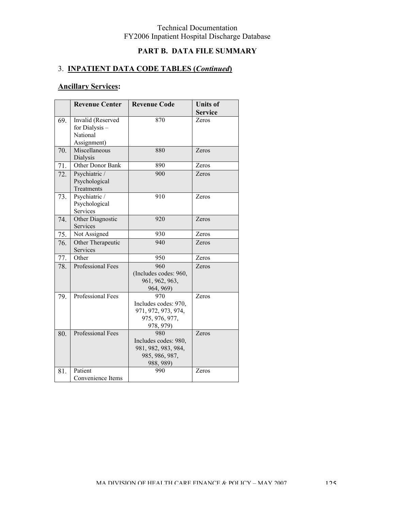# **PART B. DATA FILE SUMMARY**

## 3. **INPATIENT DATA CODE TABLES (***Continued***)**

|     | <b>Revenue Center</b>    | <b>Revenue Code</b>   | <b>Units of</b> |
|-----|--------------------------|-----------------------|-----------------|
|     |                          |                       | <b>Service</b>  |
| 69. | Invalid (Reserved        | 870                   | Zeros           |
|     | for Dialysis -           |                       |                 |
|     | National                 |                       |                 |
|     | Assignment)              |                       |                 |
| 70. | Miscellaneous            | 880                   | Zeros           |
|     | Dialysis                 |                       |                 |
| 71. | Other Donor Bank         | 890                   | Zeros           |
| 72. | Psychiatric /            | 900                   | Zeros           |
|     | Psychological            |                       |                 |
|     | Treatments               |                       |                 |
| 73. | Psychiatric /            | 910                   | Zeros           |
|     | Psychological            |                       |                 |
|     | Services                 |                       |                 |
| 74. | Other Diagnostic         | 920                   | Zeros           |
|     | Services                 |                       |                 |
| 75. | Not Assigned             | 930                   | Zeros           |
| 76. | Other Therapeutic        | 940                   | Zeros           |
|     | Services                 |                       |                 |
| 77. | Other                    | 950                   | Zeros           |
| 78. | <b>Professional Fees</b> | 960                   | Zeros           |
|     |                          | (Includes codes: 960, |                 |
|     |                          | 961, 962, 963,        |                 |
|     |                          | 964, 969)             |                 |
| 79. | <b>Professional Fees</b> | 970                   | Zeros           |
|     |                          | Includes codes: 970,  |                 |
|     |                          | 971, 972, 973, 974,   |                 |
|     |                          | 975, 976, 977,        |                 |
|     |                          | 978, 979)             |                 |
| 80. | <b>Professional Fees</b> | 980                   | Zeros           |
|     |                          | Includes codes: 980,  |                 |
|     |                          | 981, 982, 983, 984,   |                 |
|     |                          | 985, 986, 987,        |                 |
|     | Patient                  | 988, 989)<br>990      | Zeros           |
| 81. |                          |                       |                 |
|     | Convenience Items        |                       |                 |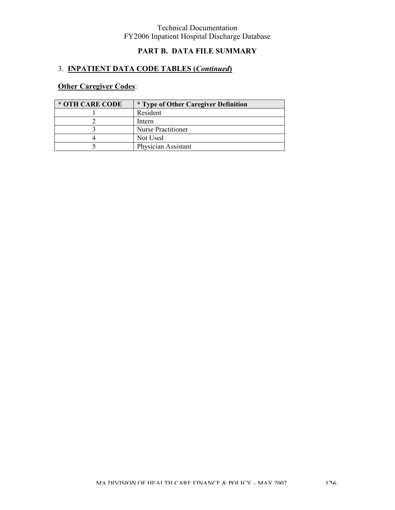## **PART B. DATA FILE SUMMARY**

# 3. **INPATIENT DATA CODE TABLES (***Continued***)**

# **Other Caregiver Codes**:

| * OTH CARE CODE | <i>*</i> Type of Other Caregiver Definition |
|-----------------|---------------------------------------------|
|                 | Resident                                    |
|                 | Intern                                      |
|                 | <b>Nurse Practitioner</b>                   |
|                 | Not Used                                    |
|                 | Physician Assistant                         |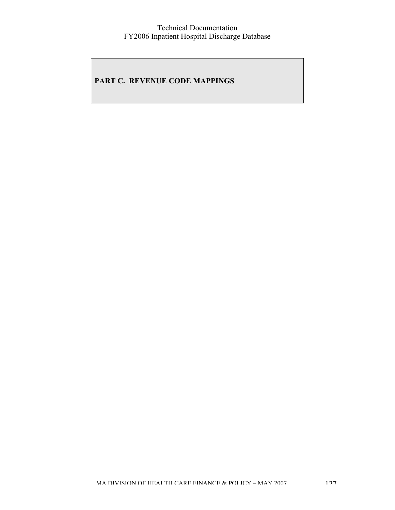## **PART C. REVENUE CODE MAPPINGS**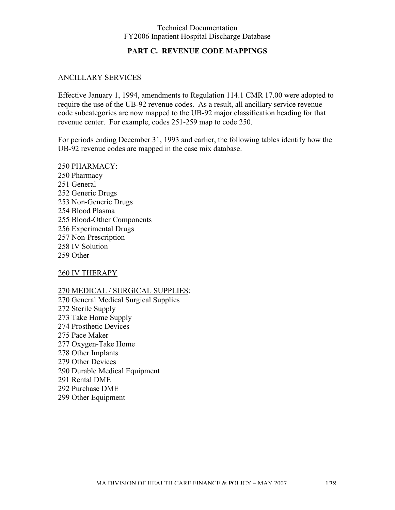### **PART C. REVENUE CODE MAPPINGS**

### ANCILLARY SERVICES

Effective January 1, 1994, amendments to Regulation 114.1 CMR 17.00 were adopted to require the use of the UB-92 revenue codes. As a result, all ancillary service revenue code subcategories are now mapped to the UB-92 major classification heading for that revenue center. For example, codes 251-259 map to code 250.

For periods ending December 31, 1993 and earlier, the following tables identify how the UB-92 revenue codes are mapped in the case mix database.

250 PHARMACY: 250 Pharmacy 251 General 252 Generic Drugs 253 Non-Generic Drugs 254 Blood Plasma 255 Blood-Other Components 256 Experimental Drugs 257 Non-Prescription 258 IV Solution 259 Other

260 IV THERAPY

270 MEDICAL / SURGICAL SUPPLIES:

270 General Medical Surgical Supplies 272 Sterile Supply 273 Take Home Supply 274 Prosthetic Devices 275 Pace Maker 277 Oxygen-Take Home 278 Other Implants 279 Other Devices 290 Durable Medical Equipment 291 Rental DME 292 Purchase DME 299 Other Equipment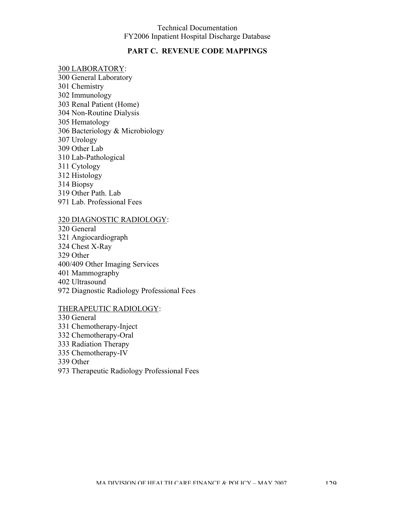### **PART C. REVENUE CODE MAPPINGS**

#### 300 LABORATORY:

300 General Laboratory 301 Chemistry 302 Immunology 303 Renal Patient (Home) 304 Non-Routine Dialysis 305 Hematology 306 Bacteriology & Microbiology 307 Urology 309 Other Lab 310 Lab-Pathological 311 Cytology 312 Histology 314 Biopsy 319 Other Path. Lab 971 Lab. Professional Fees

#### 320 DIAGNOSTIC RADIOLOGY:

320 General 321 Angiocardiograph 324 Chest X-Ray 329 Other 400/409 Other Imaging Services 401 Mammography 402 Ultrasound 972 Diagnostic Radiology Professional Fees

### THERAPEUTIC RADIOLOGY:

330 General 331 Chemotherapy-Inject 332 Chemotherapy-Oral 333 Radiation Therapy 335 Chemotherapy-IV 339 Other 973 Therapeutic Radiology Professional Fees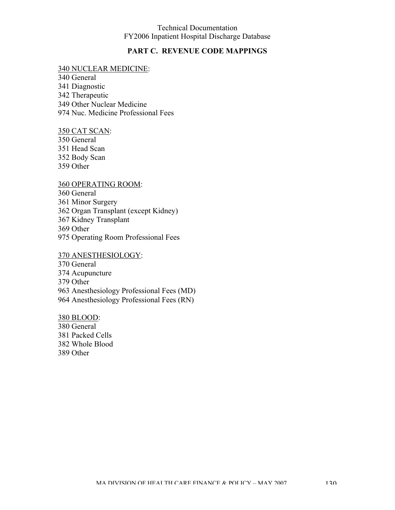### **PART C. REVENUE CODE MAPPINGS**

#### 340 NUCLEAR MEDICINE:

340 General 341 Diagnostic 342 Therapeutic 349 Other Nuclear Medicine 974 Nuc. Medicine Professional Fees

#### 350 CAT SCAN:

350 General 351 Head Scan 352 Body Scan 359 Other

#### 360 OPERATING ROOM:

360 General

361 Minor Surgery

362 Organ Transplant (except Kidney)

367 Kidney Transplant

369 Other

975 Operating Room Professional Fees

#### 370 ANESTHESIOLOGY:

370 General

374 Acupuncture

379 Other

963 Anesthesiology Professional Fees (MD)

964 Anesthesiology Professional Fees (RN)

#### 380 BLOOD:

380 General 381 Packed Cells 382 Whole Blood 389 Other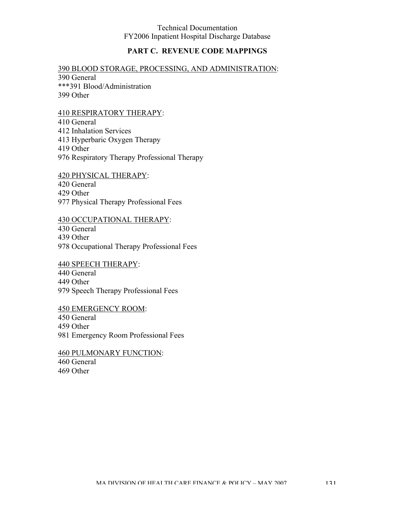## **PART C. REVENUE CODE MAPPINGS**

## 390 BLOOD STORAGE, PROCESSING, AND ADMINISTRATION:

390 General \*\*\*391 Blood/Administration 399 Other

#### 410 RESPIRATORY THERAPY:

410 General 412 Inhalation Services 413 Hyperbaric Oxygen Therapy 419 Other 976 Respiratory Therapy Professional Therapy

420 PHYSICAL THERAPY:

420 General

429 Other

977 Physical Therapy Professional Fees

#### 430 OCCUPATIONAL THERAPY:

430 General

439 Other

978 Occupational Therapy Professional Fees

## 440 SPEECH THERAPY:

440 General

449 Other

979 Speech Therapy Professional Fees

## 450 EMERGENCY ROOM:

450 General

459 Other

981 Emergency Room Professional Fees

#### 460 PULMONARY FUNCTION: 460 General 469 Other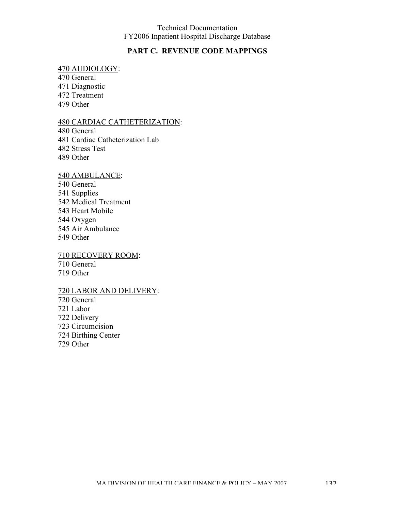### **PART C. REVENUE CODE MAPPINGS**

### 470 AUDIOLOGY:

470 General 471 Diagnostic 472 Treatment 479 Other

#### 480 CARDIAC CATHETERIZATION:

480 General 481 Cardiac Catheterization Lab 482 Stress Test 489 Other

#### 540 AMBULANCE:

540 General 541 Supplies 542 Medical Treatment 543 Heart Mobile 544 Oxygen 545 Air Ambulance 549 Other

#### 710 RECOVERY ROOM: 710 General

719 Other

### 720 LABOR AND DELIVERY:

720 General 721 Labor 722 Delivery 723 Circumcision 724 Birthing Center 729 Other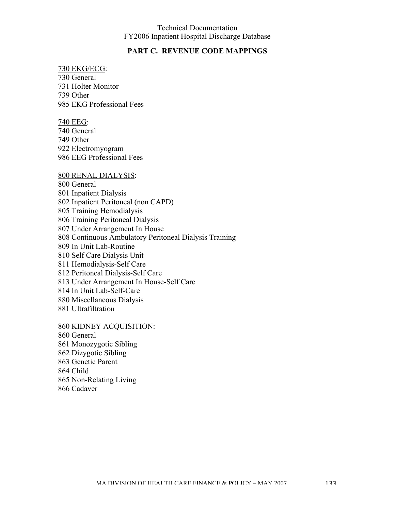### **PART C. REVENUE CODE MAPPINGS**

#### 730 EKG/ECG: 730 General

731 Holter Monitor 739 Other 985 EKG Professional Fees

#### 740 EEG:

740 General 749 Other 922 Electromyogram 986 EEG Professional Fees

#### 800 RENAL DIALYSIS:

800 General 801 Inpatient Dialysis 802 Inpatient Peritoneal (non CAPD) 805 Training Hemodialysis 806 Training Peritoneal Dialysis 807 Under Arrangement In House 808 Continuous Ambulatory Peritoneal Dialysis Training 809 In Unit Lab-Routine 810 Self Care Dialysis Unit 811 Hemodialysis-Self Care 812 Peritoneal Dialysis-Self Care 813 Under Arrangement In House-Self Care 814 In Unit Lab-Self-Care 880 Miscellaneous Dialysis 881 Ultrafiltration

### 860 KIDNEY ACQUISITION:

860 General 861 Monozygotic Sibling 862 Dizygotic Sibling 863 Genetic Parent 864 Child 865 Non-Relating Living 866 Cadaver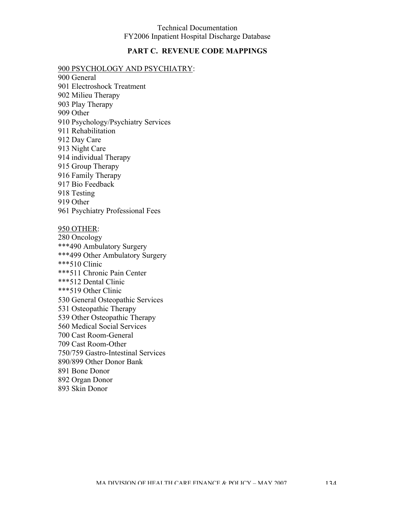### **PART C. REVENUE CODE MAPPINGS**

#### 900 PSYCHOLOGY AND PSYCHIATRY:

- 900 General 901 Electroshock Treatment 902 Milieu Therapy 903 Play Therapy 909 Other 910 Psychology/Psychiatry Services 911 Rehabilitation 912 Day Care 913 Night Care 914 individual Therapy 915 Group Therapy 916 Family Therapy 917 Bio Feedback 918 Testing 919 Other 961 Psychiatry Professional Fees 950 OTHER: 280 Oncology \*\*\*490 Ambulatory Surgery \*\*\*499 Other Ambulatory Surgery \*\*\*510 Clinic
- \*\*\*511 Chronic Pain Center \*\*\*512 Dental Clinic \*\*\*519 Other Clinic 530 General Osteopathic Services 531 Osteopathic Therapy 539 Other Osteopathic Therapy 560 Medical Social Services 700 Cast Room-General 709 Cast Room-Other 750/759 Gastro-Intestinal Services 890/899 Other Donor Bank 891 Bone Donor 892 Organ Donor
- 893 Skin Donor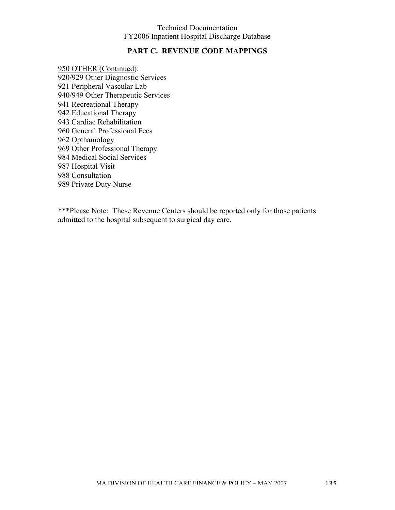### **PART C. REVENUE CODE MAPPINGS**

950 OTHER (Continued): 920/929 Other Diagnostic Services 921 Peripheral Vascular Lab 940/949 Other Therapeutic Services 941 Recreational Therapy 942 Educational Therapy 943 Cardiac Rehabilitation 960 General Professional Fees 962 Opthamology 969 Other Professional Therapy 984 Medical Social Services 987 Hospital Visit 988 Consultation 989 Private Duty Nurse

\*\*\*Please Note: These Revenue Centers should be reported only for those patients admitted to the hospital subsequent to surgical day care.